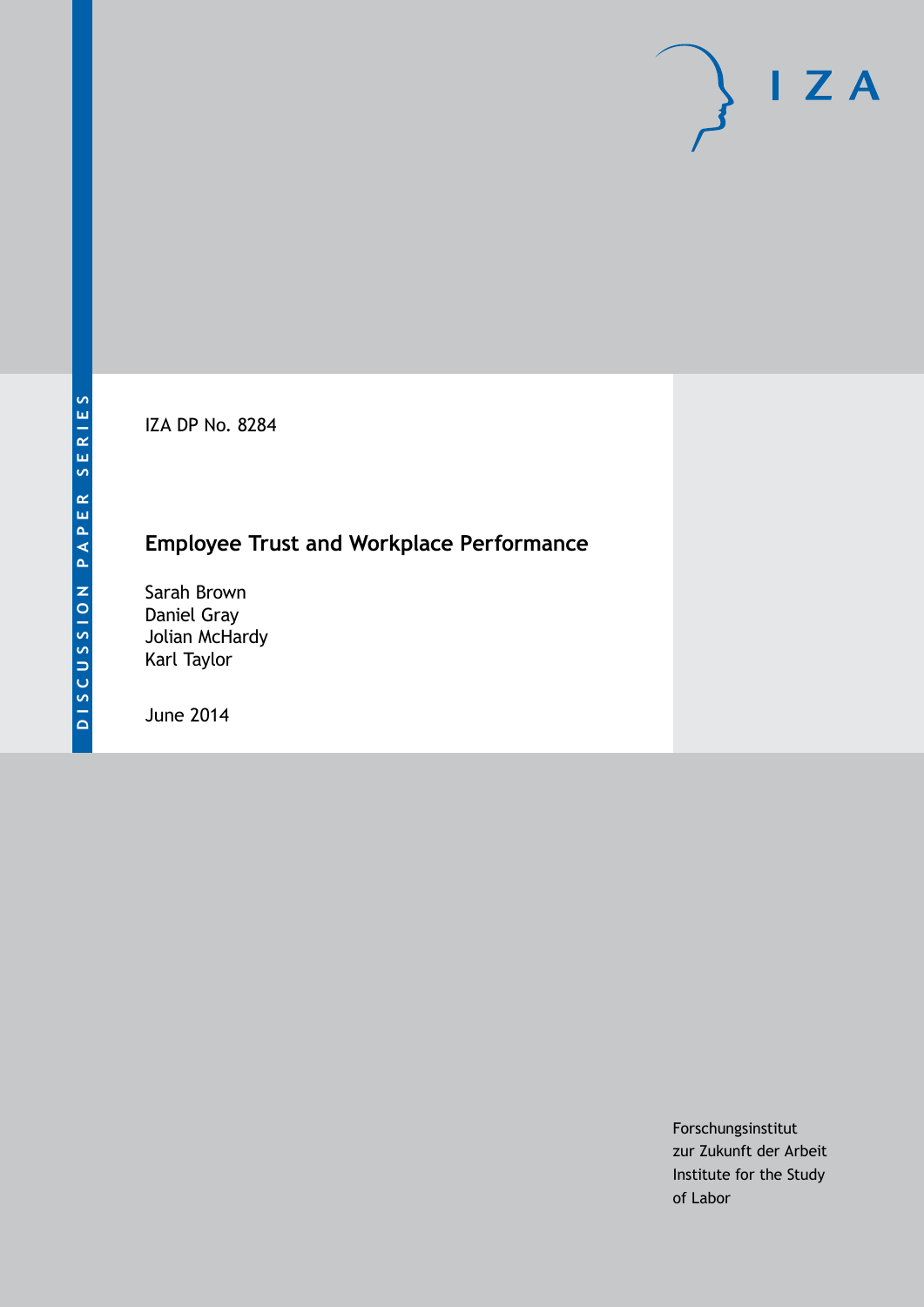IZA DP No. 8284

# **Employee Trust and Workplace Performance**

Sarah Brown Daniel Gray Jolian McHardy Karl Taylor

June 2014

Forschungsinstitut zur Zukunft der Arbeit Institute for the Study of Labor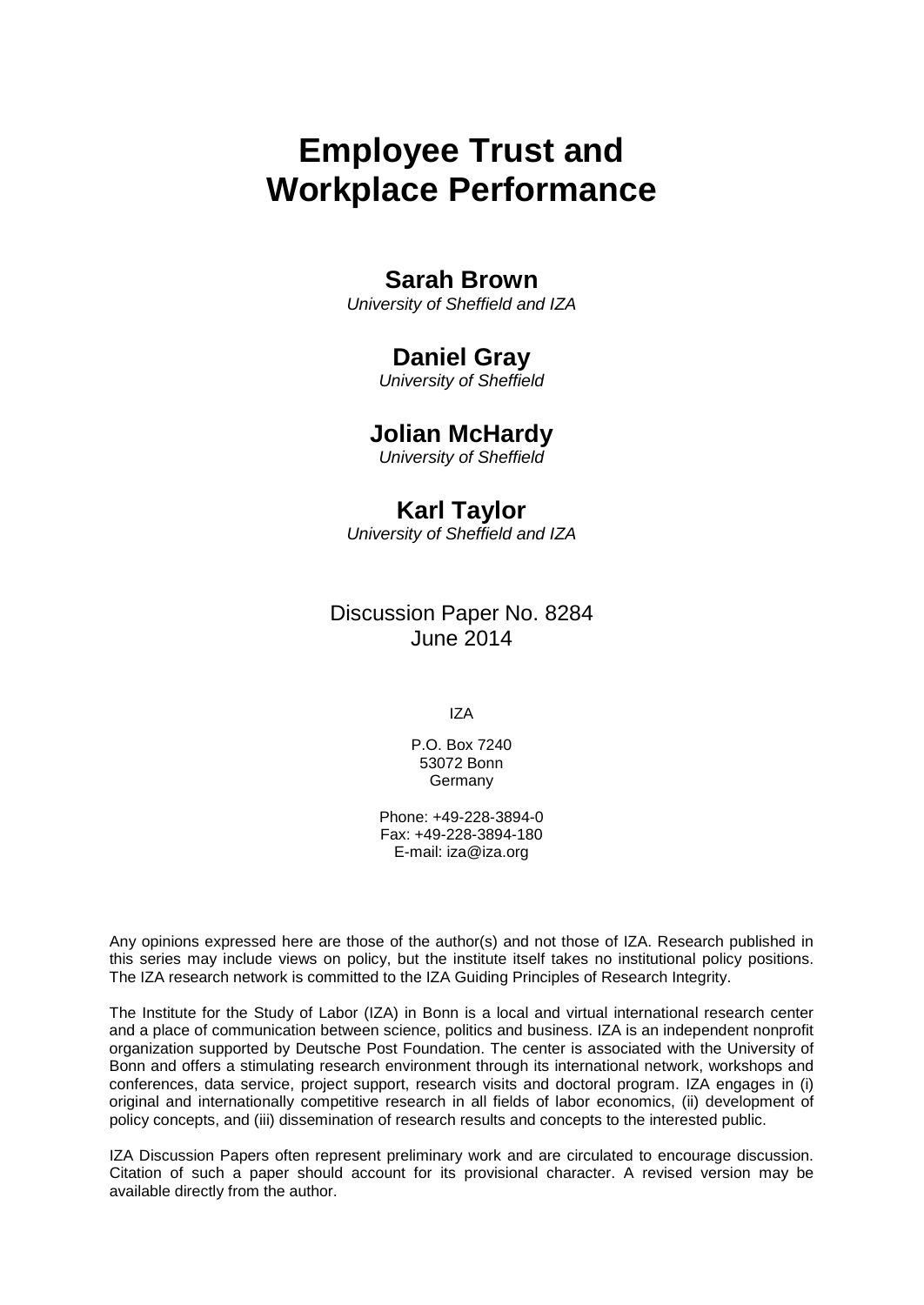# **Employee Trust and Workplace Performance**

# **Sarah Brown**

*University of Sheffield and IZA*

# **Daniel Gray**

*University of Sheffield*

# **Jolian McHardy**

*University of Sheffield*

# **Karl Taylor**

*University of Sheffield and IZA*

# Discussion Paper No. 8284 June 2014

IZA

P.O. Box 7240 53072 Bonn Germany

Phone: +49-228-3894-0 Fax: +49-228-3894-180 E-mail: [iza@iza.org](mailto:iza@iza.org)

Any opinions expressed here are those of the author(s) and not those of IZA. Research published in this series may include views on policy, but the institute itself takes no institutional policy positions. The IZA research network is committed to the IZA Guiding Principles of Research Integrity.

The Institute for the Study of Labor (IZA) in Bonn is a local and virtual international research center and a place of communication between science, politics and business. IZA is an independent nonprofit organization supported by Deutsche Post Foundation. The center is associated with the University of Bonn and offers a stimulating research environment through its international network, workshops and conferences, data service, project support, research visits and doctoral program. IZA engages in (i) original and internationally competitive research in all fields of labor economics, (ii) development of policy concepts, and (iii) dissemination of research results and concepts to the interested public.

<span id="page-1-0"></span>IZA Discussion Papers often represent preliminary work and are circulated to encourage discussion. Citation of such a paper should account for its provisional character. A revised version may be available directly from the author.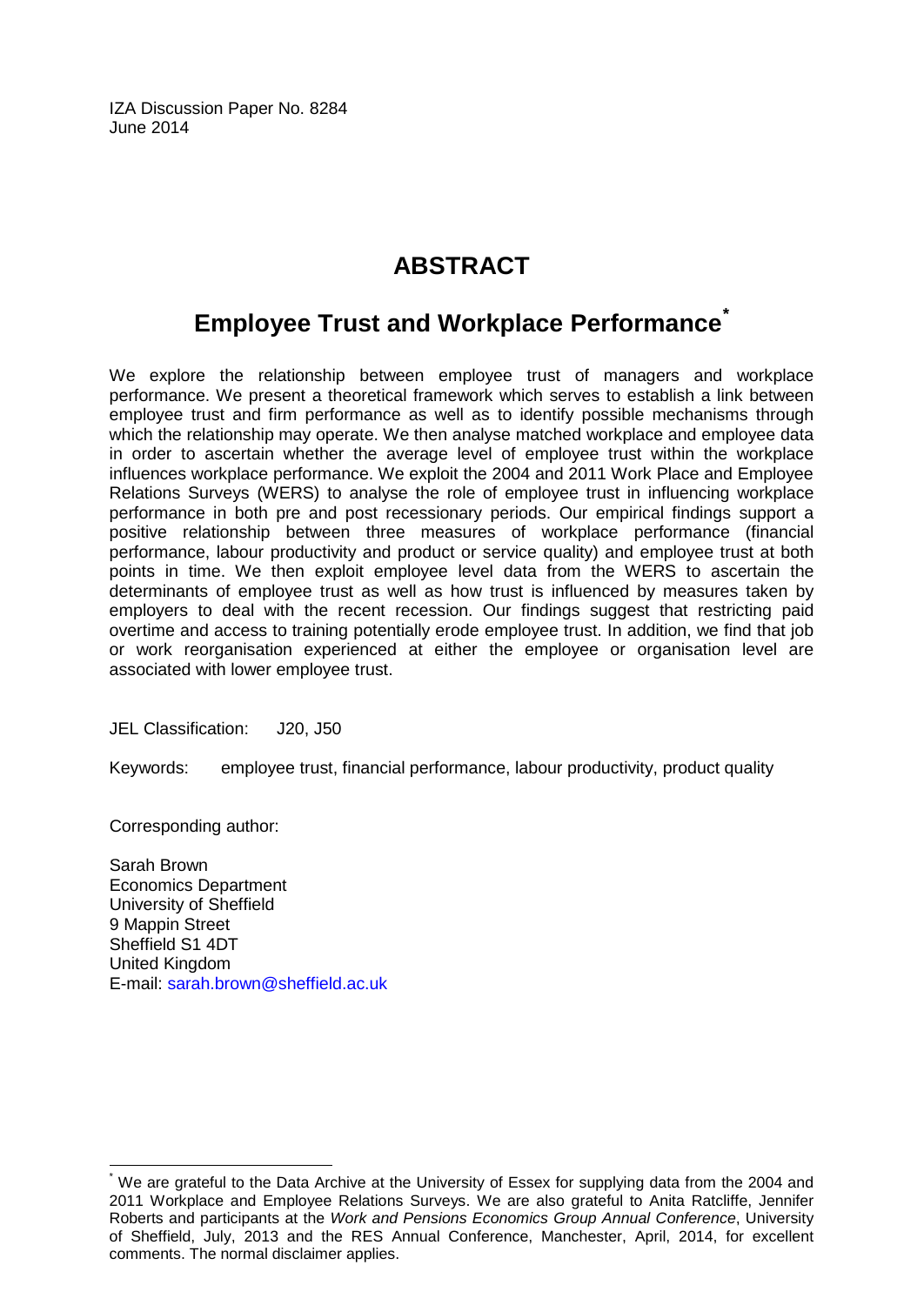IZA Discussion Paper No. 8284 June 2014

# **ABSTRACT**

# **Employee Trust and Workplace Performance[\\*](#page-1-0)**

We explore the relationship between employee trust of managers and workplace performance. We present a theoretical framework which serves to establish a link between employee trust and firm performance as well as to identify possible mechanisms through which the relationship may operate. We then analyse matched workplace and employee data in order to ascertain whether the average level of employee trust within the workplace influences workplace performance. We exploit the 2004 and 2011 Work Place and Employee Relations Surveys (WERS) to analyse the role of employee trust in influencing workplace performance in both pre and post recessionary periods. Our empirical findings support a positive relationship between three measures of workplace performance (financial performance, labour productivity and product or service quality) and employee trust at both points in time. We then exploit employee level data from the WERS to ascertain the determinants of employee trust as well as how trust is influenced by measures taken by employers to deal with the recent recession. Our findings suggest that restricting paid overtime and access to training potentially erode employee trust. In addition, we find that job or work reorganisation experienced at either the employee or organisation level are associated with lower employee trust.

JEL Classification: J20, J50

Keywords: employee trust, financial performance, labour productivity, product quality

Corresponding author:

Sarah Brown Economics Department University of Sheffield 9 Mappin Street Sheffield S1 4DT United Kingdom E-mail: [sarah.brown@sheffield.ac.uk](mailto:sarah.brown@sheffield.ac.uk)

We are grateful to the Data Archive at the University of Essex for supplying data from the 2004 and 2011 Workplace and Employee Relations Surveys. We are also grateful to Anita Ratcliffe, Jennifer Roberts and participants at the *Work and Pensions Economics Group Annual Conference*, University of Sheffield, July, 2013 and the RES Annual Conference, Manchester, April, 2014, for excellent comments. The normal disclaimer applies.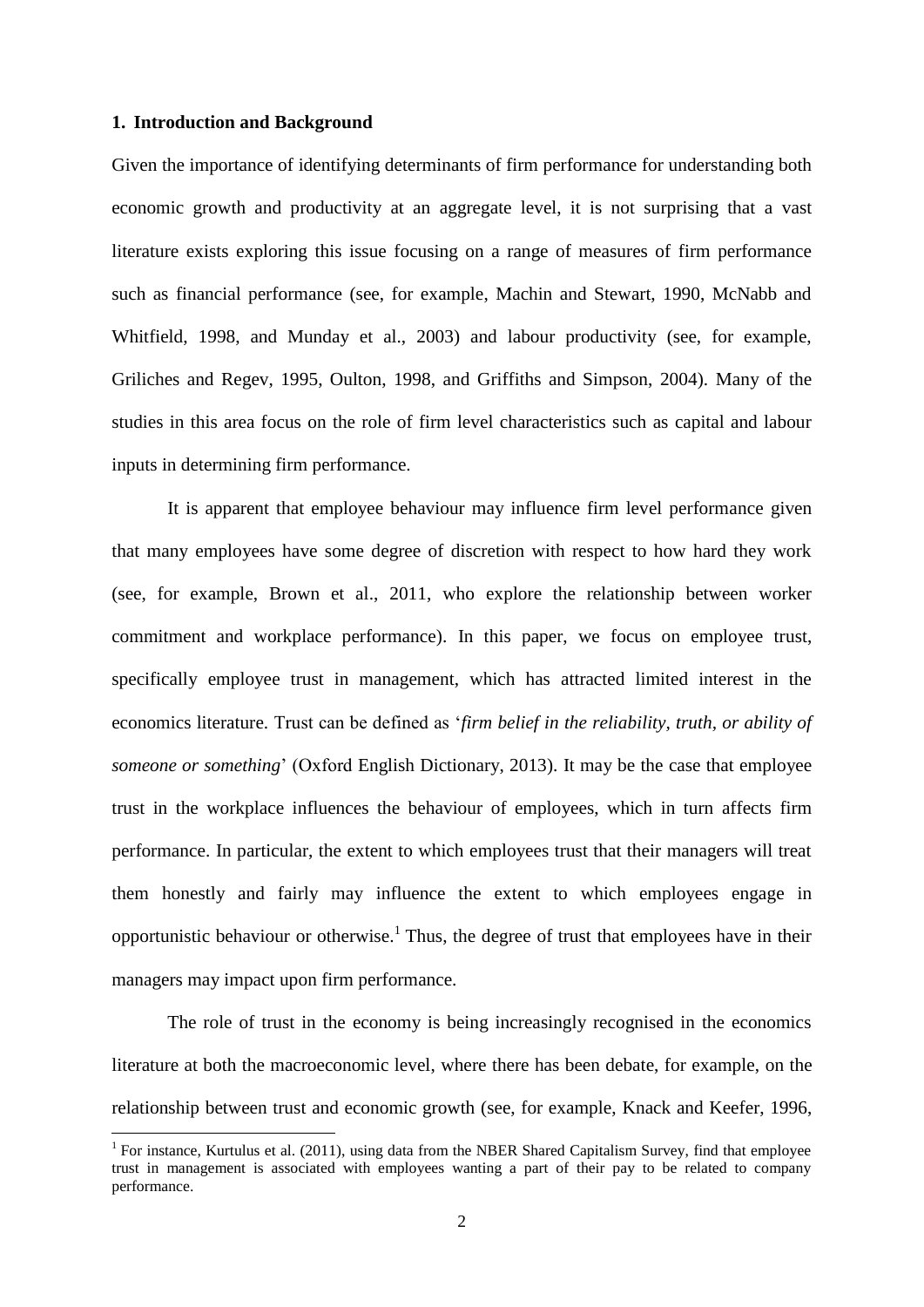#### **1. Introduction and Background**

1

Given the importance of identifying determinants of firm performance for understanding both economic growth and productivity at an aggregate level, it is not surprising that a vast literature exists exploring this issue focusing on a range of measures of firm performance such as financial performance (see, for example, Machin and Stewart, 1990, McNabb and Whitfield, 1998, and Munday et al., 2003) and labour productivity (see, for example, Griliches and Regev, 1995, Oulton, 1998, and Griffiths and Simpson, 2004). Many of the studies in this area focus on the role of firm level characteristics such as capital and labour inputs in determining firm performance.

It is apparent that employee behaviour may influence firm level performance given that many employees have some degree of discretion with respect to how hard they work (see, for example, Brown et al., 2011, who explore the relationship between worker commitment and workplace performance). In this paper, we focus on employee trust, specifically employee trust in management, which has attracted limited interest in the economics literature. Trust can be defined as '*firm belief in the reliability, truth, or ability of someone or something*' (Oxford English Dictionary, 2013). It may be the case that employee trust in the workplace influences the behaviour of employees, which in turn affects firm performance. In particular, the extent to which employees trust that their managers will treat them honestly and fairly may influence the extent to which employees engage in opportunistic behaviour or otherwise.<sup>1</sup> Thus, the degree of trust that employees have in their managers may impact upon firm performance.

The role of trust in the economy is being increasingly recognised in the economics literature at both the macroeconomic level, where there has been debate, for example, on the relationship between trust and economic growth (see, for example, Knack and Keefer, 1996,

<sup>&</sup>lt;sup>1</sup> For instance, Kurtulus et al. (2011), using data from the NBER Shared Capitalism Survey, find that employee trust in management is associated with employees wanting a part of their pay to be related to company performance.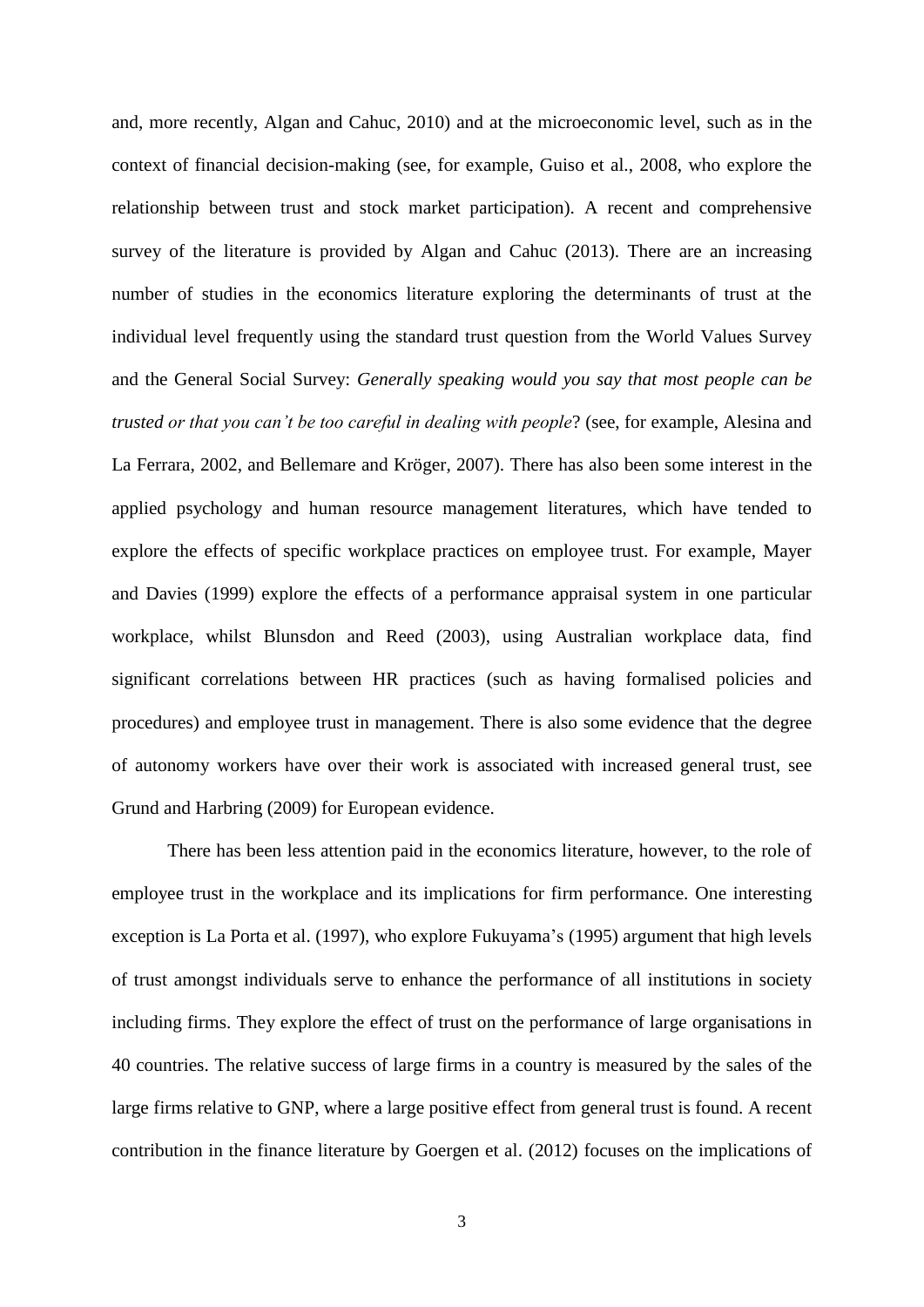and, more recently, Algan and Cahuc, 2010) and at the microeconomic level, such as in the context of financial decision-making (see, for example, Guiso et al., 2008, who explore the relationship between trust and stock market participation). A recent and comprehensive survey of the literature is provided by Algan and Cahuc (2013). There are an increasing number of studies in the economics literature exploring the determinants of trust at the individual level frequently using the standard trust question from the World Values Survey and the General Social Survey: *Generally speaking would you say that most people can be trusted or that you can't be too careful in dealing with people*? (see, for example, Alesina and La Ferrara, 2002, and Bellemare and Kröger, 2007). There has also been some interest in the applied psychology and human resource management literatures, which have tended to explore the effects of specific workplace practices on employee trust. For example, Mayer and Davies (1999) explore the effects of a performance appraisal system in one particular workplace, whilst Blunsdon and Reed (2003), using Australian workplace data, find significant correlations between HR practices (such as having formalised policies and procedures) and employee trust in management. There is also some evidence that the degree of autonomy workers have over their work is associated with increased general trust, see Grund and Harbring (2009) for European evidence.

There has been less attention paid in the economics literature, however, to the role of employee trust in the workplace and its implications for firm performance. One interesting exception is La Porta et al. (1997), who explore Fukuyama's (1995) argument that high levels of trust amongst individuals serve to enhance the performance of all institutions in society including firms. They explore the effect of trust on the performance of large organisations in 40 countries. The relative success of large firms in a country is measured by the sales of the large firms relative to GNP, where a large positive effect from general trust is found. A recent contribution in the finance literature by Goergen et al. (2012) focuses on the implications of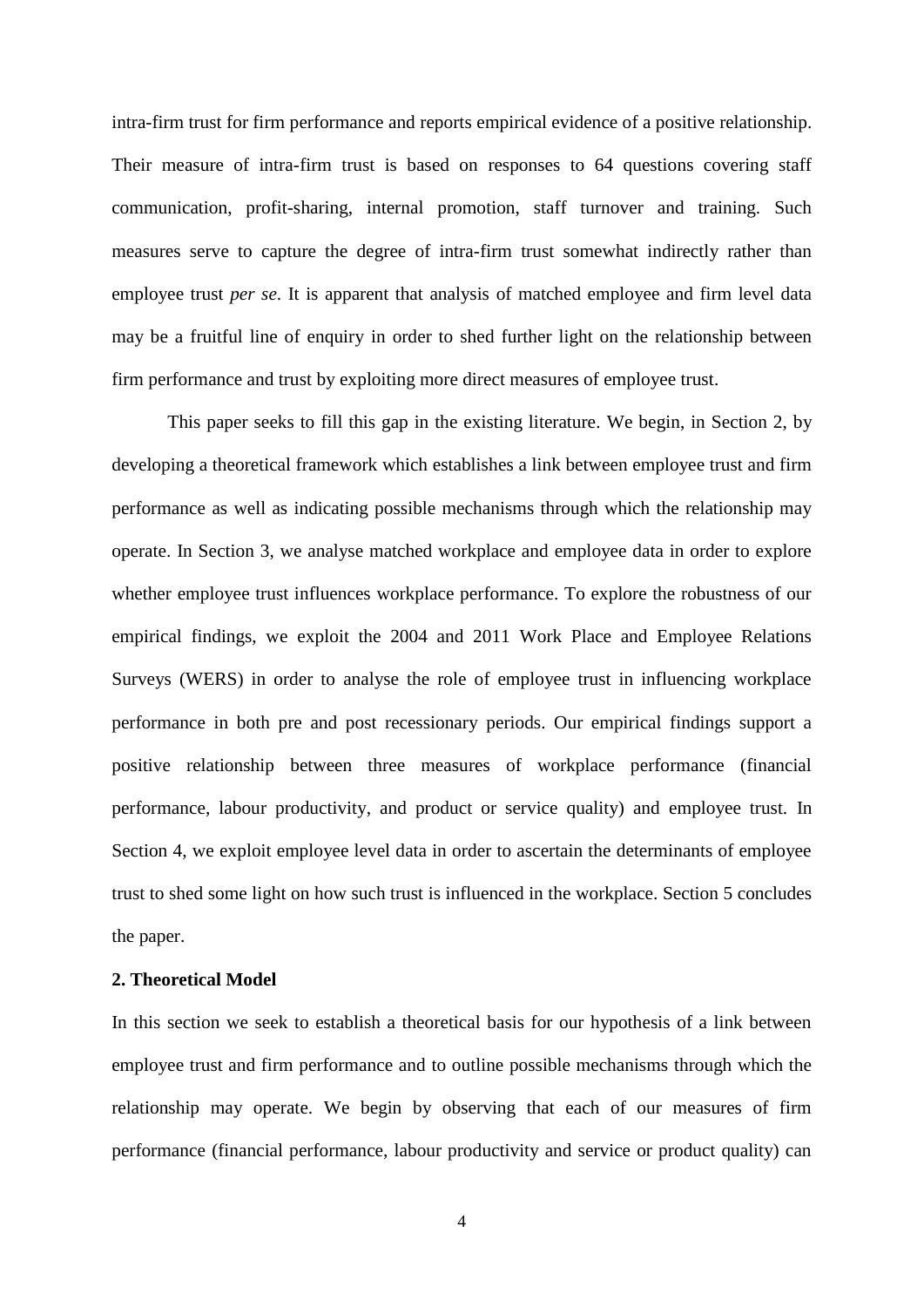intra-firm trust for firm performance and reports empirical evidence of a positive relationship. Their measure of intra-firm trust is based on responses to 64 questions covering staff communication, profit-sharing, internal promotion, staff turnover and training. Such measures serve to capture the degree of intra-firm trust somewhat indirectly rather than employee trust *per se*. It is apparent that analysis of matched employee and firm level data may be a fruitful line of enquiry in order to shed further light on the relationship between firm performance and trust by exploiting more direct measures of employee trust.

This paper seeks to fill this gap in the existing literature. We begin, in Section 2, by developing a theoretical framework which establishes a link between employee trust and firm performance as well as indicating possible mechanisms through which the relationship may operate. In Section 3, we analyse matched workplace and employee data in order to explore whether employee trust influences workplace performance. To explore the robustness of our empirical findings, we exploit the 2004 and 2011 Work Place and Employee Relations Surveys (WERS) in order to analyse the role of employee trust in influencing workplace performance in both pre and post recessionary periods. Our empirical findings support a positive relationship between three measures of workplace performance (financial performance, labour productivity, and product or service quality) and employee trust. In Section 4, we exploit employee level data in order to ascertain the determinants of employee trust to shed some light on how such trust is influenced in the workplace. Section 5 concludes the paper.

### **2. Theoretical Model**

In this section we seek to establish a theoretical basis for our hypothesis of a link between employee trust and firm performance and to outline possible mechanisms through which the relationship may operate. We begin by observing that each of our measures of firm performance (financial performance, labour productivity and service or product quality) can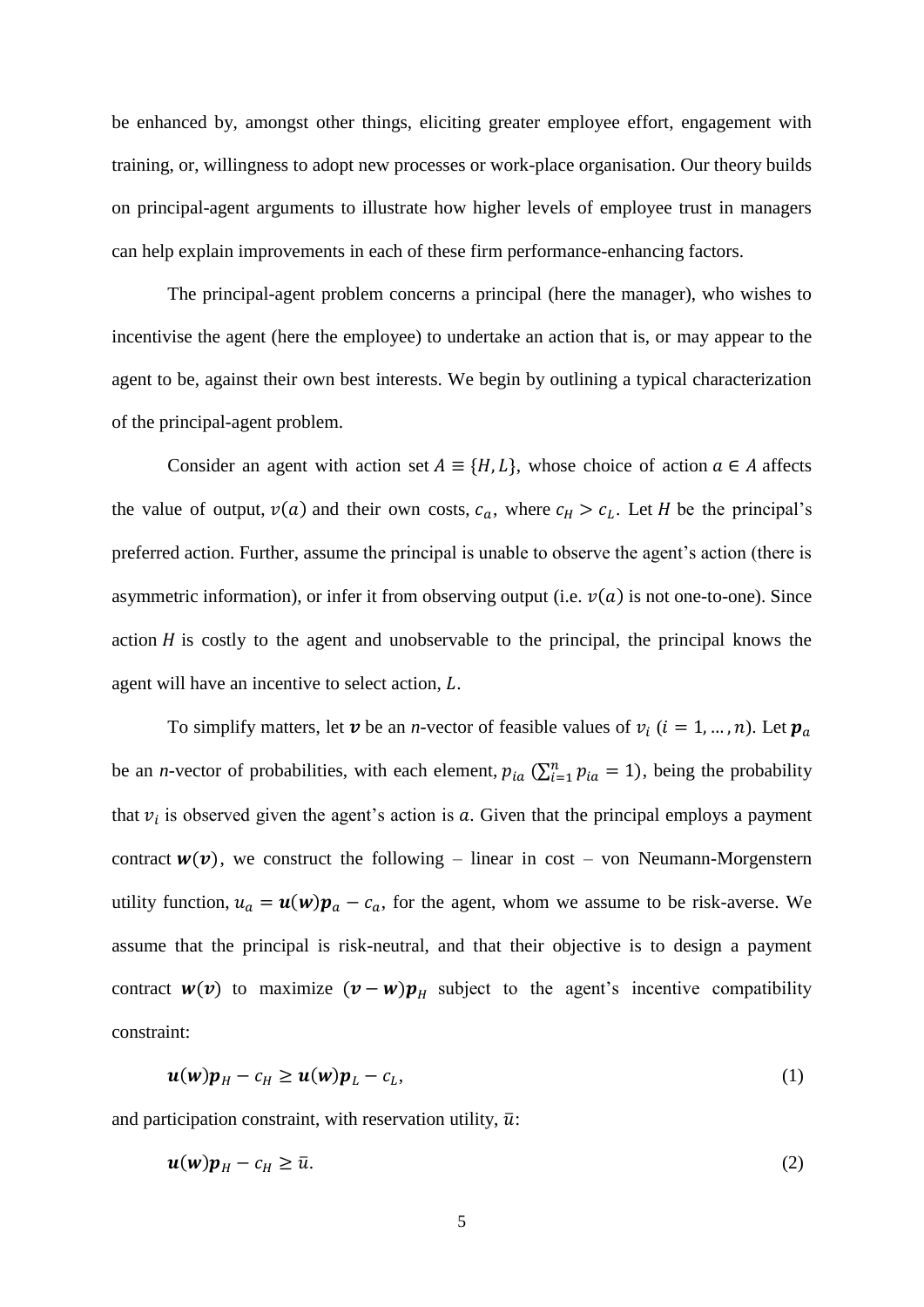be enhanced by, amongst other things, eliciting greater employee effort, engagement with training, or, willingness to adopt new processes or work-place organisation. Our theory builds on principal-agent arguments to illustrate how higher levels of employee trust in managers can help explain improvements in each of these firm performance-enhancing factors.

The principal-agent problem concerns a principal (here the manager), who wishes to incentivise the agent (here the employee) to undertake an action that is, or may appear to the agent to be, against their own best interests. We begin by outlining a typical characterization of the principal-agent problem.

Consider an agent with action set  $A = \{H, L\}$ , whose choice of action  $a \in A$  affects the value of output,  $v(a)$  and their own costs,  $c_a$ , where  $c_H > c_L$ . Let H be the principal's preferred action. Further, assume the principal is unable to observe the agent's action (there is asymmetric information), or infer it from observing output (i.e.  $v(a)$  is not one-to-one). Since action  $H$  is costly to the agent and unobservable to the principal, the principal knows the agent will have an incentive to select action,  $L$ .

To simplify matters, let  $v$  be an *n*-vector of feasible values of  $v_i$  ( $i = 1, ..., n$ ). Let be an *n*-vector of probabilities, with each element,  $p_{ia}$  ( $\sum_{i=1}^{n} p_{ia} = 1$ ), being the probability that  $v_i$  is observed given the agent's action is  $a$ . Given that the principal employs a payment contract  $w(v)$ , we construct the following – linear in cost – von Neumann-Morgenstern utility function,  $u_a = u(w)p_a - c_a$ , for the agent, whom we assume to be risk-averse. We assume that the principal is risk-neutral, and that their objective is to design a payment contract  $w(v)$  to maximize  $(v - w)p<sub>H</sub>$  subject to the agent's incentive compatibility constraint:

$$
\boldsymbol{u}(\boldsymbol{w})\boldsymbol{p}_H - c_H \ge \boldsymbol{u}(\boldsymbol{w})\boldsymbol{p}_L - c_L,\tag{1}
$$

and participation constraint, with reservation utility,  $\bar{u}$ :

$$
\boldsymbol{u}(\boldsymbol{w})\boldsymbol{p}_H - c_H \ge \bar{u}.\tag{2}
$$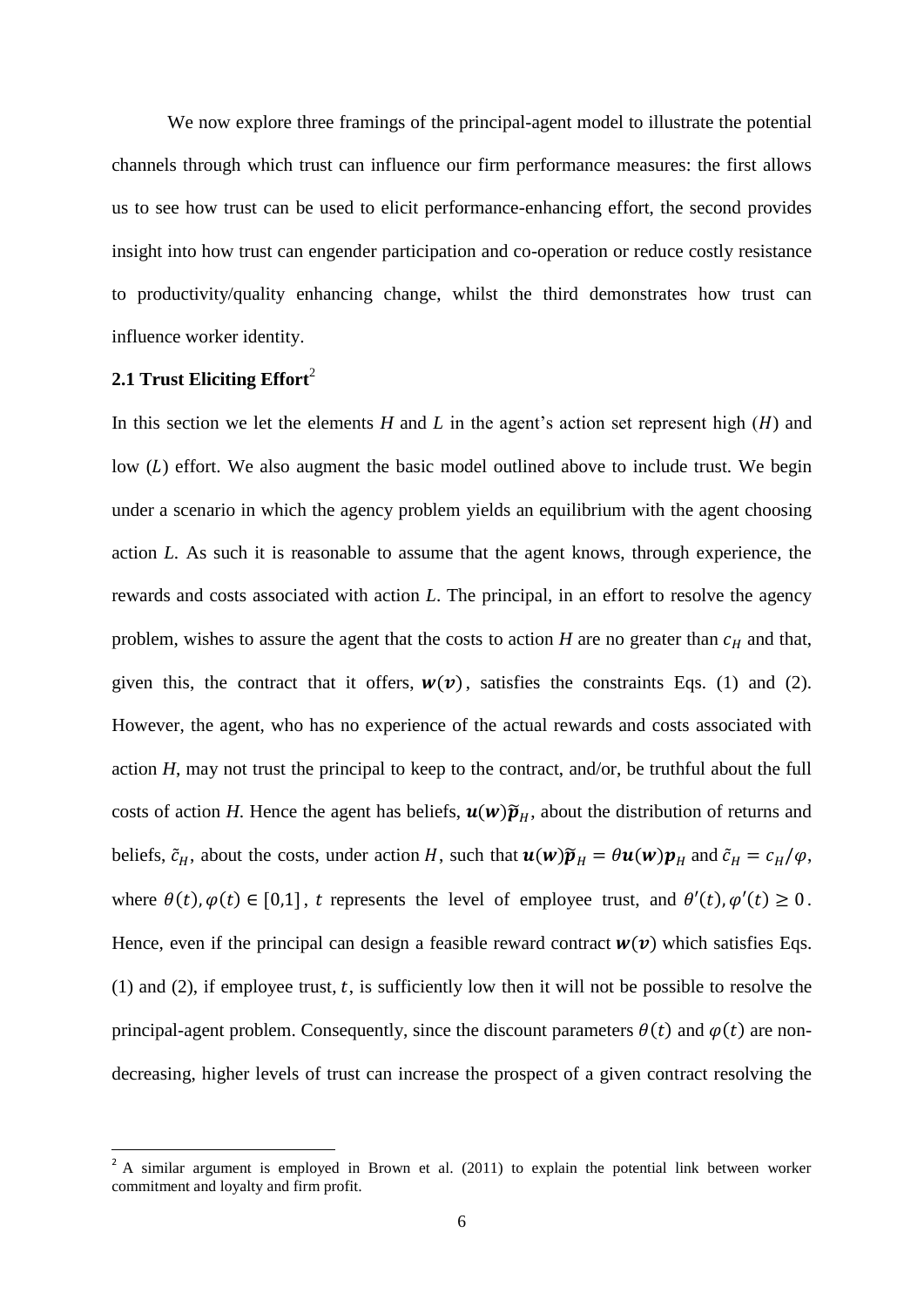We now explore three framings of the principal-agent model to illustrate the potential channels through which trust can influence our firm performance measures: the first allows us to see how trust can be used to elicit performance-enhancing effort, the second provides insight into how trust can engender participation and co-operation or reduce costly resistance to productivity/quality enhancing change, whilst the third demonstrates how trust can influence worker identity.

#### **2.1 Trust Eliciting Effort**<sup>2</sup>

**.** 

In this section we let the elements  $H$  and  $L$  in the agent's action set represent high  $(H)$  and low  $(L)$  effort. We also augment the basic model outlined above to include trust. We begin under a scenario in which the agency problem yields an equilibrium with the agent choosing action *L.* As such it is reasonable to assume that the agent knows, through experience, the rewards and costs associated with action *L*. The principal, in an effort to resolve the agency problem, wishes to assure the agent that the costs to action  $H$  are no greater than  $c_H$  and that, given this, the contract that it offers,  $w(v)$ , satisfies the constraints Eqs. (1) and (2). However, the agent, who has no experience of the actual rewards and costs associated with action *H*, may not trust the principal to keep to the contract, and/or, be truthful about the full costs of action *H*. Hence the agent has beliefs,  $\mathbf{u}(\mathbf{w})\widetilde{p}_H$ , about the distribution of returns and beliefs,  $\tilde{c}_H$ , about the costs, under action H, such that  $\mathbf{u}(w)\tilde{p}_H = \theta \mathbf{u}(w)\mathbf{p}_H$  and  $\tilde{c}_H = c_H/\varphi$ , where  $\theta(t)$ ,  $\varphi(t) \in [0,1]$ , t represents the level of employee trust, and  $\theta'(t)$ ,  $\varphi'(t) \ge 0$ . Hence, even if the principal can design a feasible reward contract  $w(v)$  which satisfies Eqs. (1) and (2), if employee trust,  $t$ , is sufficiently low then it will not be possible to resolve the principal-agent problem. Consequently, since the discount parameters  $\theta(t)$  and  $\varphi(t)$  are nondecreasing, higher levels of trust can increase the prospect of a given contract resolving the

 $2 A$  similar argument is employed in Brown et al. (2011) to explain the potential link between worker commitment and loyalty and firm profit.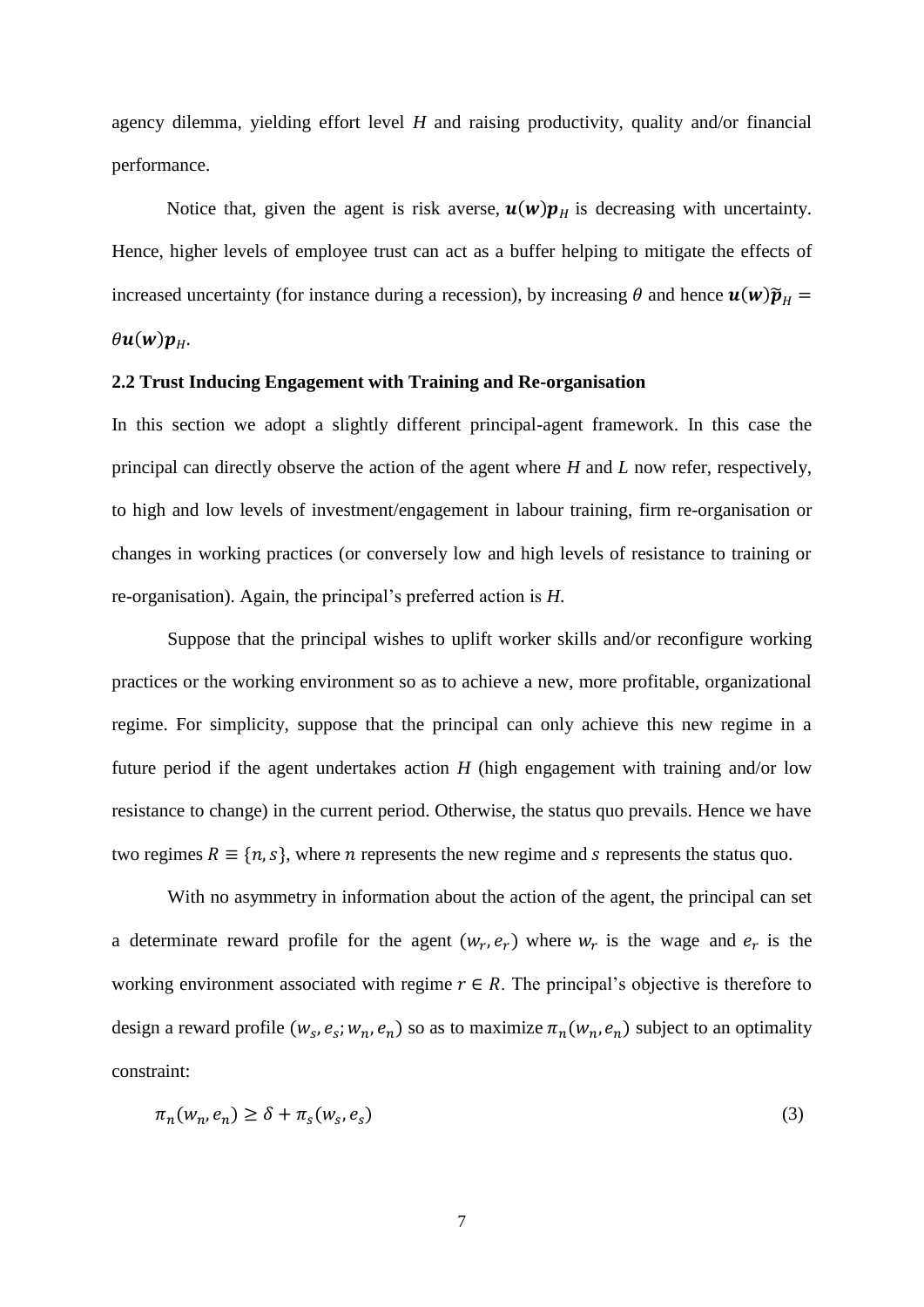agency dilemma, yielding effort level *H* and raising productivity, quality and/or financial performance.

Notice that, given the agent is risk averse,  $\mathbf{u}(w) \mathbf{p}_{H}$  is decreasing with uncertainty. Hence, higher levels of employee trust can act as a buffer helping to mitigate the effects of increased uncertainty (for instance during a recession), by increasing  $\theta$  and hence  $\mathbf{u}(\mathbf{w})\widetilde{p}_H =$  $\theta$ u $(w)$ p<sub>H</sub>.

#### **2.2 Trust Inducing Engagement with Training and Re-organisation**

In this section we adopt a slightly different principal-agent framework. In this case the principal can directly observe the action of the agent where *H* and *L* now refer, respectively, to high and low levels of investment/engagement in labour training, firm re-organisation or changes in working practices (or conversely low and high levels of resistance to training or re-organisation). Again, the principal's preferred action is *H*.

Suppose that the principal wishes to uplift worker skills and/or reconfigure working practices or the working environment so as to achieve a new, more profitable, organizational regime. For simplicity, suppose that the principal can only achieve this new regime in a future period if the agent undertakes action *H* (high engagement with training and/or low resistance to change) in the current period. Otherwise, the status quo prevails. Hence we have two regimes  $R \equiv \{n, s\}$ , where *n* represents the new regime and *s* represents the status quo.

With no asymmetry in information about the action of the agent, the principal can set a determinate reward profile for the agent  $(w_r, e_r)$  where  $w_r$  is the wage and  $e_r$  is the working environment associated with regime  $r \in R$ . The principal's objective is therefore to design a reward profile  $(w_s, e_s; w_n, e_n)$  so as to maximize  $\pi_n(w_n, e_n)$  subject to an optimality constraint:

$$
\pi_n(w_n, e_n) \ge \delta + \pi_s(w_s, e_s) \tag{3}
$$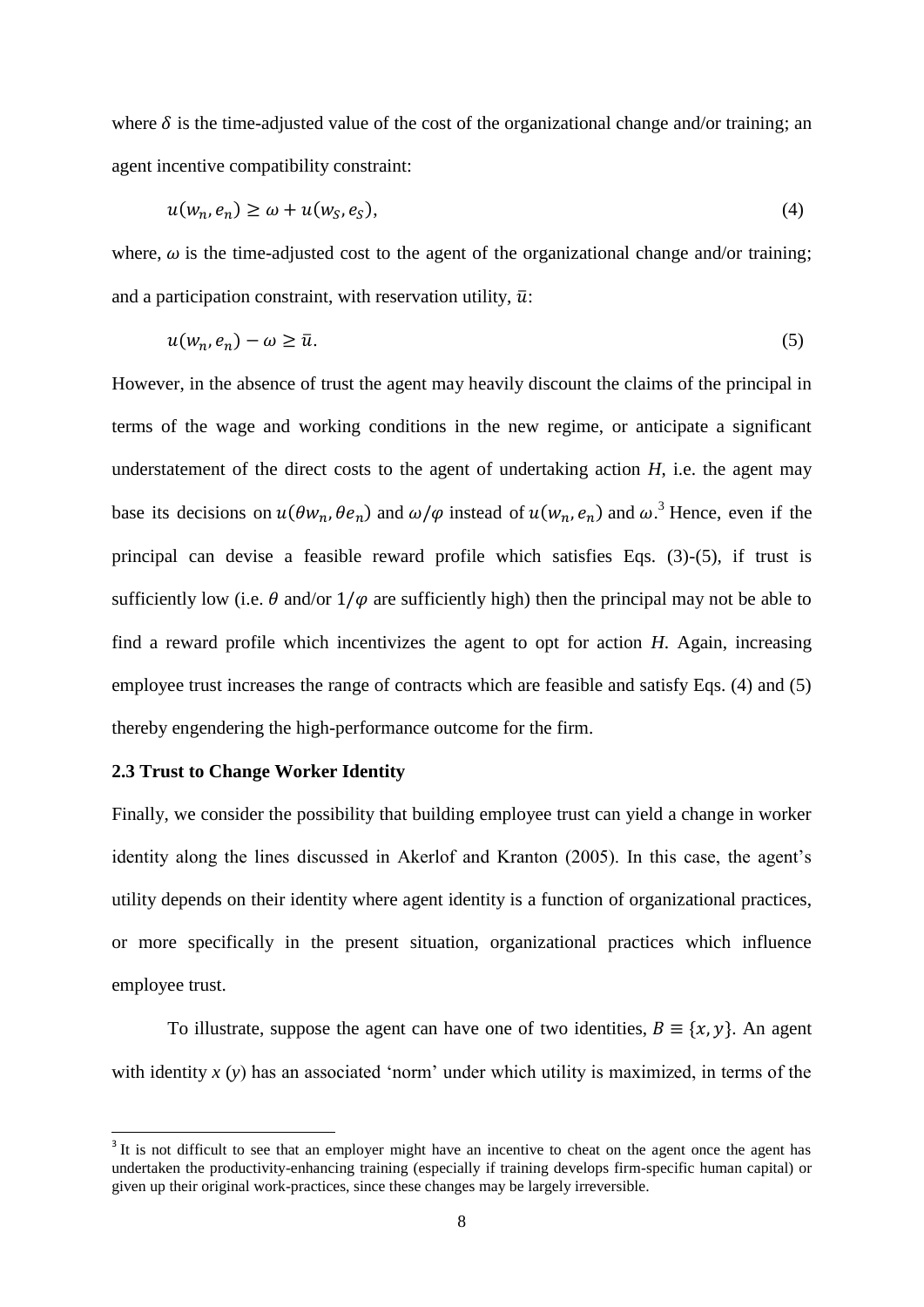where  $\delta$  is the time-adjusted value of the cost of the organizational change and/or training; an agent incentive compatibility constraint:

$$
u(w_n, e_n) \ge \omega + u(w_S, e_S), \tag{4}
$$

where,  $\omega$  is the time-adjusted cost to the agent of the organizational change and/or training; and a participation constraint, with reservation utility,  $\bar{u}$ :

$$
u(w_n, e_n) - \omega \ge \bar{u}.\tag{5}
$$

However, in the absence of trust the agent may heavily discount the claims of the principal in terms of the wage and working conditions in the new regime, or anticipate a significant understatement of the direct costs to the agent of undertaking action *H*, i.e. the agent may base its decisions on  $u(\theta w_n, \theta e_n)$  and  $\omega/\varphi$  instead of  $u(w_n, e_n)$  and  $\omega^3$ . Hence, even if the principal can devise a feasible reward profile which satisfies Eqs. (3)-(5), if trust is sufficiently low (i.e.  $\theta$  and/or  $1/\varphi$  are sufficiently high) then the principal may not be able to find a reward profile which incentivizes the agent to opt for action *H*. Again, increasing employee trust increases the range of contracts which are feasible and satisfy Eqs. (4) and (5) thereby engendering the high-performance outcome for the firm.

#### **2.3 Trust to Change Worker Identity**

**.** 

Finally, we consider the possibility that building employee trust can yield a change in worker identity along the lines discussed in Akerlof and Kranton (2005). In this case, the agent's utility depends on their identity where agent identity is a function of organizational practices, or more specifically in the present situation, organizational practices which influence employee trust.

To illustrate, suppose the agent can have one of two identities,  $B = \{x, y\}$ . An agent with identity *x* (*y*) has an associated 'norm' under which utility is maximized, in terms of the

<sup>&</sup>lt;sup>3</sup> It is not difficult to see that an employer might have an incentive to cheat on the agent once the agent has undertaken the productivity-enhancing training (especially if training develops firm-specific human capital) or given up their original work-practices, since these changes may be largely irreversible.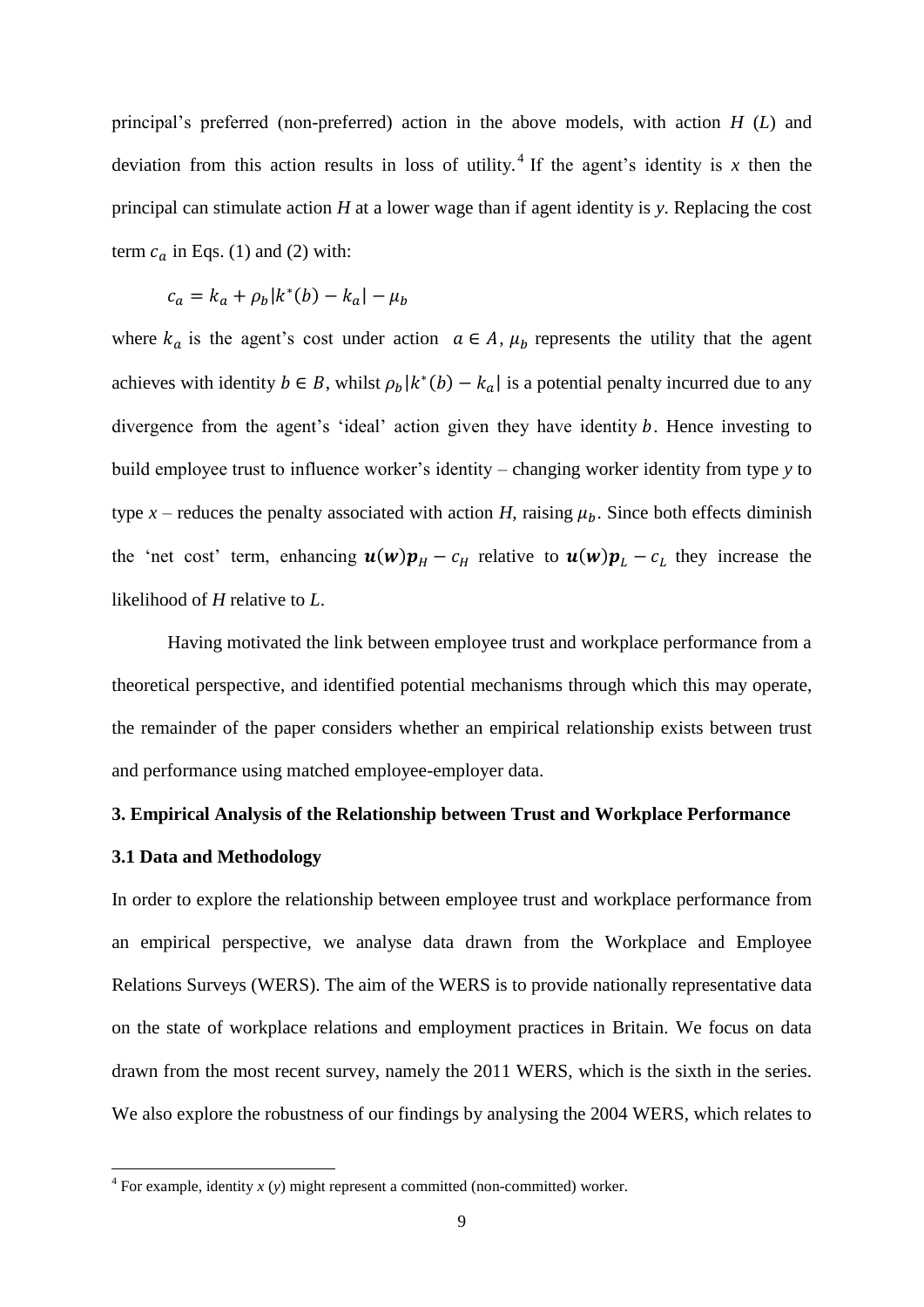principal's preferred (non-preferred) action in the above models, with action *H* (*L*) and deviation from this action results in loss of utility.<sup>4</sup> If the agent's identity is x then the principal can stimulate action *H* at a lower wage than if agent identity is *y*. Replacing the cost term  $c_a$  in Eqs. (1) and (2) with:

$$
c_a = k_a + \rho_b |k^*(b) - k_a| - \mu_b
$$

where  $k_a$  is the agent's cost under action  $a \in A$ ,  $\mu_b$  represents the utility that the agent achieves with identity  $b \in B$ , whilst  $\rho_b |k^*(b) - k_a|$  is a potential penalty incurred due to any divergence from the agent's 'ideal' action given they have identity  $b$ . Hence investing to build employee trust to influence worker's identity – changing worker identity from type *y* to type  $x$  – reduces the penalty associated with action *H*, raising  $\mu_b$ . Since both effects diminish the 'net cost' term, enhancing  $u(w)p_H - c_H$  relative to  $u(w)p_L - c_L$  they increase the likelihood of *H* relative to *L*.

Having motivated the link between employee trust and workplace performance from a theoretical perspective, and identified potential mechanisms through which this may operate, the remainder of the paper considers whether an empirical relationship exists between trust and performance using matched employee-employer data.

#### **3. Empirical Analysis of the Relationship between Trust and Workplace Performance**

#### **3.1 Data and Methodology**

In order to explore the relationship between employee trust and workplace performance from an empirical perspective, we analyse data drawn from the Workplace and Employee Relations Surveys (WERS). The aim of the WERS is to provide nationally representative data on the state of workplace relations and employment practices in Britain. We focus on data drawn from the most recent survey, namely the 2011 WERS, which is the sixth in the series. We also explore the robustness of our findings by analysing the 2004 WERS, which relates to

 4 For example, identity *x* (*y*) might represent a committed (non-committed) worker.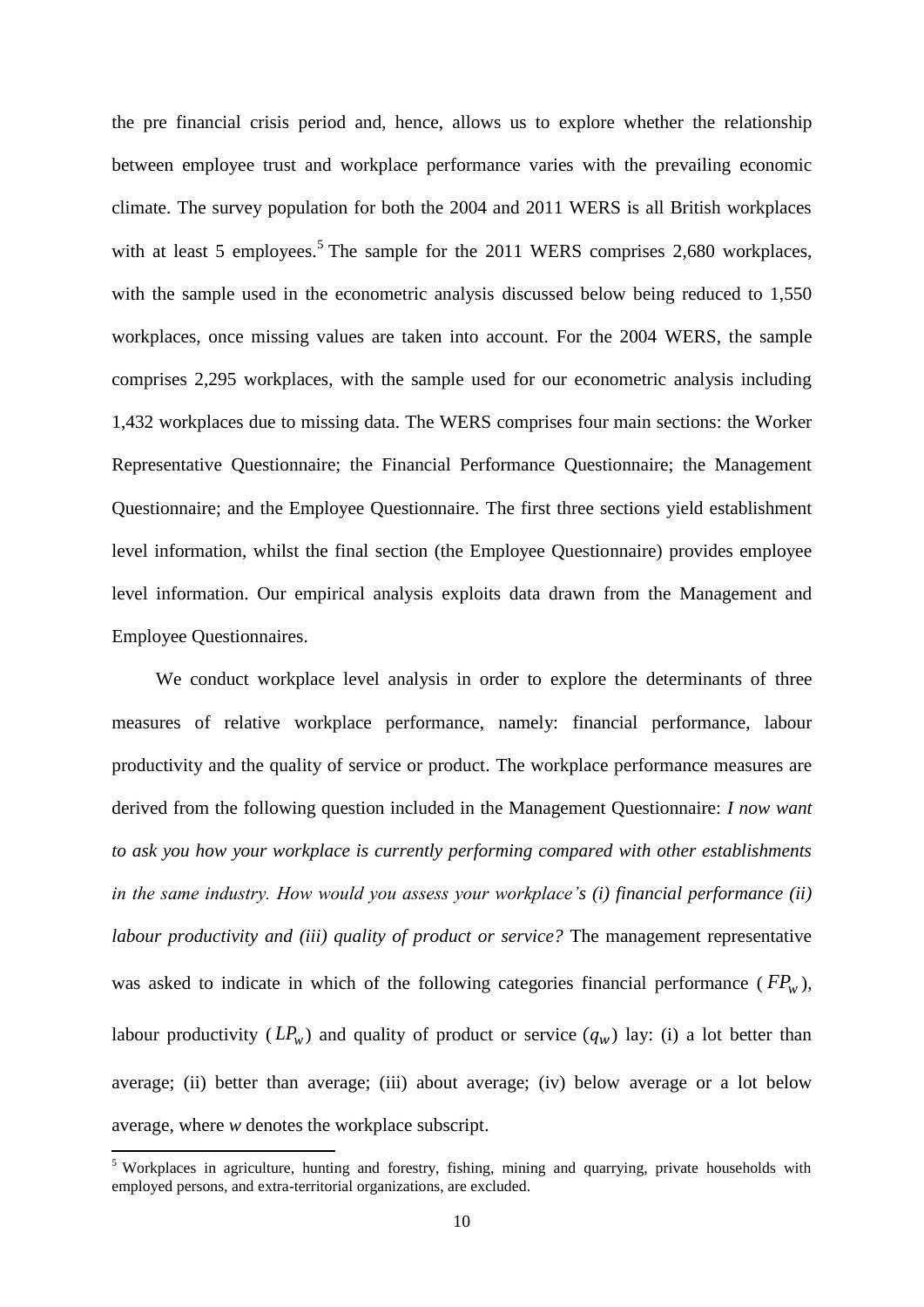the pre financial crisis period and, hence, allows us to explore whether the relationship between employee trust and workplace performance varies with the prevailing economic climate. The survey population for both the 2004 and 2011 WERS is all British workplaces with at least 5 employees.<sup>5</sup> The sample for the 2011 WERS comprises 2,680 workplaces, with the sample used in the econometric analysis discussed below being reduced to 1,550 workplaces, once missing values are taken into account. For the 2004 WERS, the sample comprises 2,295 workplaces, with the sample used for our econometric analysis including 1,432 workplaces due to missing data. The WERS comprises four main sections: the Worker Representative Questionnaire; the Financial Performance Questionnaire; the Management Questionnaire; and the Employee Questionnaire. The first three sections yield establishment level information, whilst the final section (the Employee Questionnaire) provides employee level information. Our empirical analysis exploits data drawn from the Management and Employee Questionnaires.

We conduct workplace level analysis in order to explore the determinants of three measures of relative workplace performance, namely: financial performance, labour productivity and the quality of service or product. The workplace performance measures are derived from the following question included in the Management Questionnaire: *I now want to ask you how your workplace is currently performing compared with other establishments in the same industry. How would you assess your workplace's (i) financial performance (ii) labour productivity and (iii) quality of product or service?* The management representative was asked to indicate in which of the following categories financial performance ( $FP_w$ ), labour productivity  $(LP_w)$  and quality of product or service  $(q_w)$  lay: (i) a lot better than average; (ii) better than average; (iii) about average; (iv) below average or a lot below average, where *w* denotes the workplace subscript.

<sup>&</sup>lt;sup>5</sup> Workplaces in agriculture, hunting and forestry, fishing, mining and quarrying, private households with employed persons, and extra-territorial organizations, are excluded.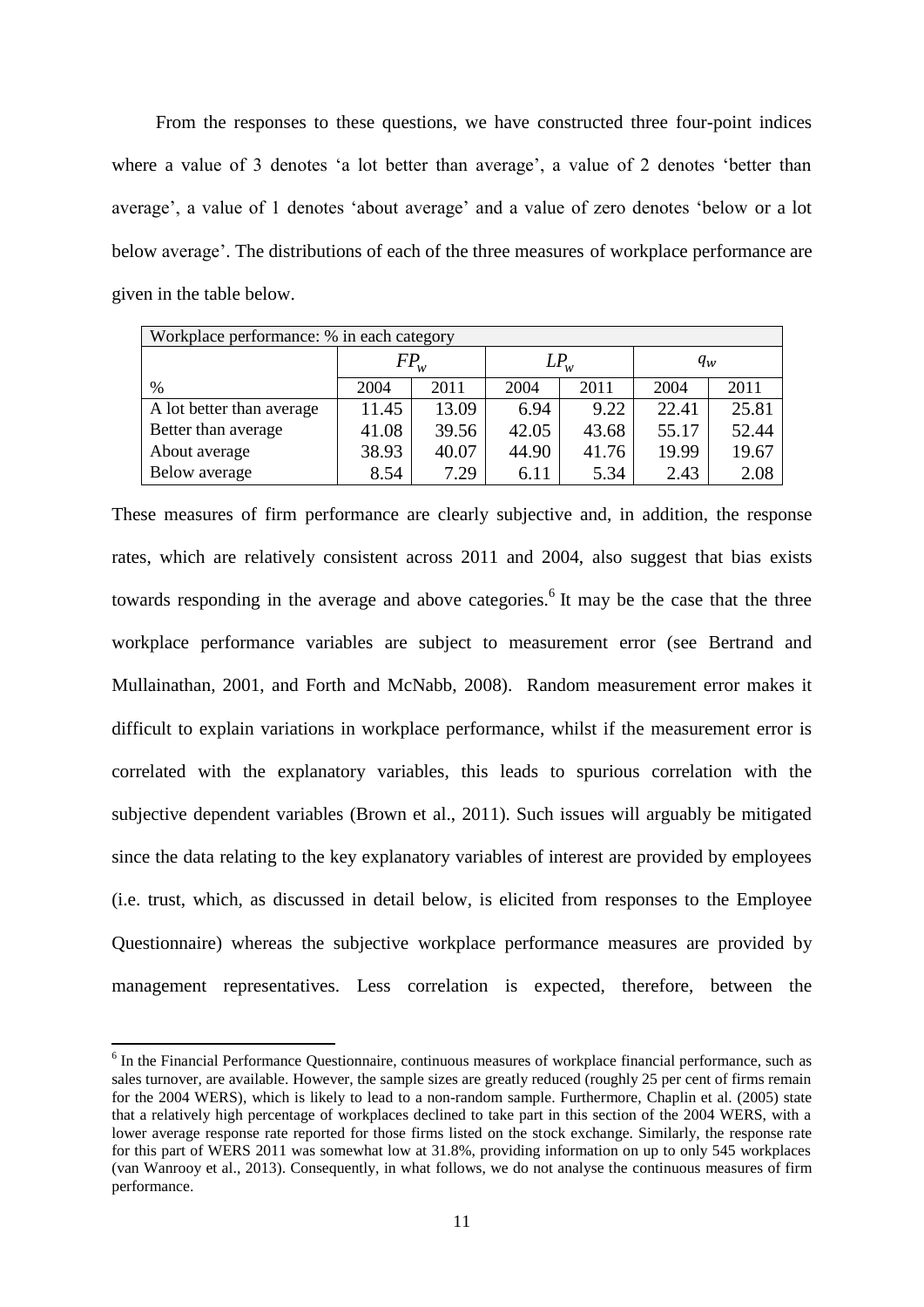From the responses to these questions, we have constructed three four-point indices where a value of 3 denotes 'a lot better than average', a value of 2 denotes 'better than average', a value of 1 denotes 'about average' and a value of zero denotes 'below or a lot below average'. The distributions of each of the three measures of workplace performance are given in the table below.

| Workplace performance: % in each category |          |       |          |       |       |       |
|-------------------------------------------|----------|-------|----------|-------|-------|-------|
|                                           | $FP_{w}$ |       | $LP_{w}$ |       | $q_w$ |       |
| $\%$                                      | 2004     | 2011  | 2004     | 2011  | 2004  | 2011  |
| A lot better than average                 | 11.45    | 13.09 | 6.94     | 9.22  | 22.41 | 25.81 |
| Better than average                       | 41.08    | 39.56 | 42.05    | 43.68 | 55.17 | 52.44 |
| About average                             | 38.93    | 40.07 | 44.90    | 41.76 | 19.99 | 19.67 |
| Below average                             | 8.54     | 7.29  | 6.11     | 5.34  | 2.43  | 2.08  |

These measures of firm performance are clearly subjective and, in addition, the response rates, which are relatively consistent across 2011 and 2004, also suggest that bias exists towards responding in the average and above categories.<sup>6</sup> It may be the case that the three workplace performance variables are subject to measurement error (see Bertrand and Mullainathan, 2001, and Forth and McNabb, 2008). Random measurement error makes it difficult to explain variations in workplace performance, whilst if the measurement error is correlated with the explanatory variables, this leads to spurious correlation with the subjective dependent variables (Brown et al., 2011). Such issues will arguably be mitigated since the data relating to the key explanatory variables of interest are provided by employees (i.e. trust, which, as discussed in detail below, is elicited from responses to the Employee Questionnaire) whereas the subjective workplace performance measures are provided by management representatives. Less correlation is expected, therefore, between the

<sup>&</sup>lt;sup>6</sup> In the Financial Performance Questionnaire, continuous measures of workplace financial performance, such as sales turnover, are available. However, the sample sizes are greatly reduced (roughly 25 per cent of firms remain for the 2004 WERS), which is likely to lead to a non-random sample. Furthermore, Chaplin et al. (2005) state that a relatively high percentage of workplaces declined to take part in this section of the 2004 WERS, with a lower average response rate reported for those firms listed on the stock exchange. Similarly, the response rate for this part of WERS 2011 was somewhat low at 31.8%, providing information on up to only 545 workplaces (van Wanrooy et al., 2013). Consequently, in what follows, we do not analyse the continuous measures of firm performance.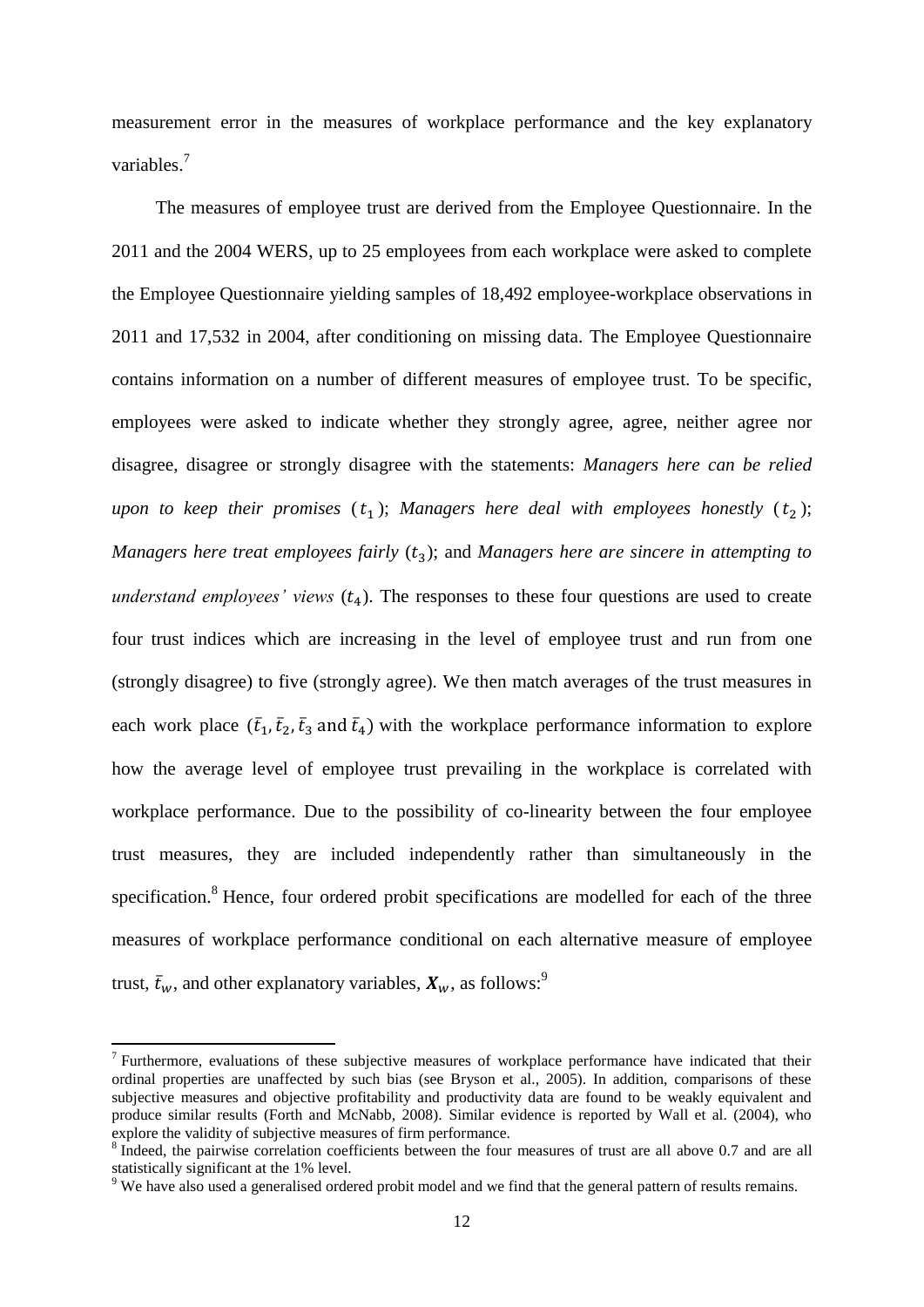measurement error in the measures of workplace performance and the key explanatory variables<sup>7</sup>

The measures of employee trust are derived from the Employee Questionnaire. In the 2011 and the 2004 WERS, up to 25 employees from each workplace were asked to complete the Employee Questionnaire yielding samples of 18,492 employee-workplace observations in 2011 and 17,532 in 2004, after conditioning on missing data. The Employee Questionnaire contains information on a number of different measures of employee trust. To be specific, employees were asked to indicate whether they strongly agree, agree, neither agree nor disagree, disagree or strongly disagree with the statements: *Managers here can be relied upon to keep their promises*  $(t_1)$ ; *Managers here deal with employees honestly*  $(t_2)$ ; *Managers here treat employees fairly* ( $t_3$ ); and *Managers here are sincere in attempting to understand employees' views*  $(t_4)$ . The responses to these four questions are used to create four trust indices which are increasing in the level of employee trust and run from one (strongly disagree) to five (strongly agree). We then match averages of the trust measures in each work place  $(\bar{t}_1, \bar{t}_2, \bar{t}_3, \bar{t}_4)$  with the workplace performance information to explore how the average level of employee trust prevailing in the workplace is correlated with workplace performance. Due to the possibility of co-linearity between the four employee trust measures, they are included independently rather than simultaneously in the specification.<sup>8</sup> Hence, four ordered probit specifications are modelled for each of the three measures of workplace performance conditional on each alternative measure of employee trust,  $\bar{t}_w$ , and other explanatory variables,  $X_w$ , as follows:<sup>9</sup>

<sup>&</sup>lt;sup>7</sup> Furthermore, evaluations of these subjective measures of workplace performance have indicated that their ordinal properties are unaffected by such bias (see Bryson et al., 2005). In addition, comparisons of these subjective measures and objective profitability and productivity data are found to be weakly equivalent and produce similar results (Forth and McNabb, 2008). Similar evidence is reported by Wall et al. (2004), who explore the validity of subjective measures of firm performance.

<sup>8</sup> Indeed, the pairwise correlation coefficients between the four measures of trust are all above 0.7 and are all statistically significant at the 1% level.

<sup>&</sup>lt;sup>9</sup> We have also used a generalised ordered probit model and we find that the general pattern of results remains.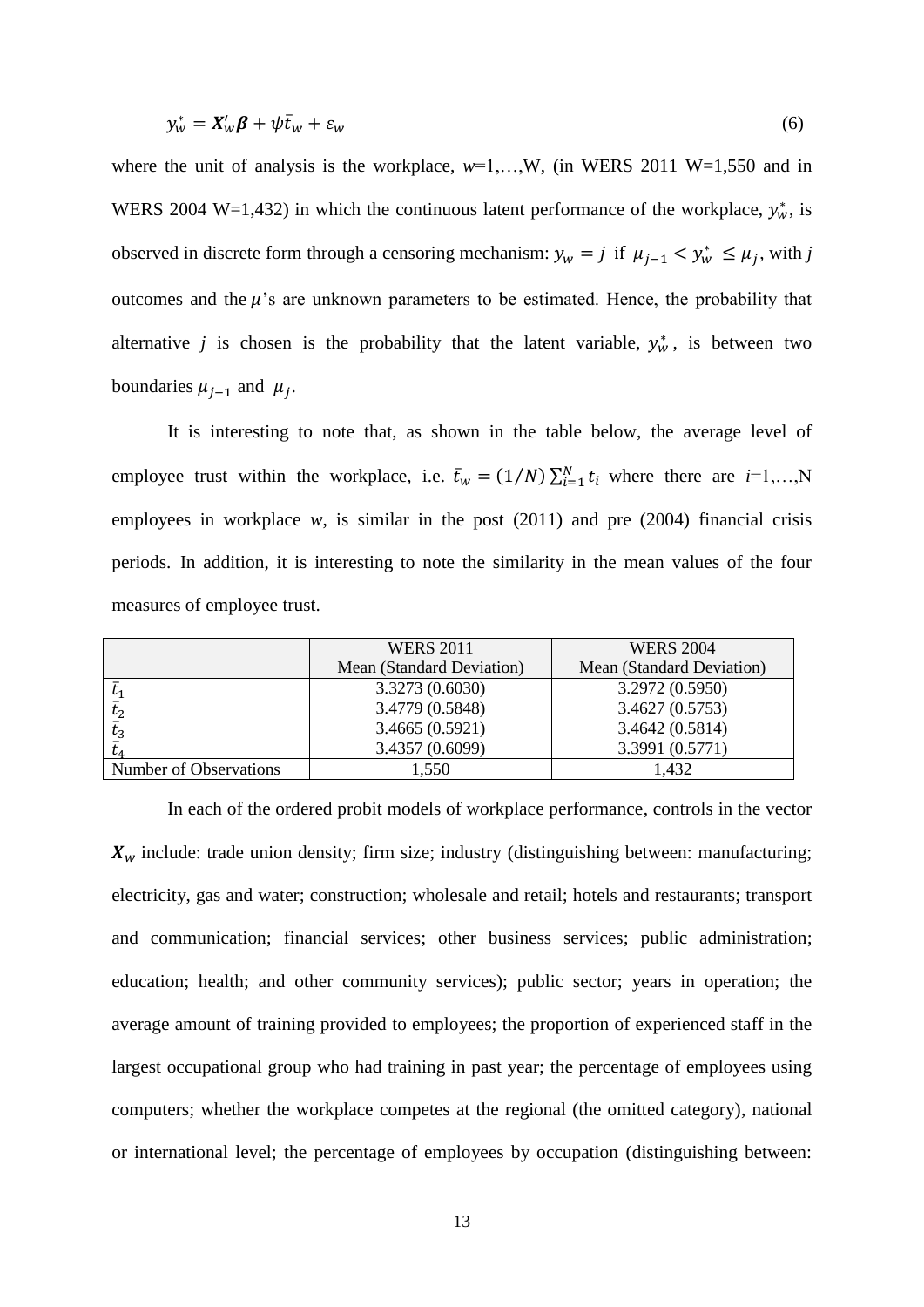$$
y_w^* = X_w' \beta + \psi \bar{t}_w + \varepsilon_w \tag{6}
$$

where the unit of analysis is the workplace,  $w=1,...,W$ , (in WERS 2011 W=1,550 and in WERS 2004 W=1,432) in which the continuous latent performance of the workplace,  $y_w^*$ , is observed in discrete form through a censoring mechanism:  $y_w = j$  if  $\mu_{i-1} < y_w^* \leq \mu_i$ , with j outcomes and the  $\mu$ 's are unknown parameters to be estimated. Hence, the probability that alternative *j* is chosen is the probability that the latent variable,  $y_w^*$ , is between two boundaries  $\mu_{i-1}$  and  $\mu_i$ .

It is interesting to note that, as shown in the table below, the average level of employee trust within the workplace, i.e.  $\bar{t}_w = (1/N) \sum_{i=1}^N t_i$  where there are  $i=1,...,N$ employees in workplace  $w$ , is similar in the post  $(2011)$  and pre  $(2004)$  financial crisis periods. In addition, it is interesting to note the similarity in the mean values of the four measures of employee trust.

|                        | <b>WERS 2011</b>          | <b>WERS 2004</b>          |
|------------------------|---------------------------|---------------------------|
|                        | Mean (Standard Deviation) | Mean (Standard Deviation) |
|                        | 3.3273 (0.6030)           | 3.2972 (0.5950)           |
| $t_2$                  | 3.4779 (0.5848)           | 3.4627 (0.5753)           |
| $t_{\rm a}$            | 3.4665(0.5921)            | 3.4642 (0.5814)           |
|                        | 3.4357 (0.6099)           | 3.3991 (0.5771)           |
| Number of Observations | 1.550                     | l.432                     |

In each of the ordered probit models of workplace performance, controls in the vector  $X_w$  include: trade union density; firm size; industry (distinguishing between: manufacturing; electricity, gas and water; construction; wholesale and retail; hotels and restaurants; transport and communication; financial services; other business services; public administration; education; health; and other community services); public sector; years in operation; the average amount of training provided to employees; the proportion of experienced staff in the largest occupational group who had training in past year; the percentage of employees using computers; whether the workplace competes at the regional (the omitted category), national or international level; the percentage of employees by occupation (distinguishing between: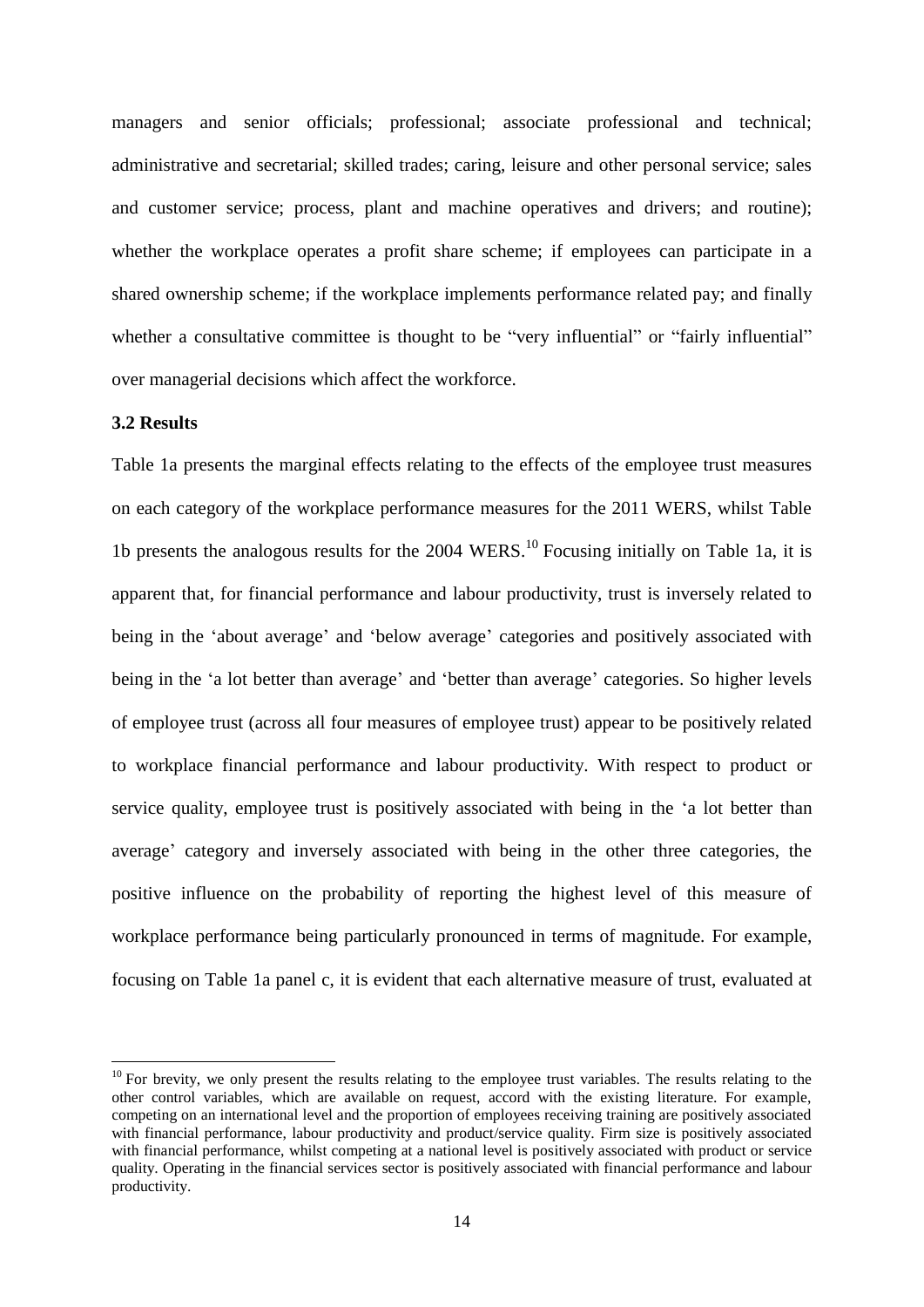managers and senior officials; professional; associate professional and technical; administrative and secretarial; skilled trades; caring, leisure and other personal service; sales and customer service; process, plant and machine operatives and drivers; and routine); whether the workplace operates a profit share scheme; if employees can participate in a shared ownership scheme; if the workplace implements performance related pay; and finally whether a consultative committee is thought to be "very influential" or "fairly influential" over managerial decisions which affect the workforce.

#### **3.2 Results**

**.** 

Table 1a presents the marginal effects relating to the effects of the employee trust measures on each category of the workplace performance measures for the 2011 WERS, whilst Table 1b presents the analogous results for the 2004 WERS.<sup>10</sup> Focusing initially on Table 1a, it is apparent that, for financial performance and labour productivity, trust is inversely related to being in the 'about average' and 'below average' categories and positively associated with being in the 'a lot better than average' and 'better than average' categories. So higher levels of employee trust (across all four measures of employee trust) appear to be positively related to workplace financial performance and labour productivity. With respect to product or service quality, employee trust is positively associated with being in the 'a lot better than average' category and inversely associated with being in the other three categories, the positive influence on the probability of reporting the highest level of this measure of workplace performance being particularly pronounced in terms of magnitude. For example, focusing on Table 1a panel c, it is evident that each alternative measure of trust, evaluated at

 $10$  For brevity, we only present the results relating to the employee trust variables. The results relating to the other control variables, which are available on request, accord with the existing literature. For example, competing on an international level and the proportion of employees receiving training are positively associated with financial performance, labour productivity and product/service quality. Firm size is positively associated with financial performance, whilst competing at a national level is positively associated with product or service quality. Operating in the financial services sector is positively associated with financial performance and labour productivity.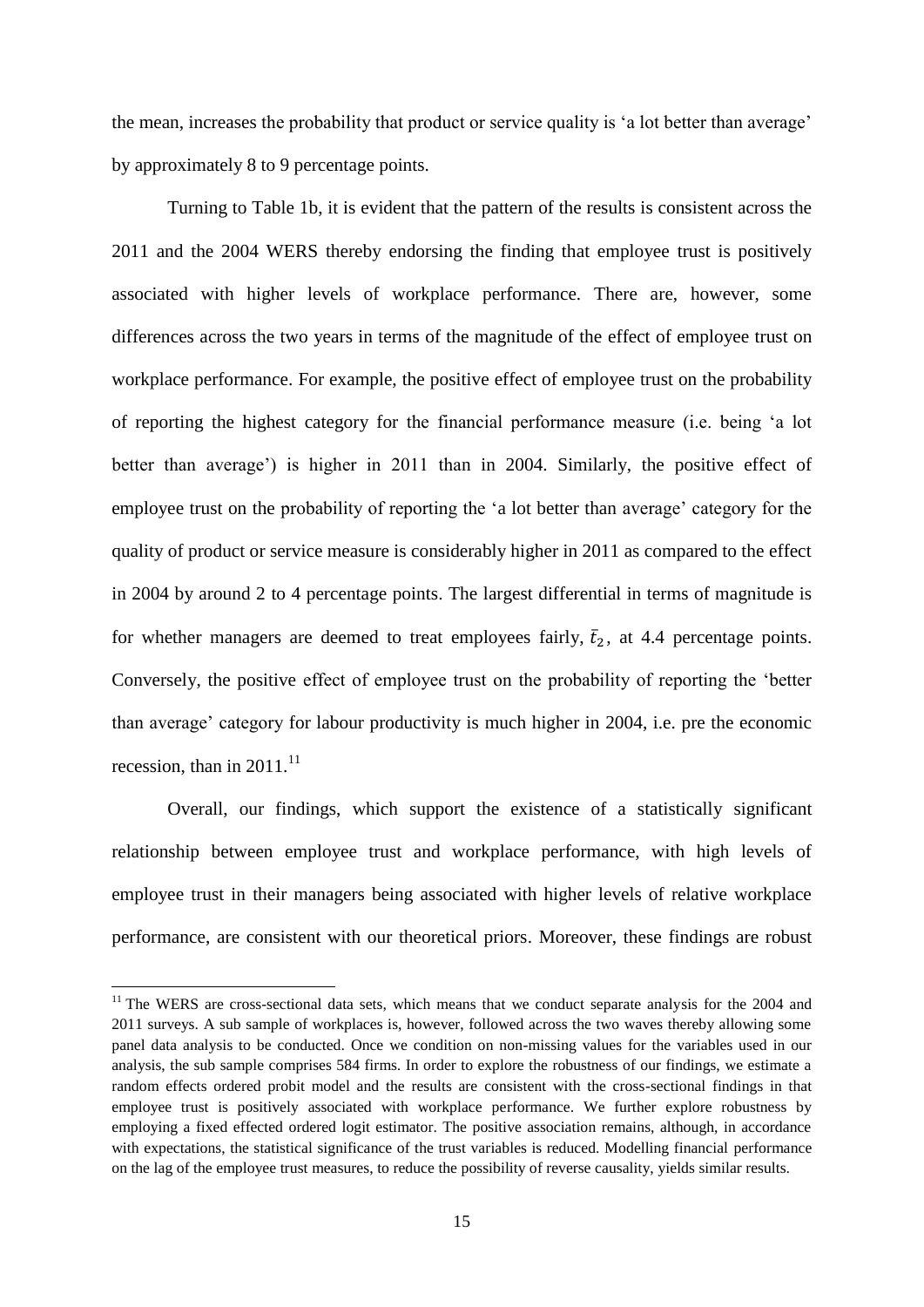the mean, increases the probability that product or service quality is 'a lot better than average' by approximately 8 to 9 percentage points.

Turning to Table 1b, it is evident that the pattern of the results is consistent across the 2011 and the 2004 WERS thereby endorsing the finding that employee trust is positively associated with higher levels of workplace performance. There are, however, some differences across the two years in terms of the magnitude of the effect of employee trust on workplace performance. For example, the positive effect of employee trust on the probability of reporting the highest category for the financial performance measure (i.e. being 'a lot better than average') is higher in 2011 than in 2004. Similarly, the positive effect of employee trust on the probability of reporting the 'a lot better than average' category for the quality of product or service measure is considerably higher in 2011 as compared to the effect in 2004 by around 2 to 4 percentage points. The largest differential in terms of magnitude is for whether managers are deemed to treat employees fairly,  $\bar{t}_2$ , at 4.4 percentage points. Conversely, the positive effect of employee trust on the probability of reporting the 'better than average' category for labour productivity is much higher in 2004, i.e. pre the economic recession, than in 2011.<sup>11</sup>

Overall, our findings, which support the existence of a statistically significant relationship between employee trust and workplace performance, with high levels of employee trust in their managers being associated with higher levels of relative workplace performance, are consistent with our theoretical priors. Moreover, these findings are robust

1

<sup>&</sup>lt;sup>11</sup> The WERS are cross-sectional data sets, which means that we conduct separate analysis for the 2004 and 2011 surveys. A sub sample of workplaces is, however, followed across the two waves thereby allowing some panel data analysis to be conducted. Once we condition on non-missing values for the variables used in our analysis, the sub sample comprises 584 firms. In order to explore the robustness of our findings, we estimate a random effects ordered probit model and the results are consistent with the cross-sectional findings in that employee trust is positively associated with workplace performance. We further explore robustness by employing a fixed effected ordered logit estimator. The positive association remains, although, in accordance with expectations, the statistical significance of the trust variables is reduced. Modelling financial performance on the lag of the employee trust measures, to reduce the possibility of reverse causality, yields similar results.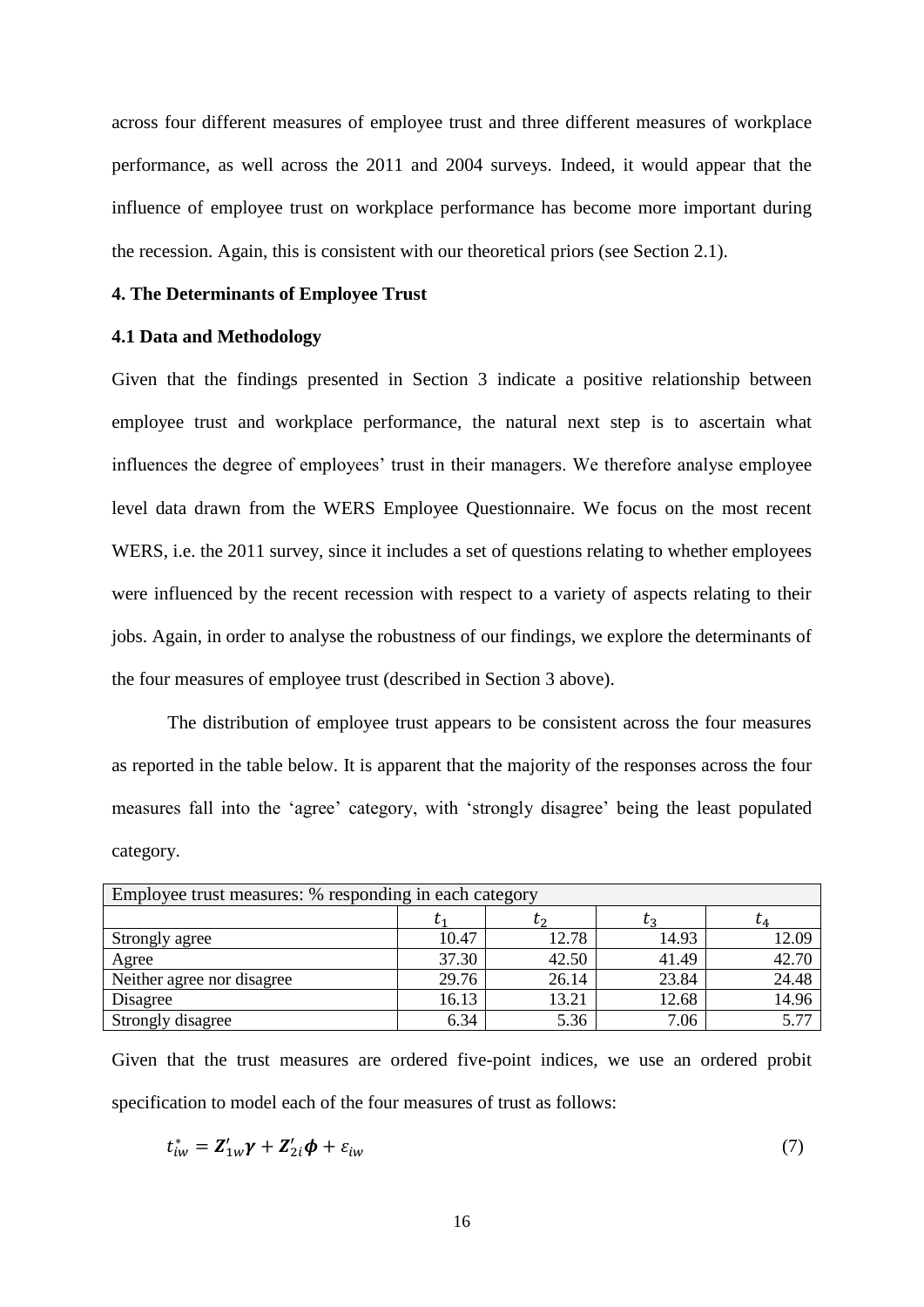across four different measures of employee trust and three different measures of workplace performance, as well across the 2011 and 2004 surveys. Indeed, it would appear that the influence of employee trust on workplace performance has become more important during the recession. Again, this is consistent with our theoretical priors (see Section 2.1).

#### **4. The Determinants of Employee Trust**

### **4.1 Data and Methodology**

Given that the findings presented in Section 3 indicate a positive relationship between employee trust and workplace performance, the natural next step is to ascertain what influences the degree of employees' trust in their managers. We therefore analyse employee level data drawn from the WERS Employee Questionnaire. We focus on the most recent WERS, i.e. the 2011 survey, since it includes a set of questions relating to whether employees were influenced by the recent recession with respect to a variety of aspects relating to their jobs. Again, in order to analyse the robustness of our findings, we explore the determinants of the four measures of employee trust (described in Section 3 above).

The distribution of employee trust appears to be consistent across the four measures as reported in the table below. It is apparent that the majority of the responses across the four measures fall into the 'agree' category, with 'strongly disagree' being the least populated category.

| Employee trust measures: % responding in each category |       |       |       |           |
|--------------------------------------------------------|-------|-------|-------|-----------|
|                                                        |       | レっ    |       | $\iota_A$ |
| Strongly agree                                         | 10.47 | 12.78 | 14.93 | 12.09     |
| Agree                                                  | 37.30 | 42.50 | 41.49 | 42.70     |
| Neither agree nor disagree                             | 29.76 | 26.14 | 23.84 | 24.48     |
| Disagree                                               | 16.13 | 13.21 | 12.68 | 14.96     |
| Strongly disagree                                      | 6.34  | 5.36  | 7.06  | 5.77      |

Given that the trust measures are ordered five-point indices, we use an ordered probit specification to model each of the four measures of trust as follows:

$$
t_{iw}^* = \mathbf{Z}_{1w}'\mathbf{\gamma} + \mathbf{Z}_{2i}'\mathbf{\phi} + \varepsilon_{iw}
$$
\n<sup>(7)</sup>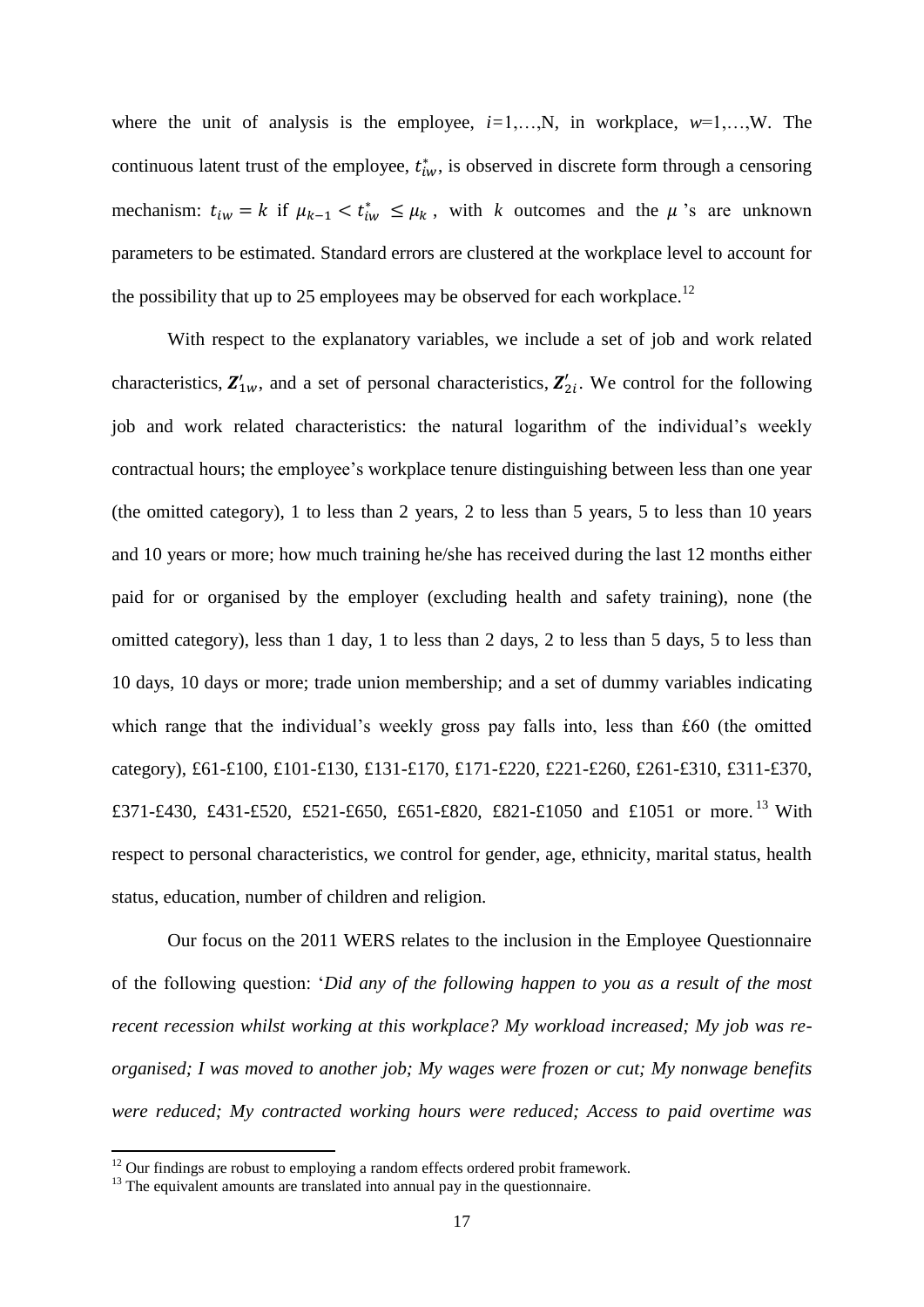where the unit of analysis is the employee,  $i=1,...,N$ , in workplace,  $w=1,...,W$ . The continuous latent trust of the employee,  $t_{iw}^*$ , is observed in discrete form through a censoring mechanism:  $t_{iw} = k$  if  $\mu_{k-1} < t_{iw}^* \leq \mu_k$ , with k outcomes and the  $\mu$ 's are unknown parameters to be estimated. Standard errors are clustered at the workplace level to account for the possibility that up to 25 employees may be observed for each workplace.<sup>12</sup>

With respect to the explanatory variables, we include a set of job and work related characteristics,  $\mathbf{Z}_{1w}^{\prime}$ , and a set of personal characteristics,  $\mathbf{Z}_{2i}^{\prime}$ . We control for the following job and work related characteristics: the natural logarithm of the individual's weekly contractual hours; the employee's workplace tenure distinguishing between less than one year (the omitted category), 1 to less than 2 years, 2 to less than 5 years, 5 to less than 10 years and 10 years or more; how much training he/she has received during the last 12 months either paid for or organised by the employer (excluding health and safety training), none (the omitted category), less than 1 day, 1 to less than 2 days, 2 to less than 5 days, 5 to less than 10 days, 10 days or more; trade union membership; and a set of dummy variables indicating which range that the individual's weekly gross pay falls into, less than £60 (the omitted category), £61-£100, £101-£130, £131-£170, £171-£220, £221-£260, £261-£310, £311-£370, £371-£430, £431-£520, £521-£650, £651-£820, £821-£1050 and £1051 or more.<sup>13</sup> With respect to personal characteristics, we control for gender, age, ethnicity, marital status, health status, education, number of children and religion.

Our focus on the 2011 WERS relates to the inclusion in the Employee Questionnaire of the following question: '*Did any of the following happen to you as a result of the most recent recession whilst working at this workplace? My workload increased; My job was reorganised; I was moved to another job; My wages were frozen or cut; My nonwage benefits were reduced; My contracted working hours were reduced; Access to paid overtime was* 

 $12$  Our findings are robust to employing a random effects ordered probit framework.

<sup>&</sup>lt;sup>13</sup> The equivalent amounts are translated into annual pay in the questionnaire.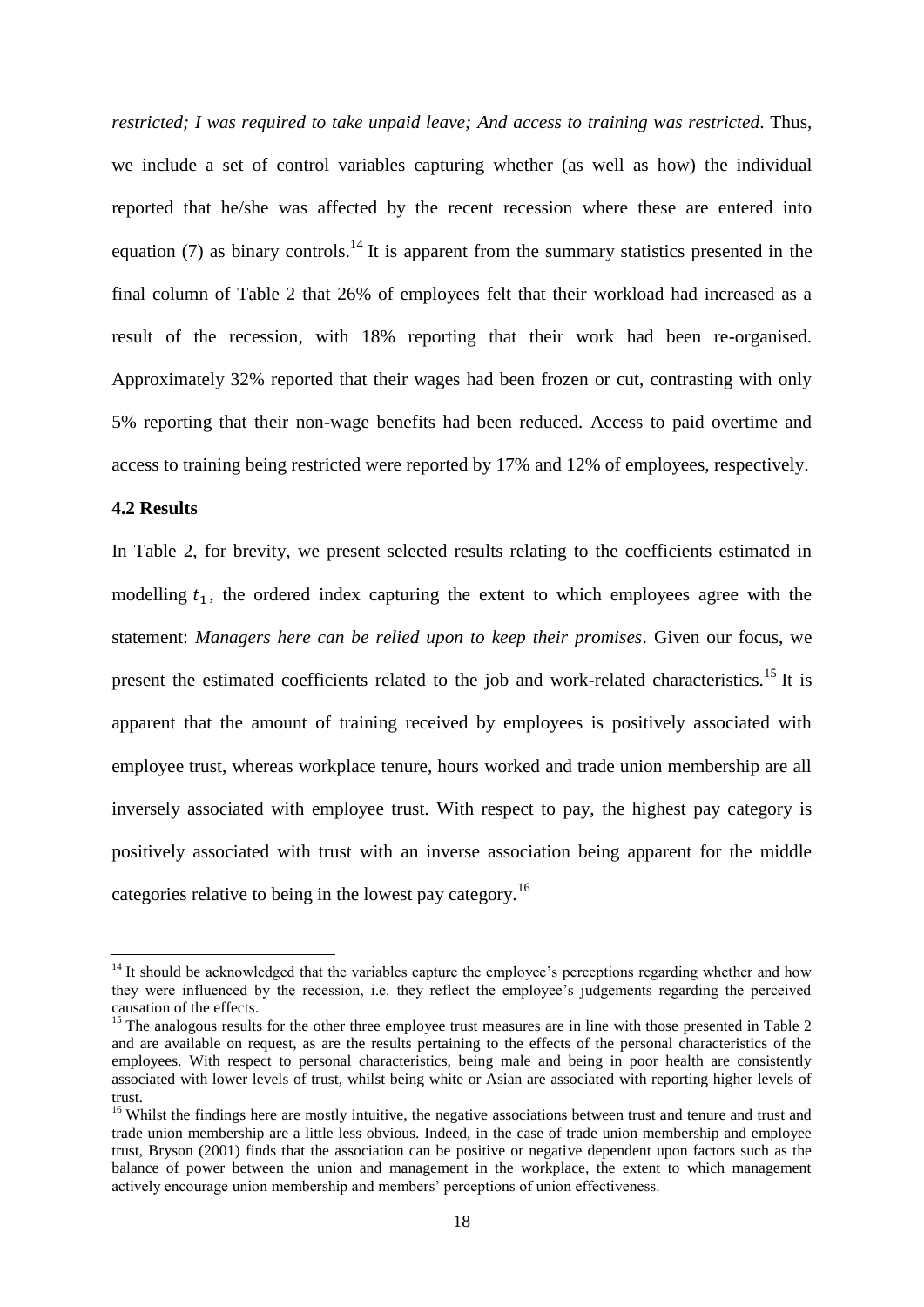*restricted; I was required to take unpaid leave; And access to training was restricted*. Thus, we include a set of control variables capturing whether (as well as how) the individual reported that he/she was affected by the recent recession where these are entered into equation (7) as binary controls.<sup>14</sup> It is apparent from the summary statistics presented in the final column of Table 2 that 26% of employees felt that their workload had increased as a result of the recession, with 18% reporting that their work had been re-organised. Approximately 32% reported that their wages had been frozen or cut, contrasting with only 5% reporting that their non-wage benefits had been reduced. Access to paid overtime and access to training being restricted were reported by 17% and 12% of employees, respectively.

#### **4.2 Results**

 $\overline{a}$ 

In Table 2, for brevity, we present selected results relating to the coefficients estimated in modelling  $t_1$ , the ordered index capturing the extent to which employees agree with the statement: *Managers here can be relied upon to keep their promises*. Given our focus, we present the estimated coefficients related to the job and work-related characteristics.<sup>15</sup> It is apparent that the amount of training received by employees is positively associated with employee trust, whereas workplace tenure, hours worked and trade union membership are all inversely associated with employee trust. With respect to pay, the highest pay category is positively associated with trust with an inverse association being apparent for the middle categories relative to being in the lowest pay category.<sup>16</sup>

<sup>&</sup>lt;sup>14</sup> It should be acknowledged that the variables capture the employee's perceptions regarding whether and how they were influenced by the recession, i.e. they reflect the employee's judgements regarding the perceived causation of the effects.

<sup>&</sup>lt;sup>15</sup> The analogous results for the other three employee trust measures are in line with those presented in Table 2 and are available on request, as are the results pertaining to the effects of the personal characteristics of the employees. With respect to personal characteristics, being male and being in poor health are consistently associated with lower levels of trust, whilst being white or Asian are associated with reporting higher levels of trust.

<sup>&</sup>lt;sup>16</sup> Whilst the findings here are mostly intuitive, the negative associations between trust and tenure and trust and trade union membership are a little less obvious. Indeed, in the case of trade union membership and employee trust, Bryson (2001) finds that the association can be positive or negative dependent upon factors such as the balance of power between the union and management in the workplace, the extent to which management actively encourage union membership and members' perceptions of union effectiveness.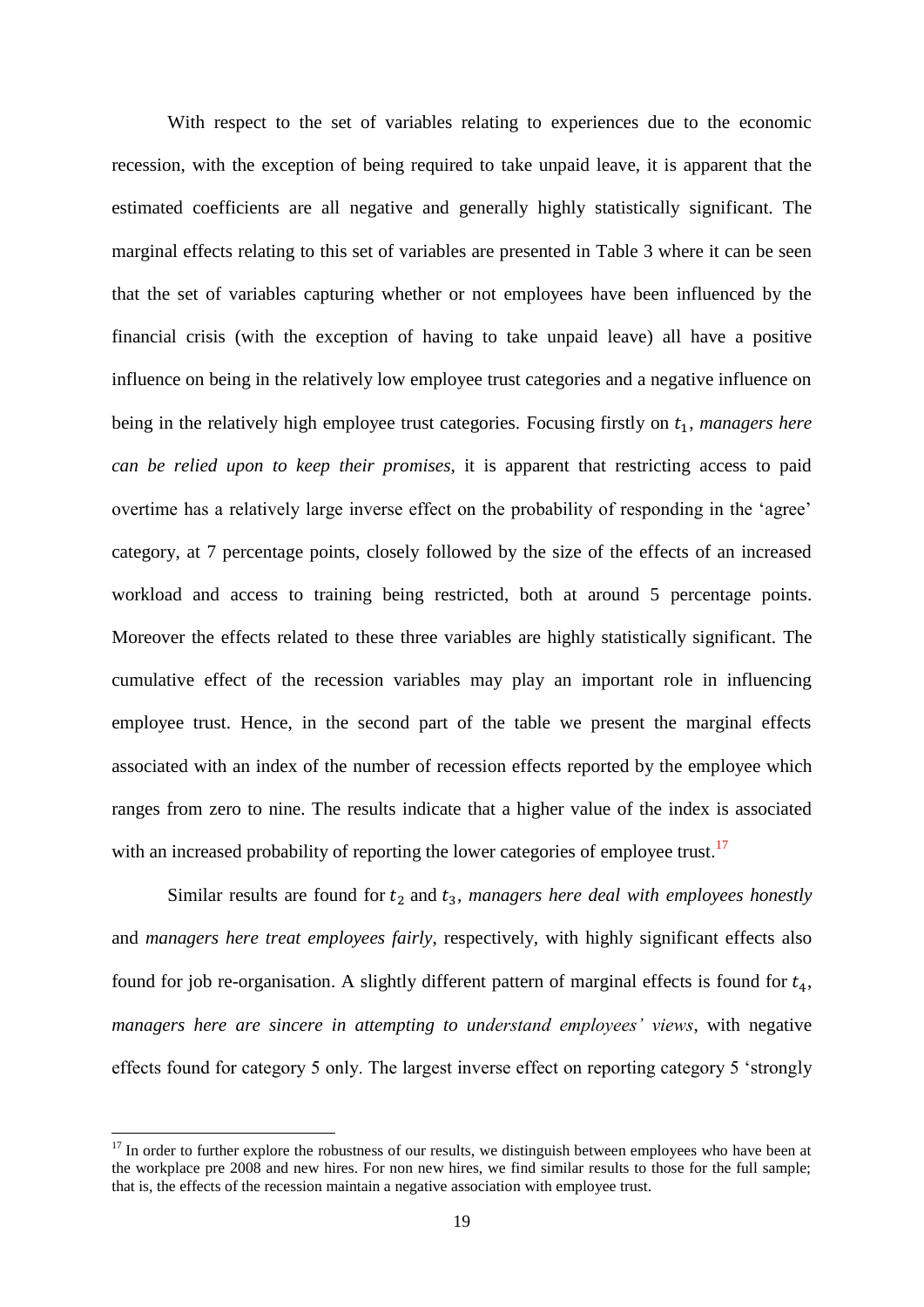With respect to the set of variables relating to experiences due to the economic recession, with the exception of being required to take unpaid leave, it is apparent that the estimated coefficients are all negative and generally highly statistically significant. The marginal effects relating to this set of variables are presented in Table 3 where it can be seen that the set of variables capturing whether or not employees have been influenced by the financial crisis (with the exception of having to take unpaid leave) all have a positive influence on being in the relatively low employee trust categories and a negative influence on being in the relatively high employee trust categories. Focusing firstly on  $t<sub>1</sub>$ , *managers here can be relied upon to keep their promises*, it is apparent that restricting access to paid overtime has a relatively large inverse effect on the probability of responding in the 'agree' category, at 7 percentage points, closely followed by the size of the effects of an increased workload and access to training being restricted, both at around 5 percentage points. Moreover the effects related to these three variables are highly statistically significant. The cumulative effect of the recession variables may play an important role in influencing employee trust. Hence, in the second part of the table we present the marginal effects associated with an index of the number of recession effects reported by the employee which ranges from zero to nine. The results indicate that a higher value of the index is associated with an increased probability of reporting the lower categories of employee trust.<sup>17</sup>

Similar results are found for  $t_2$  and  $t_3$ , *managers here deal with employees honestly* and *managers here treat employees fairly*, respectively, with highly significant effects also found for job re-organisation. A slightly different pattern of marginal effects is found for  $t_4$ , *managers here are sincere in attempting to understand employees' views*, with negative effects found for category 5 only. The largest inverse effect on reporting category 5 'strongly

1

 $17$  In order to further explore the robustness of our results, we distinguish between employees who have been at the workplace pre 2008 and new hires. For non new hires, we find similar results to those for the full sample; that is, the effects of the recession maintain a negative association with employee trust.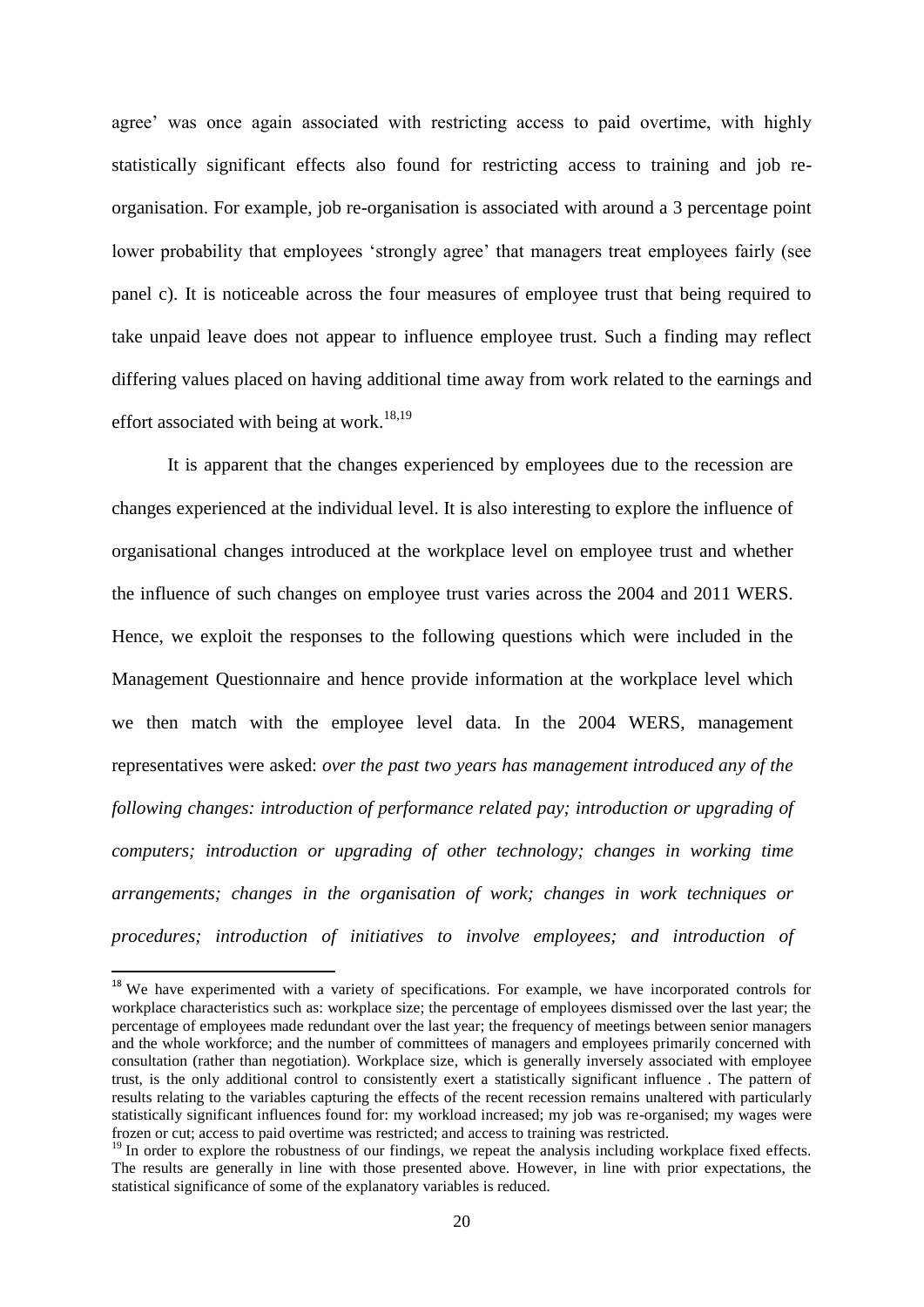agree' was once again associated with restricting access to paid overtime, with highly statistically significant effects also found for restricting access to training and job reorganisation. For example, job re-organisation is associated with around a 3 percentage point lower probability that employees 'strongly agree' that managers treat employees fairly (see panel c). It is noticeable across the four measures of employee trust that being required to take unpaid leave does not appear to influence employee trust. Such a finding may reflect differing values placed on having additional time away from work related to the earnings and effort associated with being at work.<sup>18,19</sup>

It is apparent that the changes experienced by employees due to the recession are changes experienced at the individual level. It is also interesting to explore the influence of organisational changes introduced at the workplace level on employee trust and whether the influence of such changes on employee trust varies across the 2004 and 2011 WERS. Hence, we exploit the responses to the following questions which were included in the Management Questionnaire and hence provide information at the workplace level which we then match with the employee level data. In the 2004 WERS, management representatives were asked: *over the past two years has management introduced any of the following changes: introduction of performance related pay; introduction or upgrading of computers; introduction or upgrading of other technology; changes in working time arrangements; changes in the organisation of work; changes in work techniques or procedures; introduction of initiatives to involve employees; and introduction of* 

1

<sup>&</sup>lt;sup>18</sup> We have experimented with a variety of specifications. For example, we have incorporated controls for workplace characteristics such as: workplace size; the percentage of employees dismissed over the last year; the percentage of employees made redundant over the last year; the frequency of meetings between senior managers and the whole workforce; and the number of committees of managers and employees primarily concerned with consultation (rather than negotiation). Workplace size, which is generally inversely associated with employee trust, is the only additional control to consistently exert a statistically significant influence . The pattern of results relating to the variables capturing the effects of the recent recession remains unaltered with particularly statistically significant influences found for: my workload increased; my job was re-organised; my wages were frozen or cut; access to paid overtime was restricted; and access to training was restricted.

<sup>&</sup>lt;sup>19</sup> In order to explore the robustness of our findings, we repeat the analysis including workplace fixed effects. The results are generally in line with those presented above. However, in line with prior expectations, the statistical significance of some of the explanatory variables is reduced.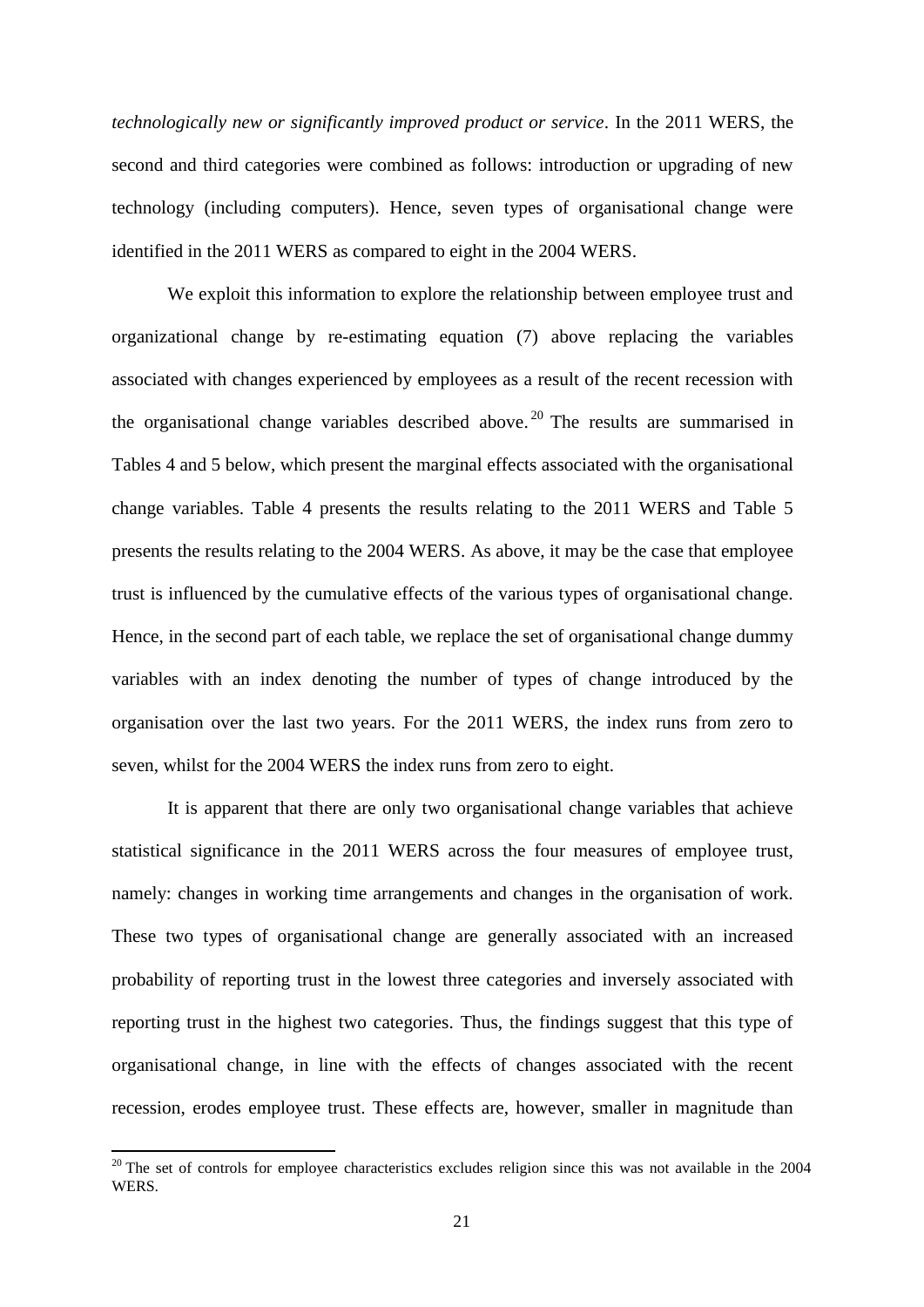*technologically new or significantly improved product or service*. In the 2011 WERS, the second and third categories were combined as follows: introduction or upgrading of new technology (including computers). Hence, seven types of organisational change were identified in the 2011 WERS as compared to eight in the 2004 WERS.

We exploit this information to explore the relationship between employee trust and organizational change by re-estimating equation (7) above replacing the variables associated with changes experienced by employees as a result of the recent recession with the organisational change variables described above. <sup>20</sup> The results are summarised in Tables 4 and 5 below, which present the marginal effects associated with the organisational change variables. Table 4 presents the results relating to the 2011 WERS and Table 5 presents the results relating to the 2004 WERS. As above, it may be the case that employee trust is influenced by the cumulative effects of the various types of organisational change. Hence, in the second part of each table, we replace the set of organisational change dummy variables with an index denoting the number of types of change introduced by the organisation over the last two years. For the 2011 WERS, the index runs from zero to seven, whilst for the 2004 WERS the index runs from zero to eight.

It is apparent that there are only two organisational change variables that achieve statistical significance in the 2011 WERS across the four measures of employee trust, namely: changes in working time arrangements and changes in the organisation of work. These two types of organisational change are generally associated with an increased probability of reporting trust in the lowest three categories and inversely associated with reporting trust in the highest two categories. Thus, the findings suggest that this type of organisational change, in line with the effects of changes associated with the recent recession, erodes employee trust. These effects are, however, smaller in magnitude than

 $20$  The set of controls for employee characteristics excludes religion since this was not available in the 2004 **WERS**.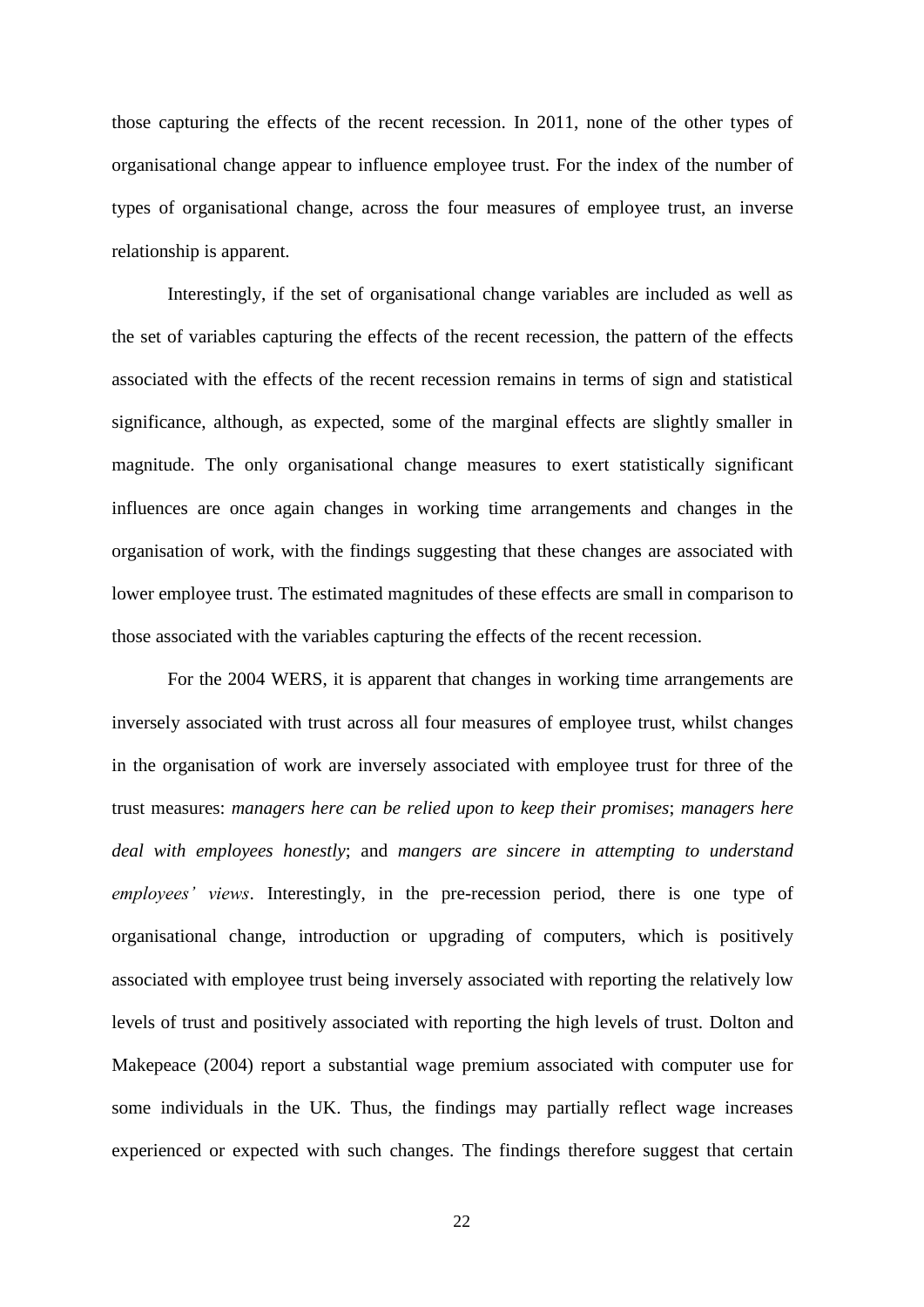those capturing the effects of the recent recession. In 2011, none of the other types of organisational change appear to influence employee trust. For the index of the number of types of organisational change, across the four measures of employee trust, an inverse relationship is apparent.

Interestingly, if the set of organisational change variables are included as well as the set of variables capturing the effects of the recent recession, the pattern of the effects associated with the effects of the recent recession remains in terms of sign and statistical significance, although, as expected, some of the marginal effects are slightly smaller in magnitude. The only organisational change measures to exert statistically significant influences are once again changes in working time arrangements and changes in the organisation of work, with the findings suggesting that these changes are associated with lower employee trust. The estimated magnitudes of these effects are small in comparison to those associated with the variables capturing the effects of the recent recession.

For the 2004 WERS, it is apparent that changes in working time arrangements are inversely associated with trust across all four measures of employee trust, whilst changes in the organisation of work are inversely associated with employee trust for three of the trust measures: *managers here can be relied upon to keep their promises*; *managers here deal with employees honestly*; and *mangers are sincere in attempting to understand employees' views*. Interestingly, in the pre-recession period, there is one type of organisational change, introduction or upgrading of computers, which is positively associated with employee trust being inversely associated with reporting the relatively low levels of trust and positively associated with reporting the high levels of trust. Dolton and Makepeace (2004) report a substantial wage premium associated with computer use for some individuals in the UK. Thus, the findings may partially reflect wage increases experienced or expected with such changes. The findings therefore suggest that certain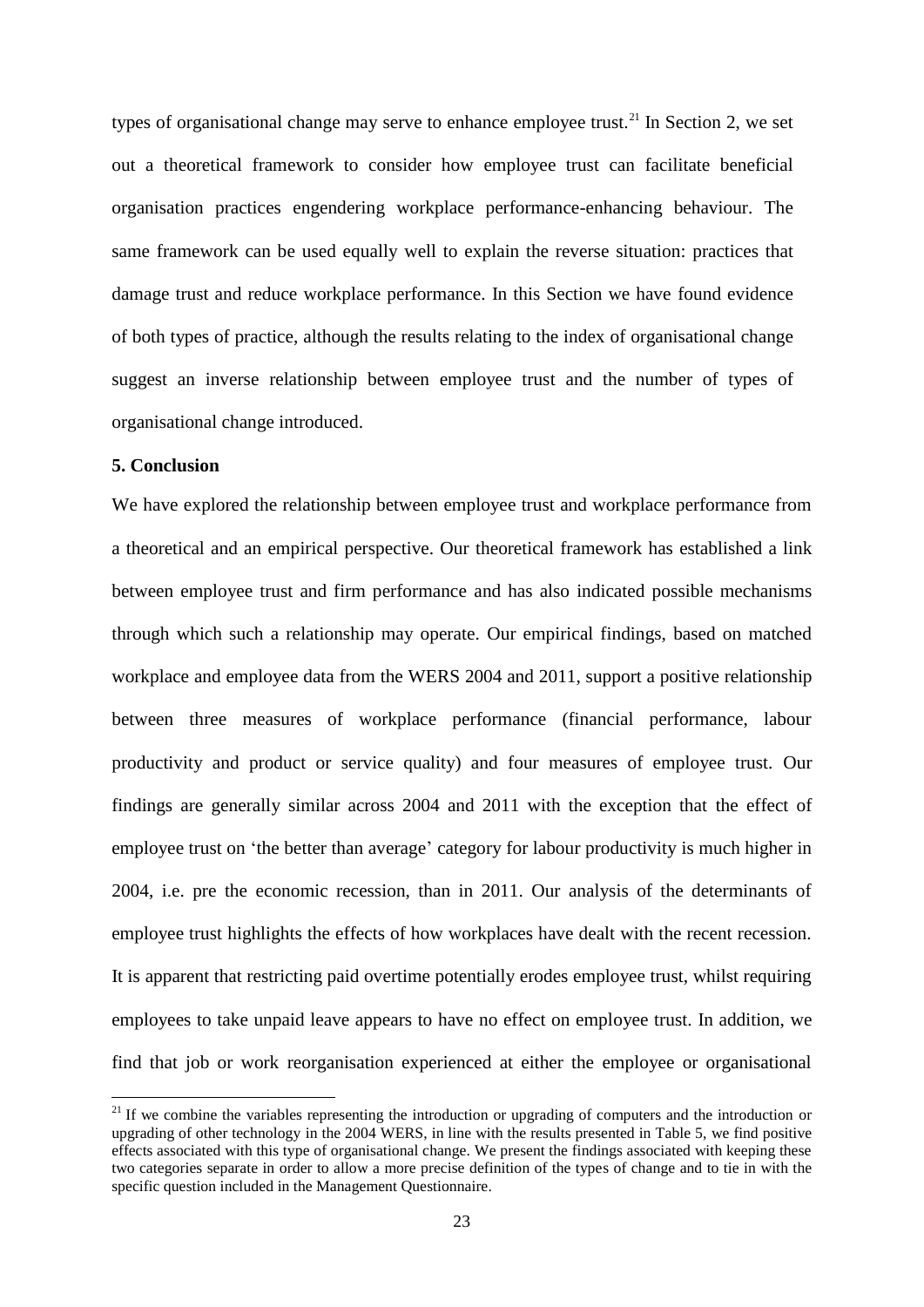types of organisational change may serve to enhance employee trust.<sup>21</sup> In Section 2, we set out a theoretical framework to consider how employee trust can facilitate beneficial organisation practices engendering workplace performance-enhancing behaviour. The same framework can be used equally well to explain the reverse situation: practices that damage trust and reduce workplace performance. In this Section we have found evidence of both types of practice, although the results relating to the index of organisational change suggest an inverse relationship between employee trust and the number of types of organisational change introduced.

### **5. Conclusion**

**.** 

We have explored the relationship between employee trust and workplace performance from a theoretical and an empirical perspective. Our theoretical framework has established a link between employee trust and firm performance and has also indicated possible mechanisms through which such a relationship may operate. Our empirical findings, based on matched workplace and employee data from the WERS 2004 and 2011, support a positive relationship between three measures of workplace performance (financial performance, labour productivity and product or service quality) and four measures of employee trust. Our findings are generally similar across 2004 and 2011 with the exception that the effect of employee trust on 'the better than average' category for labour productivity is much higher in 2004, i.e. pre the economic recession, than in 2011. Our analysis of the determinants of employee trust highlights the effects of how workplaces have dealt with the recent recession. It is apparent that restricting paid overtime potentially erodes employee trust, whilst requiring employees to take unpaid leave appears to have no effect on employee trust. In addition, we find that job or work reorganisation experienced at either the employee or organisational

 $21$  If we combine the variables representing the introduction or upgrading of computers and the introduction or upgrading of other technology in the 2004 WERS, in line with the results presented in Table 5, we find positive effects associated with this type of organisational change. We present the findings associated with keeping these two categories separate in order to allow a more precise definition of the types of change and to tie in with the specific question included in the Management Questionnaire.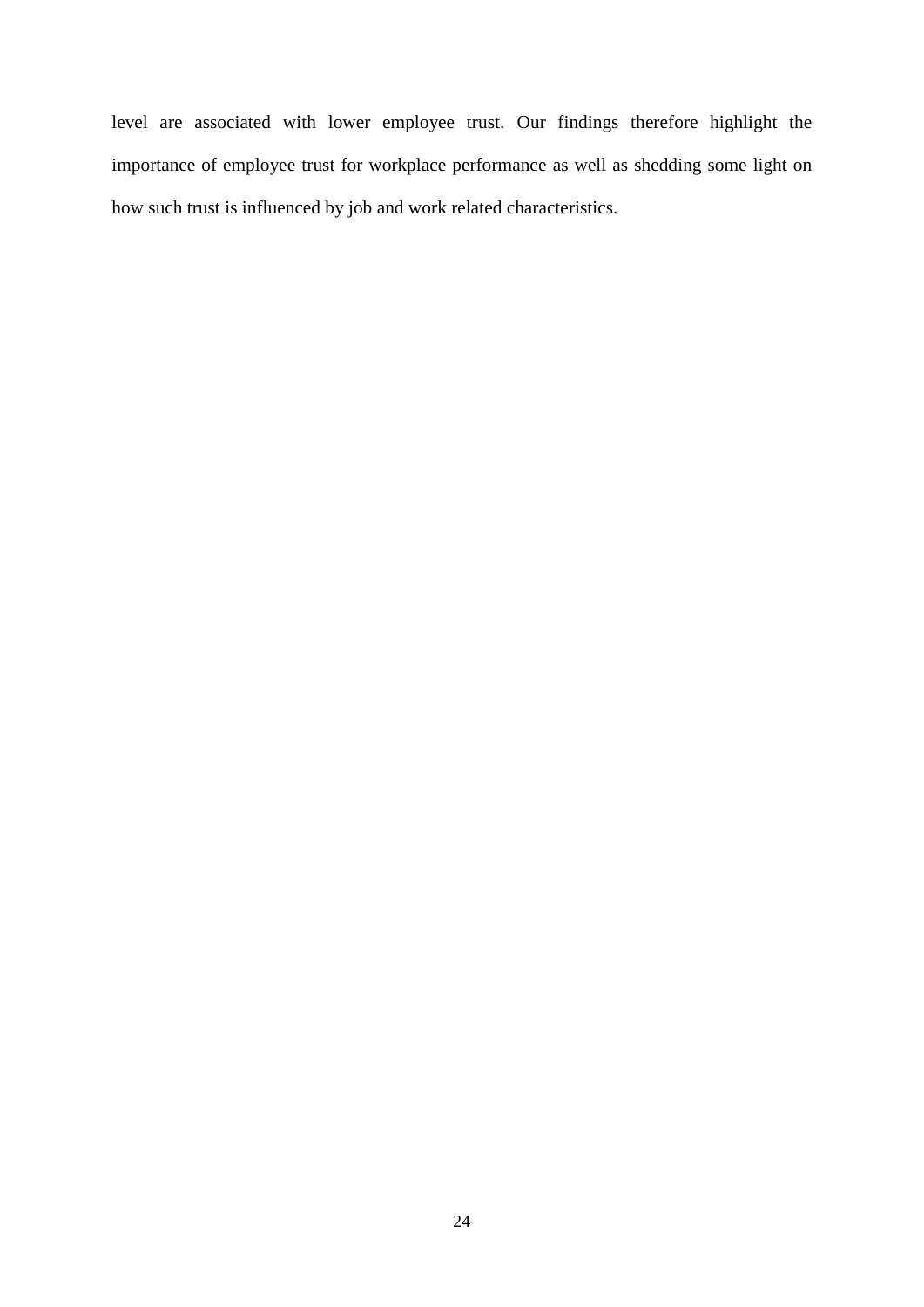level are associated with lower employee trust. Our findings therefore highlight the importance of employee trust for workplace performance as well as shedding some light on how such trust is influenced by job and work related characteristics.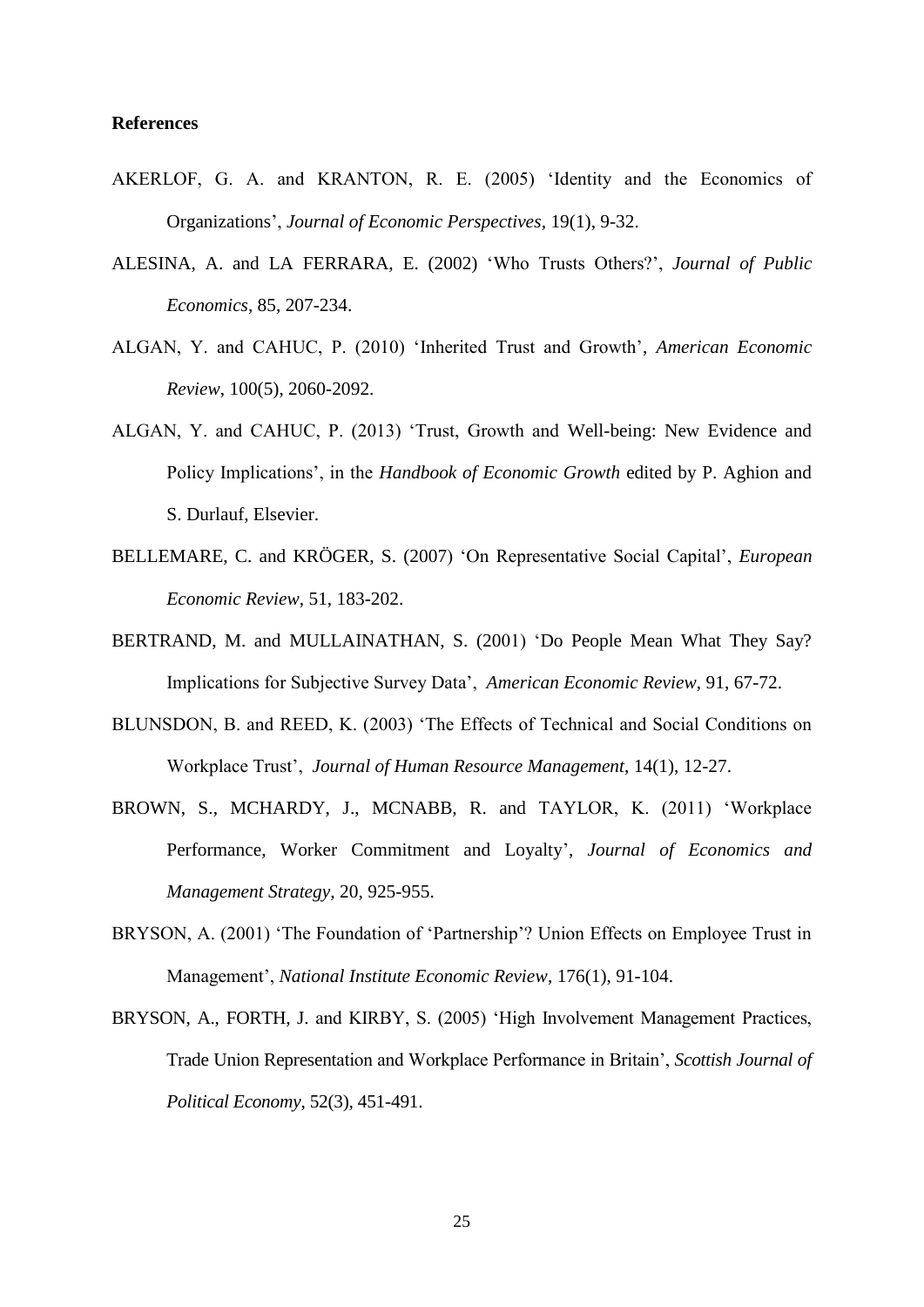#### **References**

- AKERLOF, G. A. and KRANTON, R. E. (2005) 'Identity and the Economics of Organizations', *Journal of Economic Perspectives,* 19(1), 9-32.
- ALESINA, A. and LA FERRARA, E. (2002) 'Who Trusts Others?', *Journal of Public Economics*, 85, 207-234.
- ALGAN, Y. and CAHUC, P. (2010) 'Inherited Trust and Growth', *American Economic Review*, 100(5), 2060-2092.
- ALGAN, Y. and CAHUC, P. (2013) 'Trust, Growth and Well-being: New Evidence and Policy Implications', in the *Handbook of Economic Growth* edited by P. Aghion and S. Durlauf, Elsevier.
- BELLEMARE, C. and KRÖGER, S. (2007) 'On Representative Social Capital', *European Economic Review*, 51, 183-202.
- BERTRAND, M. and MULLAINATHAN, S. (2001) 'Do People Mean What They Say? Implications for Subjective Survey Data', *American Economic Review*, 91, 67-72.
- BLUNSDON, B. and REED, K. (2003) 'The Effects of Technical and Social Conditions on Workplace Trust', *Journal of Human Resource Management*, 14(1), 12-27.
- BROWN, S., MCHARDY, J., MCNABB, R. and TAYLOR, K. (2011) 'Workplace Performance, Worker Commitment and Loyalty', *Journal of Economics and Management Strategy*, 20, 925-955.
- BRYSON, A. (2001) 'The Foundation of 'Partnership'? Union Effects on Employee Trust in Management', *National Institute Economic Review*, 176(1), 91-104.
- BRYSON, A., FORTH, J. and KIRBY, S. (2005) 'High Involvement Management Practices, Trade Union Representation and Workplace Performance in Britain', *Scottish Journal of Political Economy*, 52(3), 451-491.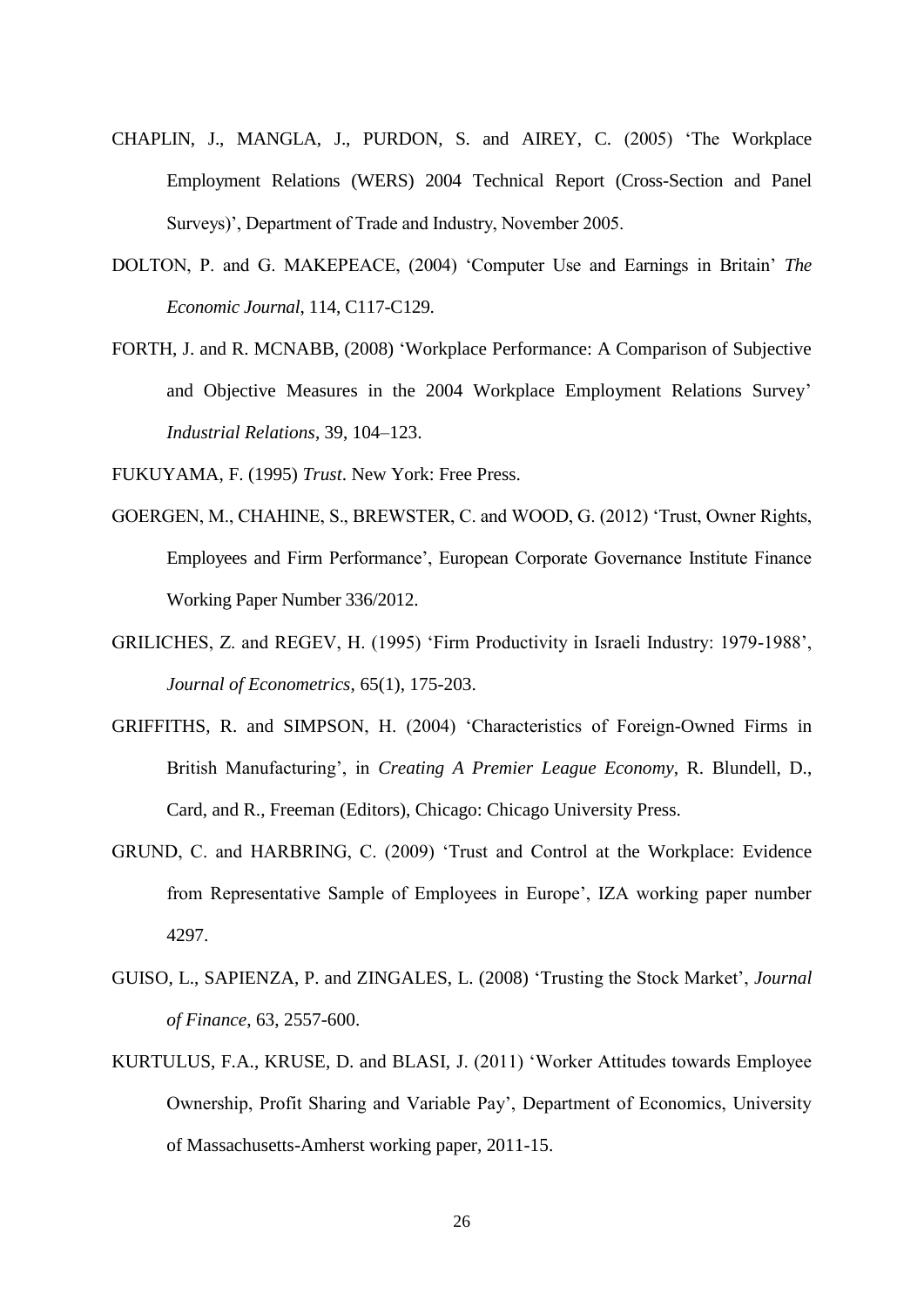- CHAPLIN, J., MANGLA, J., PURDON, S. and AIREY, C. (2005) 'The Workplace Employment Relations (WERS) 2004 Technical Report (Cross-Section and Panel Surveys)', Department of Trade and Industry, November 2005.
- DOLTON, P. and G. MAKEPEACE, (2004) 'Computer Use and Earnings in Britain' *The Economic Journal*, 114, C117-C129.
- FORTH, J. and R. MCNABB, (2008) 'Workplace Performance: A Comparison of Subjective and Objective Measures in the 2004 Workplace Employment Relations Survey' *Industrial Relations*, 39, 104–123.

FUKUYAMA, F. (1995) *Trust*. New York: Free Press.

- GOERGEN, M., CHAHINE, S., BREWSTER, C. and WOOD, G. (2012) 'Trust, Owner Rights, Employees and Firm Performance', European Corporate Governance Institute Finance Working Paper Number 336/2012.
- GRILICHES, Z. and REGEV, H. (1995) 'Firm Productivity in Israeli Industry: 1979-1988', *Journal of Econometrics*, 65(1), 175-203.
- GRIFFITHS, R. and SIMPSON, H. (2004) 'Characteristics of Foreign-Owned Firms in British Manufacturing', in *Creating A Premier League Economy*, R. Blundell, D., Card, and R., Freeman (Editors), Chicago: Chicago University Press.
- GRUND, C. and HARBRING, C. (2009) 'Trust and Control at the Workplace: Evidence from Representative Sample of Employees in Europe', IZA working paper number 4297.
- GUISO, L., SAPIENZA, P. and ZINGALES, L. (2008) 'Trusting the Stock Market', *Journal of Finance*, 63, 2557-600.
- KURTULUS, F.A., KRUSE, D. and BLASI, J. (2011) 'Worker Attitudes towards Employee Ownership, Profit Sharing and Variable Pay', Department of Economics, University of Massachusetts-Amherst working paper, 2011-15.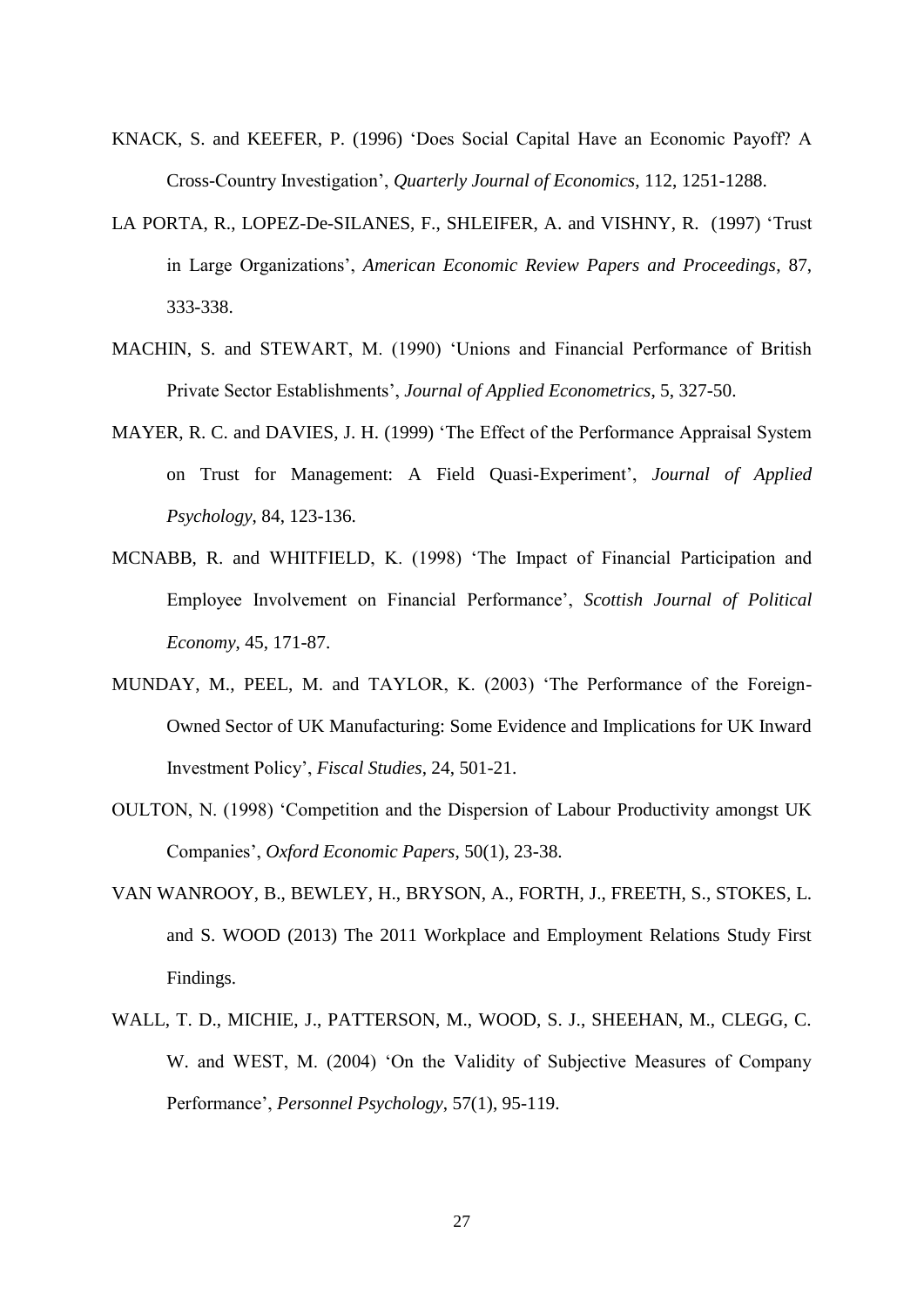- KNACK, S. and KEEFER, P. (1996) 'Does Social Capital Have an Economic Payoff? A Cross-Country Investigation', *Quarterly Journal of Economics*, 112, 1251-1288.
- LA PORTA, R., LOPEZ-De-SILANES, F., SHLEIFER, A. and VISHNY, R. (1997) 'Trust in Large Organizations', *American Economic Review Papers and Proceedings*, 87, 333-338.
- MACHIN, S. and STEWART, M. (1990) 'Unions and Financial Performance of British Private Sector Establishments', *Journal of Applied Econometrics*, 5, 327-50.
- MAYER, R. C. and DAVIES, J. H. (1999) 'The Effect of the Performance Appraisal System on Trust for Management: A Field Quasi-Experiment', *Journal of Applied Psychology*, 84, 123-136.
- MCNABB, R. and WHITFIELD, K. (1998) 'The Impact of Financial Participation and Employee Involvement on Financial Performance', *Scottish Journal of Political Economy*, 45, 171-87.
- MUNDAY, M., PEEL, M. and TAYLOR, K. (2003) 'The Performance of the Foreign-Owned Sector of UK Manufacturing: Some Evidence and Implications for UK Inward Investment Policy', *Fiscal Studies*, 24, 501-21.
- OULTON, N. (1998) 'Competition and the Dispersion of Labour Productivity amongst UK Companies', *Oxford Economic Papers*, 50(1), 23-38.
- VAN WANROOY, B., BEWLEY, H., BRYSON, A., FORTH, J., FREETH, S., STOKES, L. and S. WOOD (2013) The 2011 Workplace and Employment Relations Study First Findings.
- WALL, T. D., MICHIE, J., PATTERSON, M., WOOD, S. J., SHEEHAN, M., CLEGG, C. W. and WEST, M. (2004) 'On the Validity of Subjective Measures of Company Performance', *Personnel Psychology*, 57(1), 95-119.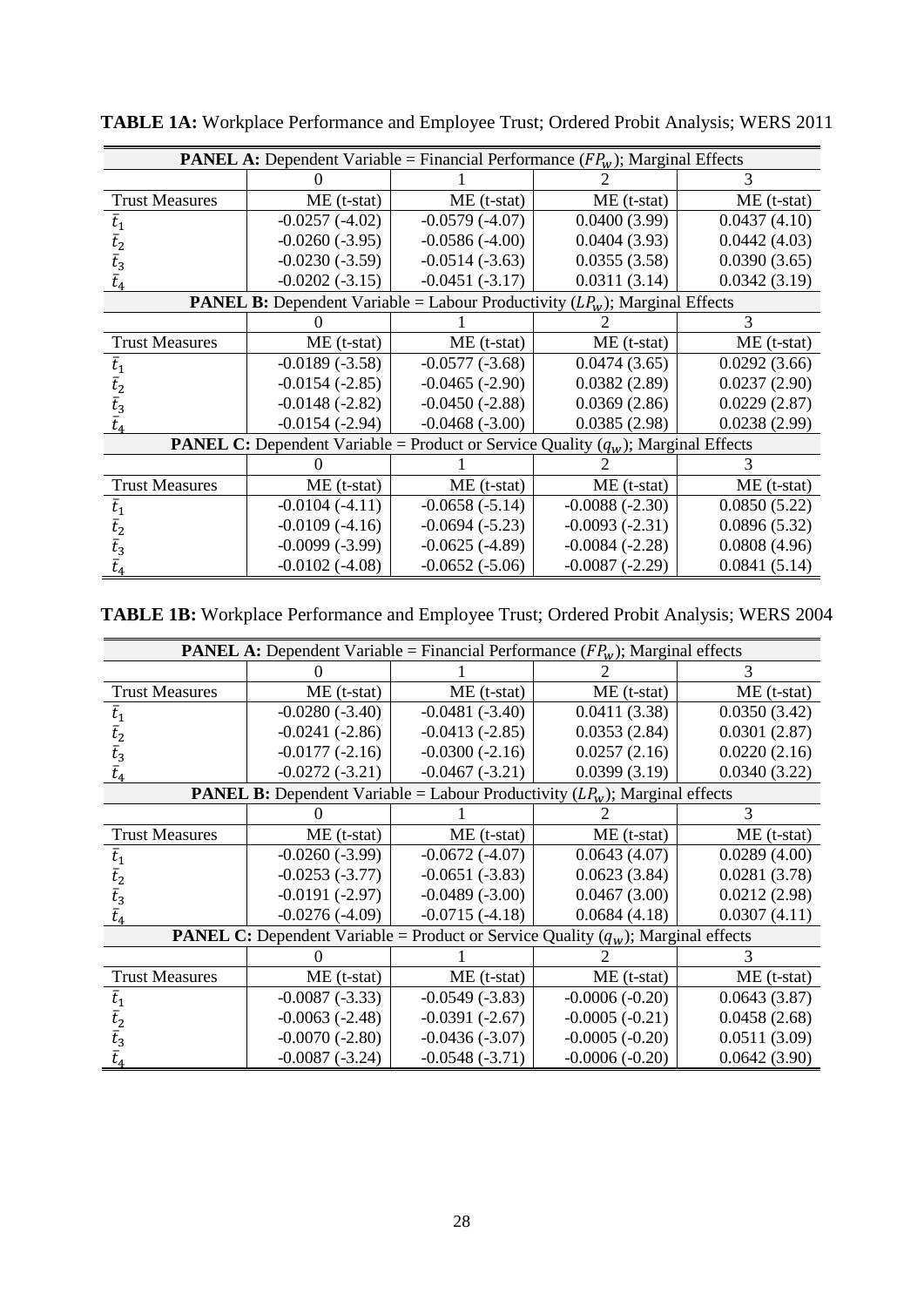|                       | <b>PANEL A:</b> Dependent Variable = Financial Performance $(FP_w)$ ; Marginal Effects     |                  |                  |               |
|-----------------------|--------------------------------------------------------------------------------------------|------------------|------------------|---------------|
|                       |                                                                                            |                  |                  |               |
| <b>Trust Measures</b> | $ME$ (t-stat)                                                                              | $ME$ (t-stat)    | $ME$ (t-stat)    | $ME$ (t-stat) |
| $t_1$                 | $-0.0257(-4.02)$                                                                           | $-0.0579(-4.07)$ | 0.0400(3.99)     | 0.0437(4.10)  |
| $t_{2}$               | $-0.0260(-3.95)$                                                                           | $-0.0586(-4.00)$ | 0.0404(3.93)     | 0.0442(4.03)  |
| $t_3$                 | $-0.0230(-3.59)$                                                                           | $-0.0514(-3.63)$ | 0.0355(3.58)     | 0.0390(3.65)  |
|                       | $-0.0202(-3.15)$                                                                           | $-0.0451(-3.17)$ | 0.0311(3.14)     | 0.0342(3.19)  |
|                       | <b>PANEL B:</b> Dependent Variable = Labour Productivity $(LP_w)$ ; Marginal Effects       |                  |                  |               |
|                       |                                                                                            |                  |                  | 3             |
| <b>Trust Measures</b> | $ME$ (t-stat)                                                                              | $ME$ (t-stat)    | $ME$ (t-stat)    | $ME$ (t-stat) |
| $t_{1}$               | $-0.0189(-3.58)$                                                                           | $-0.0577(-3.68)$ | 0.0474(3.65)     | 0.0292(3.66)  |
|                       | $-0.0154(-2.85)$                                                                           | $-0.0465(-2.90)$ | 0.0382(2.89)     | 0.0237(2.90)  |
| $t_{3}$               | $-0.0148(-2.82)$                                                                           | $-0.0450(-2.88)$ | 0.0369(2.86)     | 0.0229(2.87)  |
|                       | $-0.0154(-2.94)$                                                                           | $-0.0468(-3.00)$ | 0.0385(2.98)     | 0.0238(2.99)  |
|                       | <b>PANEL C:</b> Dependent Variable = Product or Service Quality $(q_w)$ ; Marginal Effects |                  |                  |               |
|                       |                                                                                            |                  |                  |               |
| <b>Trust Measures</b> | $ME$ (t-stat)                                                                              | $ME$ (t-stat)    | $ME$ (t-stat)    | $ME$ (t-stat) |
| $t_{1}$               | $-0.0104(-4.11)$                                                                           | $-0.0658(-5.14)$ | $-0.0088(-2.30)$ | 0.0850(5.22)  |
| $t_{2}$               | $-0.0109(-4.16)$                                                                           | $-0.0694(-5.23)$ | $-0.0093(-2.31)$ | 0.0896(5.32)  |
| $t_{3}$               | $-0.0099(-3.99)$                                                                           | $-0.0625(-4.89)$ | $-0.0084(-2.28)$ | 0.0808(4.96)  |
|                       | $-0.0102(-4.08)$                                                                           | $-0.0652(-5.06)$ | $-0.0087(-2.29)$ | 0.0841(5.14)  |

**TABLE 1A:** Workplace Performance and Employee Trust; Ordered Probit Analysis; WERS 2011

**TABLE 1B:** Workplace Performance and Employee Trust; Ordered Probit Analysis; WERS 2004

|                       | <b>PANEL A:</b> Dependent Variable = Financial Performance $(FP_w)$ ; Marginal effects     |                  |                  |               |  |  |
|-----------------------|--------------------------------------------------------------------------------------------|------------------|------------------|---------------|--|--|
|                       |                                                                                            |                  |                  |               |  |  |
| <b>Trust Measures</b> | $ME$ (t-stat)                                                                              | $ME$ (t-stat)    | $ME$ (t-stat)    | $ME$ (t-stat) |  |  |
| $t_{1}$               | $-0.0280(-3.40)$                                                                           | $-0.0481(-3.40)$ | 0.0411(3.38)     | 0.0350(3.42)  |  |  |
| $t_{\rm 2}$           | $-0.0241(-2.86)$                                                                           | $-0.0413(-2.85)$ | 0.0353(2.84)     | 0.0301(2.87)  |  |  |
| $t_3$                 | $-0.0177(-2.16)$                                                                           | $-0.0300(-2.16)$ | 0.0257(2.16)     | 0.0220(2.16)  |  |  |
|                       | $-0.0272(-3.21)$                                                                           | $-0.0467(-3.21)$ | 0.0399(3.19)     | 0.0340(3.22)  |  |  |
|                       | <b>PANEL B:</b> Dependent Variable = Labour Productivity $(LP_w)$ ; Marginal effects       |                  |                  |               |  |  |
|                       |                                                                                            |                  |                  | 3             |  |  |
| <b>Trust Measures</b> | $ME$ (t-stat)                                                                              | $ME$ (t-stat)    | $ME$ (t-stat)    | $ME$ (t-stat) |  |  |
| t <sub>1</sub>        | $-0.0260(-3.99)$                                                                           | $-0.0672(-4.07)$ | 0.0643(4.07)     | 0.0289(4.00)  |  |  |
| t,                    | $-0.0253(-3.77)$                                                                           | $-0.0651(-3.83)$ | 0.0623(3.84)     | 0.0281(3.78)  |  |  |
| $\bar{t}_3$           | $-0.0191(-2.97)$                                                                           | $-0.0489(-3.00)$ | 0.0467(3.00)     | 0.0212(2.98)  |  |  |
|                       | $-0.0276(-4.09)$                                                                           | $-0.0715(-4.18)$ | 0.0684(4.18)     | 0.0307(4.11)  |  |  |
|                       | <b>PANEL C:</b> Dependent Variable = Product or Service Quality $(q_w)$ ; Marginal effects |                  |                  |               |  |  |
|                       |                                                                                            |                  |                  |               |  |  |
| <b>Trust Measures</b> | $ME$ (t-stat)                                                                              | $ME$ (t-stat)    | $ME$ (t-stat)    | $ME$ (t-stat) |  |  |
| $t_{1}$               | $-0.0087(-3.33)$                                                                           | $-0.0549(-3.83)$ | $-0.0006(-0.20)$ | 0.0643(3.87)  |  |  |
| $t_{2}$               | $-0.0063(-2.48)$                                                                           | $-0.0391(-2.67)$ | $-0.0005(-0.21)$ | 0.0458(2.68)  |  |  |
| $t_{\mathrm{3}}$      | $-0.0070(-2.80)$                                                                           | $-0.0436(-3.07)$ | $-0.0005(-0.20)$ | 0.0511(3.09)  |  |  |
|                       | $-0.0087(-3.24)$                                                                           | $-0.0548(-3.71)$ | $-0.0006(-0.20)$ | 0.0642(3.90)  |  |  |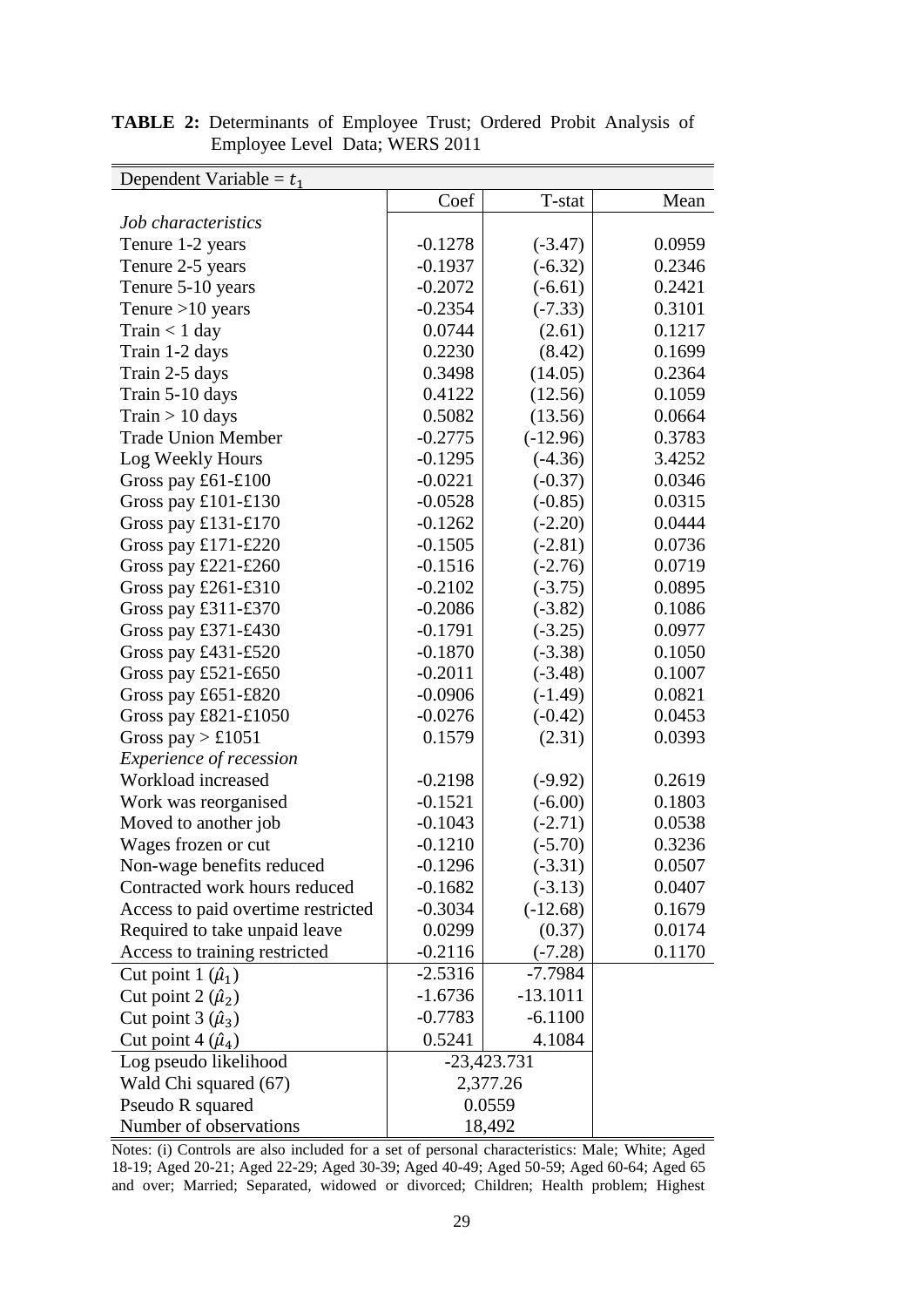| Dependent Variable = $t_1$         |           |               |        |
|------------------------------------|-----------|---------------|--------|
|                                    | Coef      | T-stat        | Mean   |
| Job characteristics                |           |               |        |
| Tenure 1-2 years                   | $-0.1278$ | $(-3.47)$     | 0.0959 |
| Tenure 2-5 years                   | $-0.1937$ | $(-6.32)$     | 0.2346 |
| Tenure 5-10 years                  | $-0.2072$ | $(-6.61)$     | 0.2421 |
| Tenure $>10$ years                 | $-0.2354$ | $(-7.33)$     | 0.3101 |
| $Train < 1$ day                    | 0.0744    | (2.61)        | 0.1217 |
| Train 1-2 days                     | 0.2230    | (8.42)        | 0.1699 |
| Train 2-5 days                     | 0.3498    | (14.05)       | 0.2364 |
| Train 5-10 days                    | 0.4122    | (12.56)       | 0.1059 |
| $Train > 10$ days                  | 0.5082    | (13.56)       | 0.0664 |
| <b>Trade Union Member</b>          | $-0.2775$ | $(-12.96)$    | 0.3783 |
| Log Weekly Hours                   | $-0.1295$ | $(-4.36)$     | 3.4252 |
| Gross pay £61-£100                 | $-0.0221$ | $(-0.37)$     | 0.0346 |
| Gross pay £101-£130                | $-0.0528$ | $(-0.85)$     | 0.0315 |
| Gross pay £131-£170                | $-0.1262$ | $(-2.20)$     | 0.0444 |
| Gross pay £171-£220                | $-0.1505$ | $(-2.81)$     | 0.0736 |
| Gross pay $£221-E260$              | $-0.1516$ | $(-2.76)$     | 0.0719 |
| Gross pay £261-£310                | $-0.2102$ | $(-3.75)$     | 0.0895 |
| Gross pay $£311-E370$              | $-0.2086$ | $(-3.82)$     | 0.1086 |
| Gross pay £371-£430                | $-0.1791$ | $(-3.25)$     | 0.0977 |
| Gross pay £431-£520                | $-0.1870$ | $(-3.38)$     | 0.1050 |
| Gross pay £521-£650                | $-0.2011$ | $(-3.48)$     | 0.1007 |
| Gross pay $£651-E820$              | $-0.0906$ | $(-1.49)$     | 0.0821 |
| Gross pay $£821-E1050$             | $-0.0276$ | $(-0.42)$     | 0.0453 |
| Gross pay $> \pounds 1051$         | 0.1579    | (2.31)        | 0.0393 |
| <i>Experience of recession</i>     |           |               |        |
| Workload increased                 | $-0.2198$ | $(-9.92)$     | 0.2619 |
| Work was reorganised               | $-0.1521$ | $(-6.00)$     | 0.1803 |
| Moved to another job               | $-0.1043$ | $(-2.71)$     | 0.0538 |
| Wages frozen or cut                | $-0.1210$ | $(-5.70)$     | 0.3236 |
| Non-wage benefits reduced          | $-0.1296$ | $(-3.31)$     | 0.0507 |
| Contracted work hours reduced      | $-0.1682$ | $(-3.13)$     | 0.0407 |
| Access to paid overtime restricted | $-0.3034$ | $(-12.68)$    | 0.1679 |
| Required to take unpaid leave      | 0.0299    | (0.37)        | 0.0174 |
| Access to training restricted      | $-0.2116$ | $(-7.28)$     | 0.1170 |
| Cut point $1(\hat{\mu}_1)$         | $-2.5316$ | $-7.7984$     |        |
| Cut point $2(\hat{\mu}_2)$         | $-1.6736$ | $-13.1011$    |        |
| Cut point $3(\hat{\mu}_3)$         | $-0.7783$ | $-6.1100$     |        |
| Cut point 4 $(\hat{\mu}_4)$        | 0.5241    | 4.1084        |        |
| Log pseudo likelihood              |           | $-23,423.731$ |        |
| Wald Chi squared (67)              |           | 2,377.26      |        |
| Pseudo R squared                   |           | 0.0559        |        |
| Number of observations             |           | 18,492        |        |

**TABLE 2:** Determinants of Employee Trust; Ordered Probit Analysis of Employee Level Data; WERS 2011

Notes: (i) Controls are also included for a set of personal characteristics: Male; White; Aged 18-19; Aged 20-21; Aged 22-29; Aged 30-39; Aged 40-49; Aged 50-59; Aged 60-64; Aged 65 and over; Married; Separated, widowed or divorced; Children; Health problem; Highest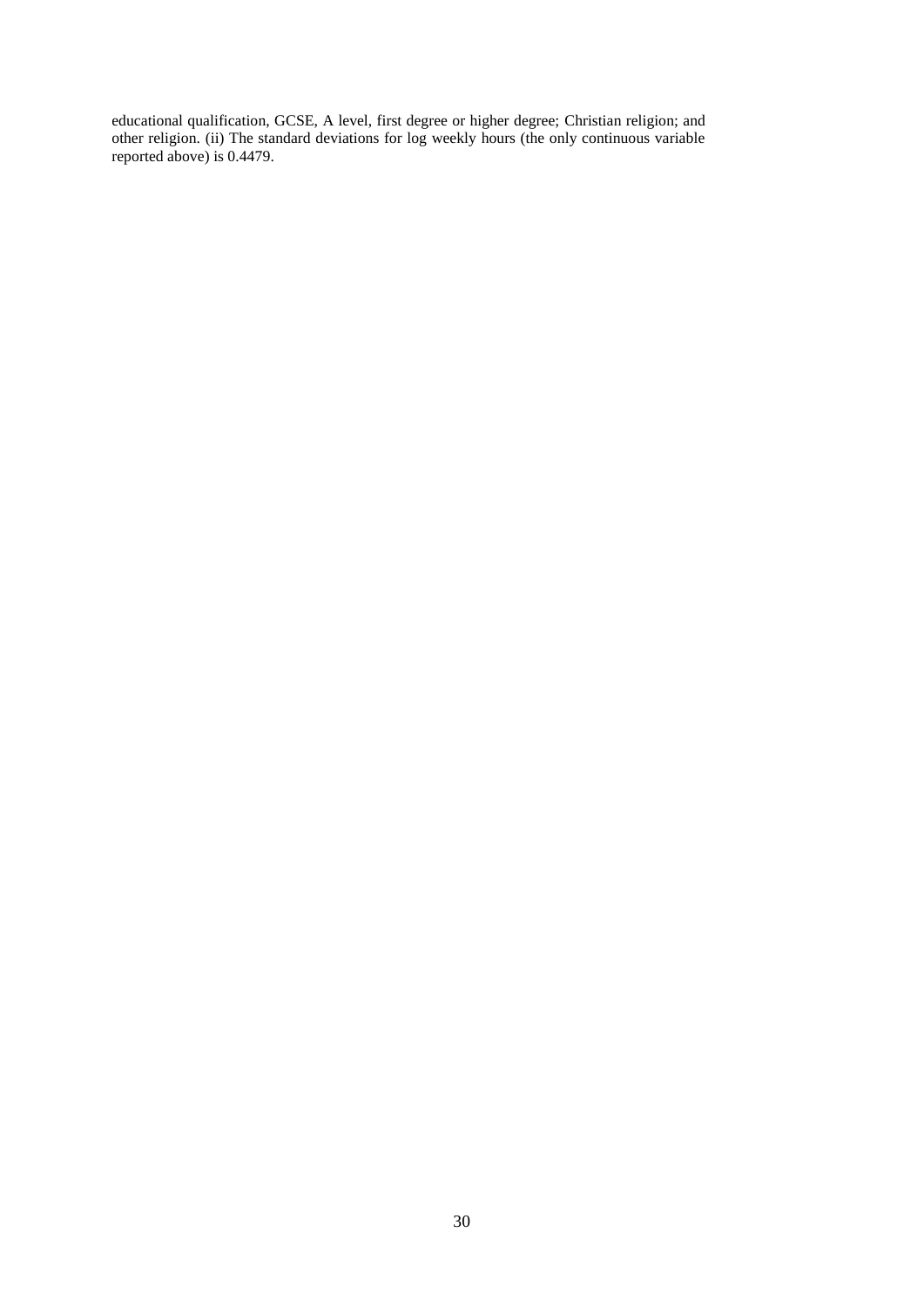educational qualification, GCSE, A level, first degree or higher degree; Christian religion; and other religion. (ii) The standard deviations for log weekly hours (the only continuous variable reported above) is 0.4479.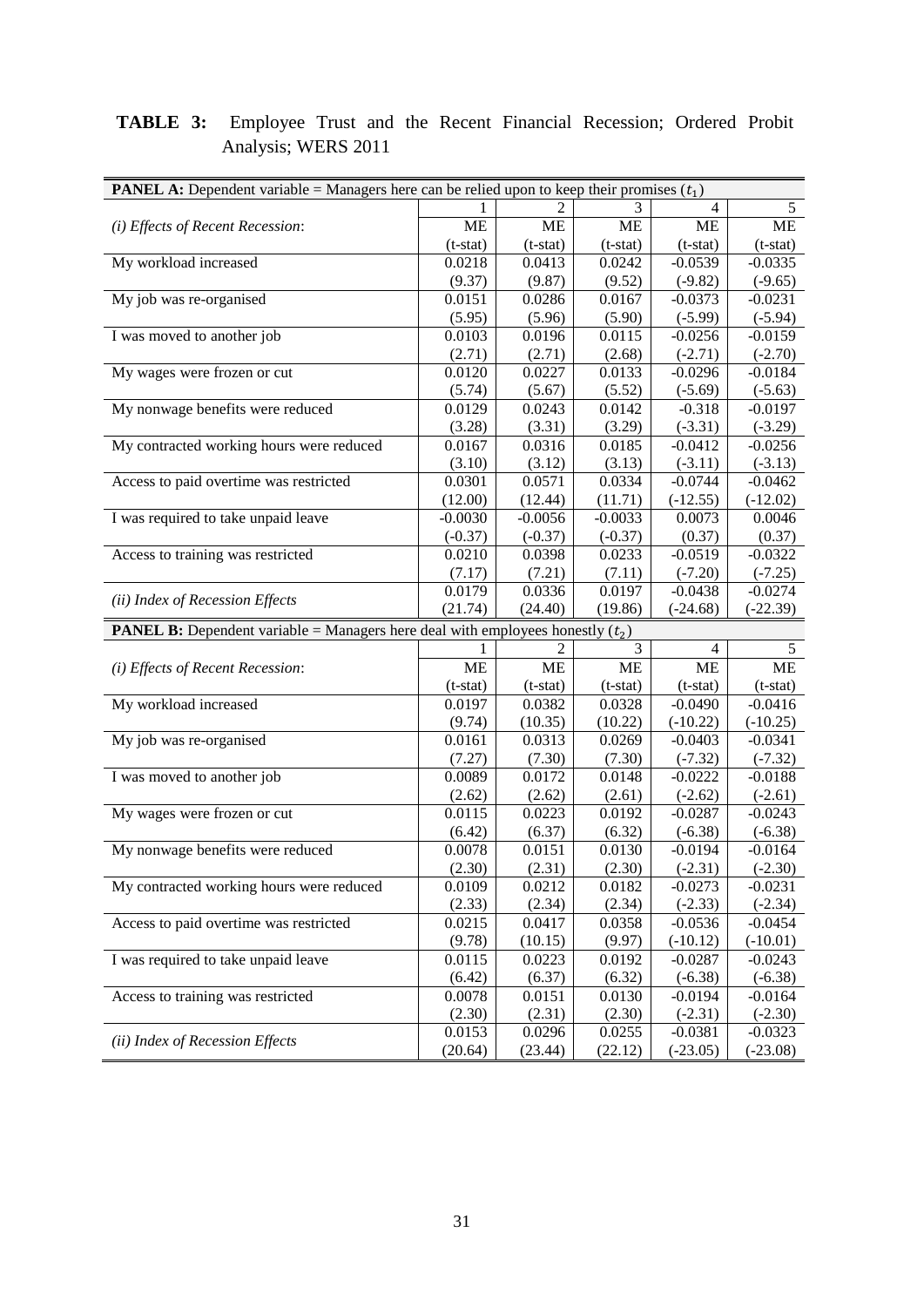### **TABLE 3:** Employee Trust and the Recent Financial Recession; Ordered Probit Analysis; WERS 2011

| <b>PANEL A:</b> Dependent variable = Managers here can be relied upon to keep their promises $(t_1)$ |            |                |            |                |                |
|------------------------------------------------------------------------------------------------------|------------|----------------|------------|----------------|----------------|
|                                                                                                      |            |                |            | 4              | $\mathfrak{S}$ |
| (i) Effects of Recent Recession:                                                                     | <b>ME</b>  | <b>ME</b>      | <b>ME</b>  | <b>ME</b>      | ME             |
|                                                                                                      | $(t-stat)$ | $(t-stat)$     | $(t-stat)$ | $(t-stat)$     | $(t-stat)$     |
| My workload increased                                                                                | 0.0218     | 0.0413         | 0.0242     | $-0.0539$      | $-0.0335$      |
|                                                                                                      | (9.37)     | (9.87)         | (9.52)     | $(-9.82)$      | $(-9.65)$      |
| My job was re-organised                                                                              | 0.0151     | 0.0286         | 0.0167     | $-0.0373$      | $-0.0231$      |
|                                                                                                      | (5.95)     | (5.96)         | (5.90)     | $(-5.99)$      | $(-5.94)$      |
| I was moved to another job                                                                           | 0.0103     | 0.0196         | 0.0115     | $-0.0256$      | $-0.0159$      |
|                                                                                                      | (2.71)     | (2.71)         | (2.68)     | $(-2.71)$      | $(-2.70)$      |
| My wages were frozen or cut                                                                          | 0.0120     | 0.0227         | 0.0133     | $-0.0296$      | $-0.0184$      |
|                                                                                                      | (5.74)     | (5.67)         | (5.52)     | $(-5.69)$      | $(-5.63)$      |
| My nonwage benefits were reduced                                                                     | 0.0129     | 0.0243         | 0.0142     | $-0.318$       | $-0.0197$      |
|                                                                                                      | (3.28)     | (3.31)         | (3.29)     | $(-3.31)$      | $(-3.29)$      |
| My contracted working hours were reduced                                                             | 0.0167     | 0.0316         | 0.0185     | $-0.0412$      | $-0.0256$      |
|                                                                                                      | (3.10)     | (3.12)         | (3.13)     | $(-3.11)$      | $(-3.13)$      |
| Access to paid overtime was restricted                                                               | 0.0301     | 0.0571         | 0.0334     | $-0.0744$      | $-0.0462$      |
|                                                                                                      | (12.00)    | (12.44)        | (11.71)    | $(-12.55)$     | $(-12.02)$     |
| I was required to take unpaid leave                                                                  | $-0.0030$  | $-0.0056$      | $-0.0033$  | 0.0073         | 0.0046         |
|                                                                                                      | $(-0.37)$  | $(-0.37)$      | $(-0.37)$  | (0.37)         | (0.37)         |
| Access to training was restricted                                                                    | 0.0210     | 0.0398         | 0.0233     | $-0.0519$      | $-0.0322$      |
|                                                                                                      | (7.17)     | (7.21)         | (7.11)     | $(-7.20)$      | $(-7.25)$      |
|                                                                                                      | 0.0179     | 0.0336         | 0.0197     | $-0.0438$      | $-0.0274$      |
| (ii) Index of Recession Effects                                                                      | (21.74)    | (24.40)        | (19.86)    | $(-24.68)$     | $(-22.39)$     |
| <b>PANEL B:</b> Dependent variable = Managers here deal with employees honestly $(t_2)$              |            |                |            |                |                |
|                                                                                                      |            | $\mathfrak{D}$ | 3          | $\overline{4}$ | 5              |
| (i) Effects of Recent Recession:                                                                     | <b>ME</b>  | <b>ME</b>      | <b>ME</b>  | <b>ME</b>      | <b>ME</b>      |
|                                                                                                      | $(t-stat)$ | $(t-stat)$     | $(t-stat)$ | $(t-stat)$     | $(t-stat)$     |
| My workload increased                                                                                | 0.0197     | 0.0382         | 0.0328     | $-0.0490$      | $-0.0416$      |
|                                                                                                      | (9.74)     | (10.35)        | (10.22)    | $(-10.22)$     | $(-10.25)$     |
| My job was re-organised                                                                              | 0.0161     | 0.0313         | 0.0269     | $-0.0403$      | $-0.0341$      |
|                                                                                                      | (7.27)     | (7.30)         | (7.30)     | $(-7.32)$      | $(-7.32)$      |
| I was moved to another job                                                                           | 0.0089     | 0.0172         | 0.0148     | $-0.0222$      | $-0.0188$      |
|                                                                                                      | (2.62)     | (2.62)         | (2.61)     | $(-2.62)$      | $(-2.61)$      |
| My wages were frozen or cut                                                                          | 0.0115     | 0.0223         | 0.0192     | $-0.0287$      | $-0.0243$      |
|                                                                                                      | (6.42)     | (6.37)         | (6.32)     | $(-6.38)$      | $(-6.38)$      |
| My nonwage benefits were reduced                                                                     | 0.0078     | 0.0151         | 0.0130     | $-0.0194$      | $-0.0164$      |
|                                                                                                      | (2.30)     | (2.31)         | (2.30)     | $(-2.31)$      | $(-2.30)$      |
| My contracted working hours were reduced                                                             | 0.0109     | 0.0212         | 0.0182     | $-0.0273$      | $-0.0231$      |
|                                                                                                      | (2.33)     | (2.34)         | (2.34)     | $(-2.33)$      | $(-2.34)$      |
| Access to paid overtime was restricted                                                               | 0.0215     | 0.0417         | 0.0358     | $-0.0536$      | $-0.0454$      |
|                                                                                                      | (9.78)     | (10.15)        | (9.97)     | $(-10.12)$     | $(-10.01)$     |
| I was required to take unpaid leave                                                                  | 0.0115     | 0.0223         | 0.0192     | $-0.0287$      | $-0.0243$      |
|                                                                                                      | (6.42)     | (6.37)         | (6.32)     | $(-6.38)$      | $(-6.38)$      |
| Access to training was restricted                                                                    | 0.0078     | 0.0151         | 0.0130     | $-0.0194$      | $-0.0164$      |
|                                                                                                      | (2.30)     | (2.31)         | (2.30)     | $(-2.31)$      | $(-2.30)$      |
| (ii) Index of Recession Effects                                                                      | 0.0153     | 0.0296         | 0.0255     | $-0.0381$      | $-0.0323$      |
|                                                                                                      |            |                |            |                |                |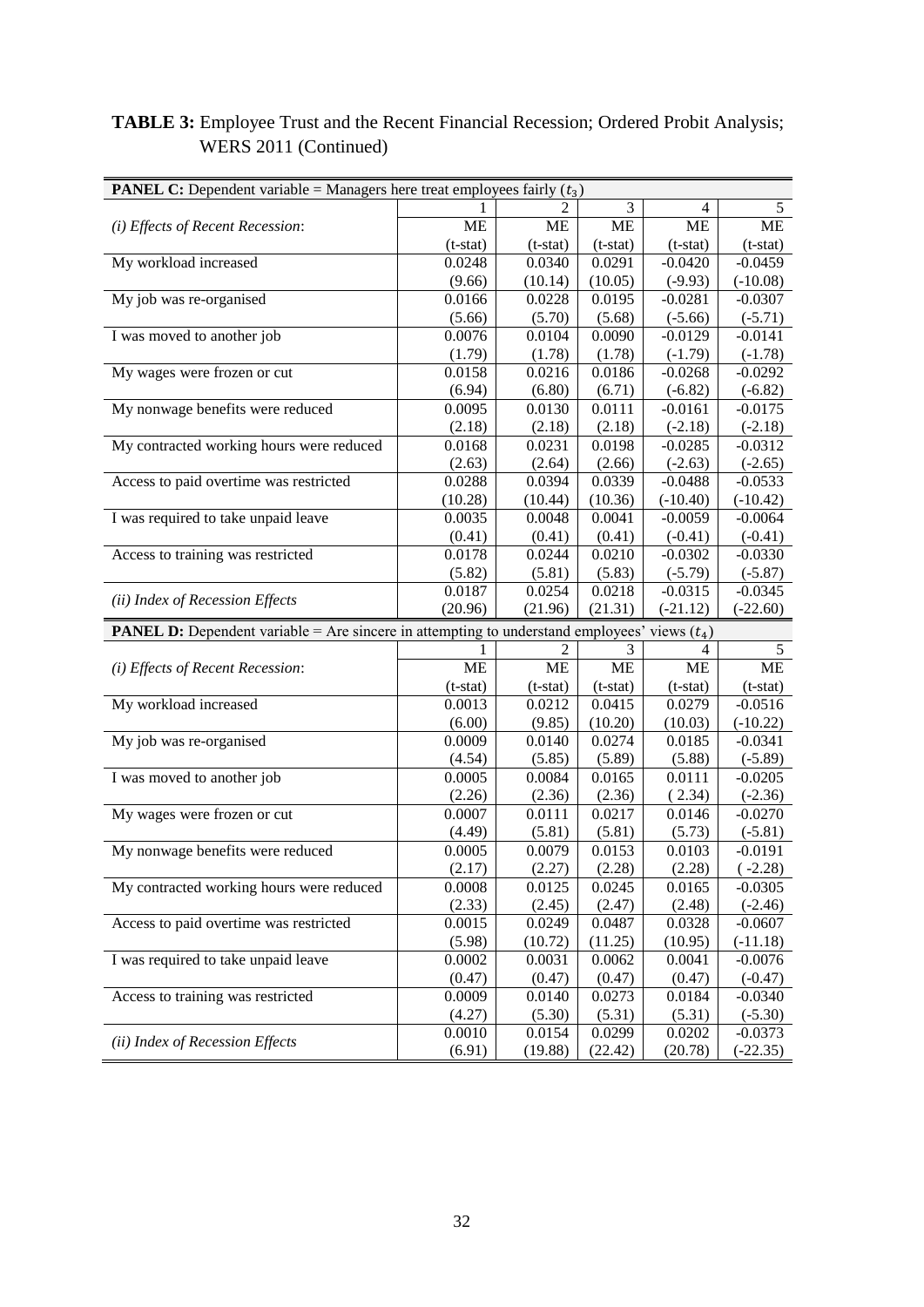### **TABLE 3:** Employee Trust and the Recent Financial Recession; Ordered Probit Analysis; WERS 2011 (Continued)

| 3<br>4<br>5<br><b>ME</b><br>ME<br><b>ME</b><br><b>ME</b><br><b>ME</b><br>(i) Effects of Recent Recession:<br>$(t-stat)$<br>$(t-stat)$<br>$(t-stat)$<br>$(t-stat)$<br>$(t-stat)$<br>My workload increased<br>0.0248<br>0.0340<br>0.0291<br>$-0.0420$<br>$-0.0459$<br>(9.66)<br>(10.14)<br>(10.05)<br>$(-9.93)$<br>$(-10.08)$<br>My job was re-organised<br>$-0.0307$<br>0.0166<br>0.0228<br>0.0195<br>$-0.0281$<br>(5.70)<br>$(-5.66)$<br>(5.66)<br>(5.68)<br>$(-5.71)$<br>I was moved to another job<br>0.0076<br>0.0104<br>$-0.0129$<br>$-0.0141$<br>0.0090<br>(1.79)<br>(1.78)<br>(1.78)<br>$(-1.79)$<br>$(-1.78)$<br>My wages were frozen or cut<br>0.0158<br>0.0216<br>0.0186<br>$-0.0292$<br>$-0.0268$<br>(6.94)<br>(6.80)<br>(6.71)<br>$(-6.82)$<br>$(-6.82)$<br>My nonwage benefits were reduced<br>0.0095<br>0.0130<br>0.0111<br>$-0.0161$<br>$-0.0175$<br>(2.18)<br>(2.18)<br>$(-2.18)$<br>$(-2.18)$<br>(2.18)<br>My contracted working hours were reduced<br>0.0231<br>0.0198<br>$-0.0312$<br>0.0168<br>$-0.0285$<br>(2.63)<br>(2.64)<br>(2.66)<br>$(-2.63)$<br>$(-2.65)$<br>Access to paid overtime was restricted<br>0.0288<br>0.0394<br>0.0339<br>$-0.0533$<br>$-0.0488$<br>(10.36)<br>(10.28)<br>(10.44)<br>$(-10.40)$<br>$(-10.42)$<br>I was required to take unpaid leave<br>0.0035<br>0.0048<br>0.0041<br>$-0.0059$<br>$-0.0064$<br>(0.41)<br>(0.41)<br>(0.41)<br>$(-0.41)$<br>$(-0.41)$<br>Access to training was restricted<br>0.0178<br>0.0244<br>0.0210<br>$-0.0302$<br>$-0.0330$<br>(5.81)<br>(5.83)<br>(5.82)<br>$(-5.79)$<br>$(-5.87)$<br>0.0187<br>0.0254<br>0.0218<br>$-0.0315$<br>$-0.0345$<br>(ii) Index of Recession Effects<br>(20.96)<br>(21.96)<br>(21.31)<br>$(-21.12)$<br>$(-22.60)$<br><b>PANEL D:</b> Dependent variable = Are sincere in attempting to understand employees' views $(t_4)$<br>3<br>5<br>4<br><b>ME</b><br><b>ME</b><br><b>ME</b><br>ME<br><b>ME</b><br>(i) Effects of Recent Recession:<br>$(t-stat)$<br>$(t-stat)$<br>$(t-stat)$<br>$(t-stat)$<br>$(t-stat)$<br>My workload increased<br>0.0013<br>0.0212<br>0.0415<br>0.0279<br>$-0.0516$<br>(10.20)<br>(6.00)<br>(9.85)<br>(10.03)<br>$(-10.22)$<br>My job was re-organised<br>0.0009<br>0.0140<br>0.0274<br>0.0185<br>$-0.0341$<br>(5.85)<br>(5.89)<br>(4.54)<br>(5.88)<br>$(-5.89)$<br>I was moved to another job<br>0.0005<br>0.0084<br>0.0165<br>0.0111<br>$-0.0205$<br>(2.26)<br>(2.36)<br>(2.34)<br>$(-2.36)$<br>(2.36)<br>My wages were frozen or cut<br>0.0146<br>0.0007<br>0.0111<br>0.0217<br>$-0.0270$<br>(4.49)<br>(5.81)<br>(5.81)<br>(5.73)<br>$(-5.81)$<br>My nonwage benefits were reduced<br>0.0005<br>0.0079<br>0.0153<br>0.0103<br>$-0.0191$<br>(2.17)<br>(2.27)<br>(2.28)<br>$(-2.28)$<br>(2.28)<br>My contracted working hours were reduced<br>0.0008<br>0.0125<br>0.0245<br>0.0165<br>$-0.0305$<br>(2.33)<br>(2.45)<br>(2.47)<br>(2.48)<br>$(-2.46)$<br>Access to paid overtime was restricted<br>0.0015<br>0.0249<br>0.0487<br>0.0328<br>$-0.0607$<br>(5.98)<br>(10.72)<br>(11.25)<br>(10.95)<br>$(-11.18)$ |
|--------------------------------------------------------------------------------------------------------------------------------------------------------------------------------------------------------------------------------------------------------------------------------------------------------------------------------------------------------------------------------------------------------------------------------------------------------------------------------------------------------------------------------------------------------------------------------------------------------------------------------------------------------------------------------------------------------------------------------------------------------------------------------------------------------------------------------------------------------------------------------------------------------------------------------------------------------------------------------------------------------------------------------------------------------------------------------------------------------------------------------------------------------------------------------------------------------------------------------------------------------------------------------------------------------------------------------------------------------------------------------------------------------------------------------------------------------------------------------------------------------------------------------------------------------------------------------------------------------------------------------------------------------------------------------------------------------------------------------------------------------------------------------------------------------------------------------------------------------------------------------------------------------------------------------------------------------------------------------------------------------------------------------------------------------------------------------------------------------------------------------------------------------------------------------------------------------------------------------------------------------------------------------------------------------------------------------------------------------------------------------------------------------------------------------------------------------------------------------------------------------------------------------------------------------------------------------------------------------------------------------------------------------------------------------------------------------------------------------------------------------------------------------------------------------------------------------------------------------------------------------------------------------------------------------------------------------------------------------------------------------------------------------------------|
|                                                                                                                                                                                                                                                                                                                                                                                                                                                                                                                                                                                                                                                                                                                                                                                                                                                                                                                                                                                                                                                                                                                                                                                                                                                                                                                                                                                                                                                                                                                                                                                                                                                                                                                                                                                                                                                                                                                                                                                                                                                                                                                                                                                                                                                                                                                                                                                                                                                                                                                                                                                                                                                                                                                                                                                                                                                                                                                                                                                                                                            |
|                                                                                                                                                                                                                                                                                                                                                                                                                                                                                                                                                                                                                                                                                                                                                                                                                                                                                                                                                                                                                                                                                                                                                                                                                                                                                                                                                                                                                                                                                                                                                                                                                                                                                                                                                                                                                                                                                                                                                                                                                                                                                                                                                                                                                                                                                                                                                                                                                                                                                                                                                                                                                                                                                                                                                                                                                                                                                                                                                                                                                                            |
|                                                                                                                                                                                                                                                                                                                                                                                                                                                                                                                                                                                                                                                                                                                                                                                                                                                                                                                                                                                                                                                                                                                                                                                                                                                                                                                                                                                                                                                                                                                                                                                                                                                                                                                                                                                                                                                                                                                                                                                                                                                                                                                                                                                                                                                                                                                                                                                                                                                                                                                                                                                                                                                                                                                                                                                                                                                                                                                                                                                                                                            |
|                                                                                                                                                                                                                                                                                                                                                                                                                                                                                                                                                                                                                                                                                                                                                                                                                                                                                                                                                                                                                                                                                                                                                                                                                                                                                                                                                                                                                                                                                                                                                                                                                                                                                                                                                                                                                                                                                                                                                                                                                                                                                                                                                                                                                                                                                                                                                                                                                                                                                                                                                                                                                                                                                                                                                                                                                                                                                                                                                                                                                                            |
|                                                                                                                                                                                                                                                                                                                                                                                                                                                                                                                                                                                                                                                                                                                                                                                                                                                                                                                                                                                                                                                                                                                                                                                                                                                                                                                                                                                                                                                                                                                                                                                                                                                                                                                                                                                                                                                                                                                                                                                                                                                                                                                                                                                                                                                                                                                                                                                                                                                                                                                                                                                                                                                                                                                                                                                                                                                                                                                                                                                                                                            |
|                                                                                                                                                                                                                                                                                                                                                                                                                                                                                                                                                                                                                                                                                                                                                                                                                                                                                                                                                                                                                                                                                                                                                                                                                                                                                                                                                                                                                                                                                                                                                                                                                                                                                                                                                                                                                                                                                                                                                                                                                                                                                                                                                                                                                                                                                                                                                                                                                                                                                                                                                                                                                                                                                                                                                                                                                                                                                                                                                                                                                                            |
|                                                                                                                                                                                                                                                                                                                                                                                                                                                                                                                                                                                                                                                                                                                                                                                                                                                                                                                                                                                                                                                                                                                                                                                                                                                                                                                                                                                                                                                                                                                                                                                                                                                                                                                                                                                                                                                                                                                                                                                                                                                                                                                                                                                                                                                                                                                                                                                                                                                                                                                                                                                                                                                                                                                                                                                                                                                                                                                                                                                                                                            |
|                                                                                                                                                                                                                                                                                                                                                                                                                                                                                                                                                                                                                                                                                                                                                                                                                                                                                                                                                                                                                                                                                                                                                                                                                                                                                                                                                                                                                                                                                                                                                                                                                                                                                                                                                                                                                                                                                                                                                                                                                                                                                                                                                                                                                                                                                                                                                                                                                                                                                                                                                                                                                                                                                                                                                                                                                                                                                                                                                                                                                                            |
|                                                                                                                                                                                                                                                                                                                                                                                                                                                                                                                                                                                                                                                                                                                                                                                                                                                                                                                                                                                                                                                                                                                                                                                                                                                                                                                                                                                                                                                                                                                                                                                                                                                                                                                                                                                                                                                                                                                                                                                                                                                                                                                                                                                                                                                                                                                                                                                                                                                                                                                                                                                                                                                                                                                                                                                                                                                                                                                                                                                                                                            |
|                                                                                                                                                                                                                                                                                                                                                                                                                                                                                                                                                                                                                                                                                                                                                                                                                                                                                                                                                                                                                                                                                                                                                                                                                                                                                                                                                                                                                                                                                                                                                                                                                                                                                                                                                                                                                                                                                                                                                                                                                                                                                                                                                                                                                                                                                                                                                                                                                                                                                                                                                                                                                                                                                                                                                                                                                                                                                                                                                                                                                                            |
|                                                                                                                                                                                                                                                                                                                                                                                                                                                                                                                                                                                                                                                                                                                                                                                                                                                                                                                                                                                                                                                                                                                                                                                                                                                                                                                                                                                                                                                                                                                                                                                                                                                                                                                                                                                                                                                                                                                                                                                                                                                                                                                                                                                                                                                                                                                                                                                                                                                                                                                                                                                                                                                                                                                                                                                                                                                                                                                                                                                                                                            |
|                                                                                                                                                                                                                                                                                                                                                                                                                                                                                                                                                                                                                                                                                                                                                                                                                                                                                                                                                                                                                                                                                                                                                                                                                                                                                                                                                                                                                                                                                                                                                                                                                                                                                                                                                                                                                                                                                                                                                                                                                                                                                                                                                                                                                                                                                                                                                                                                                                                                                                                                                                                                                                                                                                                                                                                                                                                                                                                                                                                                                                            |
|                                                                                                                                                                                                                                                                                                                                                                                                                                                                                                                                                                                                                                                                                                                                                                                                                                                                                                                                                                                                                                                                                                                                                                                                                                                                                                                                                                                                                                                                                                                                                                                                                                                                                                                                                                                                                                                                                                                                                                                                                                                                                                                                                                                                                                                                                                                                                                                                                                                                                                                                                                                                                                                                                                                                                                                                                                                                                                                                                                                                                                            |
|                                                                                                                                                                                                                                                                                                                                                                                                                                                                                                                                                                                                                                                                                                                                                                                                                                                                                                                                                                                                                                                                                                                                                                                                                                                                                                                                                                                                                                                                                                                                                                                                                                                                                                                                                                                                                                                                                                                                                                                                                                                                                                                                                                                                                                                                                                                                                                                                                                                                                                                                                                                                                                                                                                                                                                                                                                                                                                                                                                                                                                            |
|                                                                                                                                                                                                                                                                                                                                                                                                                                                                                                                                                                                                                                                                                                                                                                                                                                                                                                                                                                                                                                                                                                                                                                                                                                                                                                                                                                                                                                                                                                                                                                                                                                                                                                                                                                                                                                                                                                                                                                                                                                                                                                                                                                                                                                                                                                                                                                                                                                                                                                                                                                                                                                                                                                                                                                                                                                                                                                                                                                                                                                            |
|                                                                                                                                                                                                                                                                                                                                                                                                                                                                                                                                                                                                                                                                                                                                                                                                                                                                                                                                                                                                                                                                                                                                                                                                                                                                                                                                                                                                                                                                                                                                                                                                                                                                                                                                                                                                                                                                                                                                                                                                                                                                                                                                                                                                                                                                                                                                                                                                                                                                                                                                                                                                                                                                                                                                                                                                                                                                                                                                                                                                                                            |
|                                                                                                                                                                                                                                                                                                                                                                                                                                                                                                                                                                                                                                                                                                                                                                                                                                                                                                                                                                                                                                                                                                                                                                                                                                                                                                                                                                                                                                                                                                                                                                                                                                                                                                                                                                                                                                                                                                                                                                                                                                                                                                                                                                                                                                                                                                                                                                                                                                                                                                                                                                                                                                                                                                                                                                                                                                                                                                                                                                                                                                            |
|                                                                                                                                                                                                                                                                                                                                                                                                                                                                                                                                                                                                                                                                                                                                                                                                                                                                                                                                                                                                                                                                                                                                                                                                                                                                                                                                                                                                                                                                                                                                                                                                                                                                                                                                                                                                                                                                                                                                                                                                                                                                                                                                                                                                                                                                                                                                                                                                                                                                                                                                                                                                                                                                                                                                                                                                                                                                                                                                                                                                                                            |
|                                                                                                                                                                                                                                                                                                                                                                                                                                                                                                                                                                                                                                                                                                                                                                                                                                                                                                                                                                                                                                                                                                                                                                                                                                                                                                                                                                                                                                                                                                                                                                                                                                                                                                                                                                                                                                                                                                                                                                                                                                                                                                                                                                                                                                                                                                                                                                                                                                                                                                                                                                                                                                                                                                                                                                                                                                                                                                                                                                                                                                            |
|                                                                                                                                                                                                                                                                                                                                                                                                                                                                                                                                                                                                                                                                                                                                                                                                                                                                                                                                                                                                                                                                                                                                                                                                                                                                                                                                                                                                                                                                                                                                                                                                                                                                                                                                                                                                                                                                                                                                                                                                                                                                                                                                                                                                                                                                                                                                                                                                                                                                                                                                                                                                                                                                                                                                                                                                                                                                                                                                                                                                                                            |
|                                                                                                                                                                                                                                                                                                                                                                                                                                                                                                                                                                                                                                                                                                                                                                                                                                                                                                                                                                                                                                                                                                                                                                                                                                                                                                                                                                                                                                                                                                                                                                                                                                                                                                                                                                                                                                                                                                                                                                                                                                                                                                                                                                                                                                                                                                                                                                                                                                                                                                                                                                                                                                                                                                                                                                                                                                                                                                                                                                                                                                            |
|                                                                                                                                                                                                                                                                                                                                                                                                                                                                                                                                                                                                                                                                                                                                                                                                                                                                                                                                                                                                                                                                                                                                                                                                                                                                                                                                                                                                                                                                                                                                                                                                                                                                                                                                                                                                                                                                                                                                                                                                                                                                                                                                                                                                                                                                                                                                                                                                                                                                                                                                                                                                                                                                                                                                                                                                                                                                                                                                                                                                                                            |
|                                                                                                                                                                                                                                                                                                                                                                                                                                                                                                                                                                                                                                                                                                                                                                                                                                                                                                                                                                                                                                                                                                                                                                                                                                                                                                                                                                                                                                                                                                                                                                                                                                                                                                                                                                                                                                                                                                                                                                                                                                                                                                                                                                                                                                                                                                                                                                                                                                                                                                                                                                                                                                                                                                                                                                                                                                                                                                                                                                                                                                            |
|                                                                                                                                                                                                                                                                                                                                                                                                                                                                                                                                                                                                                                                                                                                                                                                                                                                                                                                                                                                                                                                                                                                                                                                                                                                                                                                                                                                                                                                                                                                                                                                                                                                                                                                                                                                                                                                                                                                                                                                                                                                                                                                                                                                                                                                                                                                                                                                                                                                                                                                                                                                                                                                                                                                                                                                                                                                                                                                                                                                                                                            |
|                                                                                                                                                                                                                                                                                                                                                                                                                                                                                                                                                                                                                                                                                                                                                                                                                                                                                                                                                                                                                                                                                                                                                                                                                                                                                                                                                                                                                                                                                                                                                                                                                                                                                                                                                                                                                                                                                                                                                                                                                                                                                                                                                                                                                                                                                                                                                                                                                                                                                                                                                                                                                                                                                                                                                                                                                                                                                                                                                                                                                                            |
|                                                                                                                                                                                                                                                                                                                                                                                                                                                                                                                                                                                                                                                                                                                                                                                                                                                                                                                                                                                                                                                                                                                                                                                                                                                                                                                                                                                                                                                                                                                                                                                                                                                                                                                                                                                                                                                                                                                                                                                                                                                                                                                                                                                                                                                                                                                                                                                                                                                                                                                                                                                                                                                                                                                                                                                                                                                                                                                                                                                                                                            |
|                                                                                                                                                                                                                                                                                                                                                                                                                                                                                                                                                                                                                                                                                                                                                                                                                                                                                                                                                                                                                                                                                                                                                                                                                                                                                                                                                                                                                                                                                                                                                                                                                                                                                                                                                                                                                                                                                                                                                                                                                                                                                                                                                                                                                                                                                                                                                                                                                                                                                                                                                                                                                                                                                                                                                                                                                                                                                                                                                                                                                                            |
|                                                                                                                                                                                                                                                                                                                                                                                                                                                                                                                                                                                                                                                                                                                                                                                                                                                                                                                                                                                                                                                                                                                                                                                                                                                                                                                                                                                                                                                                                                                                                                                                                                                                                                                                                                                                                                                                                                                                                                                                                                                                                                                                                                                                                                                                                                                                                                                                                                                                                                                                                                                                                                                                                                                                                                                                                                                                                                                                                                                                                                            |
|                                                                                                                                                                                                                                                                                                                                                                                                                                                                                                                                                                                                                                                                                                                                                                                                                                                                                                                                                                                                                                                                                                                                                                                                                                                                                                                                                                                                                                                                                                                                                                                                                                                                                                                                                                                                                                                                                                                                                                                                                                                                                                                                                                                                                                                                                                                                                                                                                                                                                                                                                                                                                                                                                                                                                                                                                                                                                                                                                                                                                                            |
|                                                                                                                                                                                                                                                                                                                                                                                                                                                                                                                                                                                                                                                                                                                                                                                                                                                                                                                                                                                                                                                                                                                                                                                                                                                                                                                                                                                                                                                                                                                                                                                                                                                                                                                                                                                                                                                                                                                                                                                                                                                                                                                                                                                                                                                                                                                                                                                                                                                                                                                                                                                                                                                                                                                                                                                                                                                                                                                                                                                                                                            |
|                                                                                                                                                                                                                                                                                                                                                                                                                                                                                                                                                                                                                                                                                                                                                                                                                                                                                                                                                                                                                                                                                                                                                                                                                                                                                                                                                                                                                                                                                                                                                                                                                                                                                                                                                                                                                                                                                                                                                                                                                                                                                                                                                                                                                                                                                                                                                                                                                                                                                                                                                                                                                                                                                                                                                                                                                                                                                                                                                                                                                                            |
|                                                                                                                                                                                                                                                                                                                                                                                                                                                                                                                                                                                                                                                                                                                                                                                                                                                                                                                                                                                                                                                                                                                                                                                                                                                                                                                                                                                                                                                                                                                                                                                                                                                                                                                                                                                                                                                                                                                                                                                                                                                                                                                                                                                                                                                                                                                                                                                                                                                                                                                                                                                                                                                                                                                                                                                                                                                                                                                                                                                                                                            |
|                                                                                                                                                                                                                                                                                                                                                                                                                                                                                                                                                                                                                                                                                                                                                                                                                                                                                                                                                                                                                                                                                                                                                                                                                                                                                                                                                                                                                                                                                                                                                                                                                                                                                                                                                                                                                                                                                                                                                                                                                                                                                                                                                                                                                                                                                                                                                                                                                                                                                                                                                                                                                                                                                                                                                                                                                                                                                                                                                                                                                                            |
|                                                                                                                                                                                                                                                                                                                                                                                                                                                                                                                                                                                                                                                                                                                                                                                                                                                                                                                                                                                                                                                                                                                                                                                                                                                                                                                                                                                                                                                                                                                                                                                                                                                                                                                                                                                                                                                                                                                                                                                                                                                                                                                                                                                                                                                                                                                                                                                                                                                                                                                                                                                                                                                                                                                                                                                                                                                                                                                                                                                                                                            |
|                                                                                                                                                                                                                                                                                                                                                                                                                                                                                                                                                                                                                                                                                                                                                                                                                                                                                                                                                                                                                                                                                                                                                                                                                                                                                                                                                                                                                                                                                                                                                                                                                                                                                                                                                                                                                                                                                                                                                                                                                                                                                                                                                                                                                                                                                                                                                                                                                                                                                                                                                                                                                                                                                                                                                                                                                                                                                                                                                                                                                                            |
|                                                                                                                                                                                                                                                                                                                                                                                                                                                                                                                                                                                                                                                                                                                                                                                                                                                                                                                                                                                                                                                                                                                                                                                                                                                                                                                                                                                                                                                                                                                                                                                                                                                                                                                                                                                                                                                                                                                                                                                                                                                                                                                                                                                                                                                                                                                                                                                                                                                                                                                                                                                                                                                                                                                                                                                                                                                                                                                                                                                                                                            |
|                                                                                                                                                                                                                                                                                                                                                                                                                                                                                                                                                                                                                                                                                                                                                                                                                                                                                                                                                                                                                                                                                                                                                                                                                                                                                                                                                                                                                                                                                                                                                                                                                                                                                                                                                                                                                                                                                                                                                                                                                                                                                                                                                                                                                                                                                                                                                                                                                                                                                                                                                                                                                                                                                                                                                                                                                                                                                                                                                                                                                                            |
|                                                                                                                                                                                                                                                                                                                                                                                                                                                                                                                                                                                                                                                                                                                                                                                                                                                                                                                                                                                                                                                                                                                                                                                                                                                                                                                                                                                                                                                                                                                                                                                                                                                                                                                                                                                                                                                                                                                                                                                                                                                                                                                                                                                                                                                                                                                                                                                                                                                                                                                                                                                                                                                                                                                                                                                                                                                                                                                                                                                                                                            |
|                                                                                                                                                                                                                                                                                                                                                                                                                                                                                                                                                                                                                                                                                                                                                                                                                                                                                                                                                                                                                                                                                                                                                                                                                                                                                                                                                                                                                                                                                                                                                                                                                                                                                                                                                                                                                                                                                                                                                                                                                                                                                                                                                                                                                                                                                                                                                                                                                                                                                                                                                                                                                                                                                                                                                                                                                                                                                                                                                                                                                                            |
|                                                                                                                                                                                                                                                                                                                                                                                                                                                                                                                                                                                                                                                                                                                                                                                                                                                                                                                                                                                                                                                                                                                                                                                                                                                                                                                                                                                                                                                                                                                                                                                                                                                                                                                                                                                                                                                                                                                                                                                                                                                                                                                                                                                                                                                                                                                                                                                                                                                                                                                                                                                                                                                                                                                                                                                                                                                                                                                                                                                                                                            |
|                                                                                                                                                                                                                                                                                                                                                                                                                                                                                                                                                                                                                                                                                                                                                                                                                                                                                                                                                                                                                                                                                                                                                                                                                                                                                                                                                                                                                                                                                                                                                                                                                                                                                                                                                                                                                                                                                                                                                                                                                                                                                                                                                                                                                                                                                                                                                                                                                                                                                                                                                                                                                                                                                                                                                                                                                                                                                                                                                                                                                                            |
| I was required to take unpaid leave<br>0.0002<br>0.0031<br>0.0062<br>0.0041<br>$-0.0076$                                                                                                                                                                                                                                                                                                                                                                                                                                                                                                                                                                                                                                                                                                                                                                                                                                                                                                                                                                                                                                                                                                                                                                                                                                                                                                                                                                                                                                                                                                                                                                                                                                                                                                                                                                                                                                                                                                                                                                                                                                                                                                                                                                                                                                                                                                                                                                                                                                                                                                                                                                                                                                                                                                                                                                                                                                                                                                                                                   |
| (0.47)<br>(0.47)<br>(0.47)<br>(0.47)<br>$(-0.47)$                                                                                                                                                                                                                                                                                                                                                                                                                                                                                                                                                                                                                                                                                                                                                                                                                                                                                                                                                                                                                                                                                                                                                                                                                                                                                                                                                                                                                                                                                                                                                                                                                                                                                                                                                                                                                                                                                                                                                                                                                                                                                                                                                                                                                                                                                                                                                                                                                                                                                                                                                                                                                                                                                                                                                                                                                                                                                                                                                                                          |
| Access to training was restricted<br>0.0009<br>0.0140<br>0.0184<br>$-0.0340$<br>0.0273                                                                                                                                                                                                                                                                                                                                                                                                                                                                                                                                                                                                                                                                                                                                                                                                                                                                                                                                                                                                                                                                                                                                                                                                                                                                                                                                                                                                                                                                                                                                                                                                                                                                                                                                                                                                                                                                                                                                                                                                                                                                                                                                                                                                                                                                                                                                                                                                                                                                                                                                                                                                                                                                                                                                                                                                                                                                                                                                                     |
| (5.30)<br>(5.31)<br>(5.31)<br>$(-5.30)$<br>(4.27)                                                                                                                                                                                                                                                                                                                                                                                                                                                                                                                                                                                                                                                                                                                                                                                                                                                                                                                                                                                                                                                                                                                                                                                                                                                                                                                                                                                                                                                                                                                                                                                                                                                                                                                                                                                                                                                                                                                                                                                                                                                                                                                                                                                                                                                                                                                                                                                                                                                                                                                                                                                                                                                                                                                                                                                                                                                                                                                                                                                          |
|                                                                                                                                                                                                                                                                                                                                                                                                                                                                                                                                                                                                                                                                                                                                                                                                                                                                                                                                                                                                                                                                                                                                                                                                                                                                                                                                                                                                                                                                                                                                                                                                                                                                                                                                                                                                                                                                                                                                                                                                                                                                                                                                                                                                                                                                                                                                                                                                                                                                                                                                                                                                                                                                                                                                                                                                                                                                                                                                                                                                                                            |
| 0.0010<br>0.0154<br>0.0299<br>0.0202<br>$-0.0373$<br>(ii) Index of Recession Effects                                                                                                                                                                                                                                                                                                                                                                                                                                                                                                                                                                                                                                                                                                                                                                                                                                                                                                                                                                                                                                                                                                                                                                                                                                                                                                                                                                                                                                                                                                                                                                                                                                                                                                                                                                                                                                                                                                                                                                                                                                                                                                                                                                                                                                                                                                                                                                                                                                                                                                                                                                                                                                                                                                                                                                                                                                                                                                                                                       |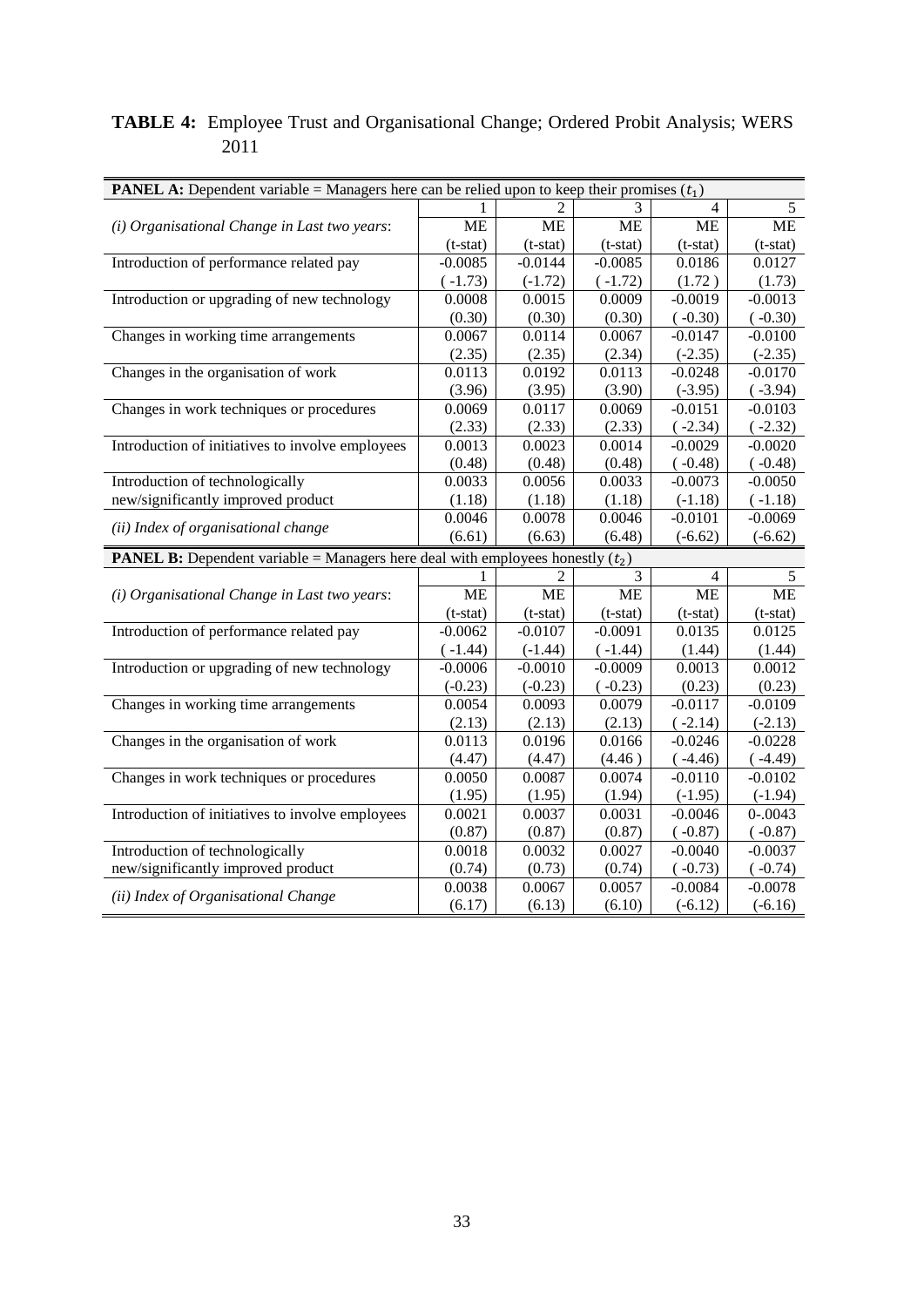### **TABLE 4:** Employee Trust and Organisational Change; Ordered Probit Analysis; WERS 2011

| <b>PANEL A:</b> Dependent variable = Managers here can be relied upon to keep their promises $(t_1)$ |            |            |            |                |              |
|------------------------------------------------------------------------------------------------------|------------|------------|------------|----------------|--------------|
|                                                                                                      |            |            | 3          | $\overline{4}$ | 5            |
| (i) Organisational Change in Last two years:                                                         | <b>ME</b>  | <b>ME</b>  | <b>ME</b>  | <b>ME</b>      | <b>ME</b>    |
|                                                                                                      | $(t-stat)$ | $(t-stat)$ | $(t-stat)$ | $(t-stat)$     | $(t-stat)$   |
| Introduction of performance related pay                                                              | $-0.0085$  | $-0.0144$  | $-0.0085$  | 0.0186         | 0.0127       |
|                                                                                                      | $(-1.73)$  | $(-1.72)$  | $(-1.72)$  | (1.72)         | (1.73)       |
| Introduction or upgrading of new technology                                                          | 0.0008     | 0.0015     | 0.0009     | $-0.0019$      | $-0.0013$    |
|                                                                                                      | (0.30)     | (0.30)     | (0.30)     | $(-0.30)$      | $(-0.30)$    |
| Changes in working time arrangements                                                                 | 0.0067     | 0.0114     | 0.0067     | $-0.0147$      | $-0.0100$    |
|                                                                                                      | (2.35)     | (2.35)     | (2.34)     | $(-2.35)$      | $(-2.35)$    |
| Changes in the organisation of work                                                                  | 0.0113     | 0.0192     | 0.0113     | $-0.0248$      | $-0.0170$    |
|                                                                                                      | (3.96)     | (3.95)     | (3.90)     | $(-3.95)$      | (.3.94)      |
| Changes in work techniques or procedures                                                             | 0.0069     | 0.0117     | 0.0069     | $-0.0151$      | $-0.0103$    |
|                                                                                                      | (2.33)     | (2.33)     | (2.33)     | $(-2.34)$      | $(-2.32)$    |
| Introduction of initiatives to involve employees                                                     | 0.0013     | 0.0023     | 0.0014     | $-0.0029$      | $-0.0020$    |
|                                                                                                      | (0.48)     | (0.48)     | (0.48)     | $(-0.48)$      | $(-0.48)$    |
| Introduction of technologically                                                                      | 0.0033     | 0.0056     | 0.0033     | $-0.0073$      | $-0.0050$    |
| new/significantly improved product                                                                   | (1.18)     | (1.18)     | (1.18)     | $(-1.18)$      | $(-1.18)$    |
| (ii) Index of organisational change                                                                  | 0.0046     | 0.0078     | 0.0046     | $-0.0101$      | $-0.0069$    |
|                                                                                                      | (6.61)     | (6.63)     | (6.48)     | $(-6.62)$      | $(-6.62)$    |
| <b>PANEL B:</b> Dependent variable = Managers here deal with employees honestly $(t_2)$              |            |            |            |                |              |
|                                                                                                      | 1          | 2          | 3          | 4              | 5            |
| (i) Organisational Change in Last two years:                                                         | <b>ME</b>  | <b>ME</b>  | ME         | <b>ME</b>      | <b>ME</b>    |
|                                                                                                      | $(t-stat)$ | $(t-stat)$ | $(t-stat)$ | $(t-stat)$     | $(t-stat)$   |
| Introduction of performance related pay                                                              | $-0.0062$  | $-0.0107$  | $-0.0091$  | 0.0135         | 0.0125       |
|                                                                                                      | $(-1.44)$  | $(-1.44)$  | $(-1.44)$  | (1.44)         | (1.44)       |
| Introduction or upgrading of new technology                                                          | $-0.0006$  | $-0.0010$  | $-0.0009$  | 0.0013         | 0.0012       |
|                                                                                                      | $(-0.23)$  | $(-0.23)$  | $(-0.23)$  | (0.23)         | (0.23)       |
| Changes in working time arrangements                                                                 | 0.0054     | 0.0093     | 0.0079     | $-0.0117$      | $-0.0109$    |
|                                                                                                      | (2.13)     | (2.13)     | (2.13)     | $(-2.14)$      | $(-2.13)$    |
| Changes in the organisation of work                                                                  | 0.0113     | 0.0196     | 0.0166     | $-0.0246$      | $-0.0228$    |
|                                                                                                      | (4.47)     | (4.47)     | (4.46)     | (.4.46)        | (.4.49)      |
| Changes in work techniques or procedures                                                             | 0.0050     | 0.0087     | 0.0074     | $-0.0110$      | $-0.0102$    |
|                                                                                                      | (1.95)     | (1.95)     | (1.94)     | $(-1.95)$      | $(-1.94)$    |
| Introduction of initiatives to involve employees                                                     | 0.0021     | 0.0037     | 0.0031     | $-0.0046$      | $0 - 0.0043$ |
|                                                                                                      | (0.87)     | (0.87)     | (0.87)     | $(-0.87)$      | (.0.87)      |
| Introduction of technologically                                                                      | 0.0018     | 0.0032     | 0.0027     | $-0.0040$      | $-0.0037$    |
| new/significantly improved product                                                                   | (0.74)     | (0.73)     | (0.74)     | $(-0.73)$      | $(-0.74)$    |
| (ii) Index of Organisational Change                                                                  | 0.0038     | 0.0067     | 0.0057     | $-0.0084$      | $-0.0078$    |
|                                                                                                      | (6.17)     | (6.13)     | (6.10)     | $(-6.12)$      | $(-6.16)$    |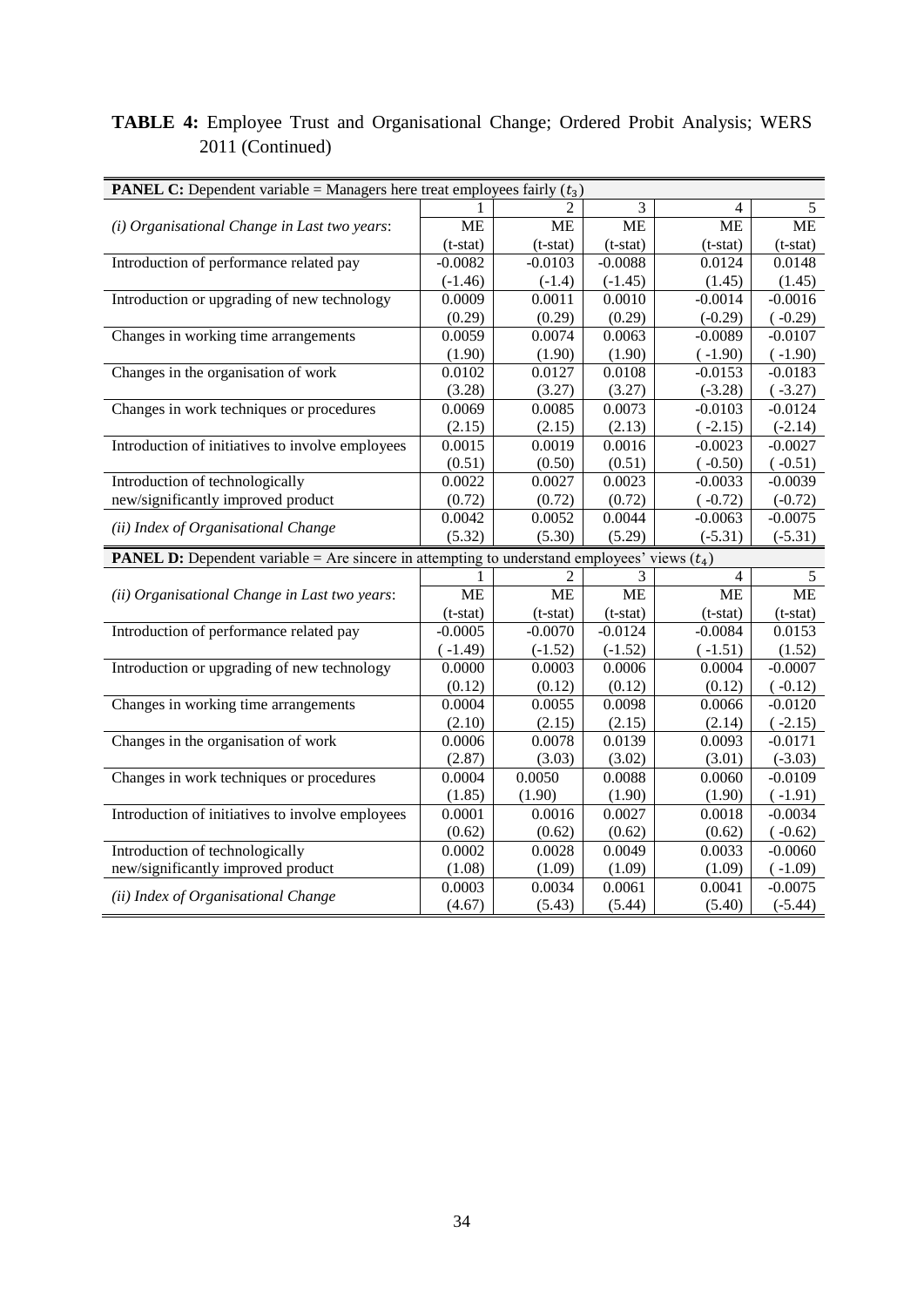# **TABLE 4:** Employee Trust and Organisational Change; Ordered Probit Analysis; WERS 2011 (Continued)

| <b>PANEL C:</b> Dependent variable = Managers here treat employees fairly $(t_3)$                     |                  |                  |                  |                  |                        |
|-------------------------------------------------------------------------------------------------------|------------------|------------------|------------------|------------------|------------------------|
|                                                                                                       |                  |                  | 3                | 4                | 5                      |
| (i) Organisational Change in Last two years:                                                          | <b>ME</b>        | <b>ME</b>        | <b>ME</b>        | <b>ME</b>        | <b>ME</b>              |
|                                                                                                       | $(t-stat)$       | $(t-stat)$       | $(t-stat)$       | $(t-stat)$       | $(t-stat)$             |
| Introduction of performance related pay                                                               | $-0.0082$        | $-0.0103$        | $-0.0088$        | 0.0124           | 0.0148                 |
|                                                                                                       | $(-1.46)$        | $(-1.4)$         | $(-1.45)$        | (1.45)           | (1.45)                 |
| Introduction or upgrading of new technology                                                           | 0.0009           | 0.0011           | 0.0010           | $-0.0014$        | $-0.0016$              |
|                                                                                                       | (0.29)           | (0.29)           | (0.29)           | $(-0.29)$        | $(-0.29)$              |
| Changes in working time arrangements                                                                  | 0.0059           | 0.0074           | 0.0063           | $-0.0089$        | $-0.0107$              |
|                                                                                                       | (1.90)           | (1.90)           | (1.90)           | $(-1.90)$        | $(-1.90)$              |
| Changes in the organisation of work                                                                   | 0.0102           | 0.0127           | 0.0108           | $-0.0153$        | $-0.0183$              |
|                                                                                                       | (3.28)           | (3.27)           | (3.27)           | $(-3.28)$        | $(-3.27)$              |
| Changes in work techniques or procedures                                                              | 0.0069           | 0.0085           | 0.0073           | $-0.0103$        | $-0.0124$              |
|                                                                                                       | (2.15)           | (2.15)           | (2.13)           | $(-2.15)$        | $(-2.14)$              |
| Introduction of initiatives to involve employees                                                      | 0.0015           | 0.0019           | 0.0016           | $-0.0023$        | $-0.0027$              |
|                                                                                                       | (0.51)           | (0.50)           | (0.51)           | $(-0.50)$        | $(-0.51)$              |
| Introduction of technologically                                                                       | 0.0022           | 0.0027           | 0.0023           | $-0.0033$        | $-0.0039$              |
| new/significantly improved product                                                                    | (0.72)           | (0.72)           | (0.72)           | $(-0.72)$        | $(-0.72)$              |
| (ii) Index of Organisational Change                                                                   | 0.0042           | 0.0052           | 0.0044           | $-0.0063$        | $-0.0075$              |
|                                                                                                       | (5.32)           | (5.30)           | (5.29)           | $(-5.31)$        | $(-5.31)$              |
| <b>PANEL D:</b> Dependent variable = Are sincere in attempting to understand employees' views $(t_4)$ |                  |                  |                  |                  |                        |
|                                                                                                       |                  | 2                | 3                | 4                | 5                      |
| (ii) Organisational Change in Last two years:                                                         | <b>ME</b>        | <b>ME</b>        | <b>ME</b>        | <b>ME</b>        | <b>ME</b>              |
|                                                                                                       | $(t-stat)$       | $(t-stat)$       | $(t-stat)$       | $(t-stat)$       | $(t-stat)$             |
| Introduction of performance related pay                                                               | $-0.0005$        | $-0.0070$        | $-0.0124$        | $-0.0084$        | 0.0153                 |
|                                                                                                       | $(-1.49)$        | $(-1.52)$        | $(-1.52)$        | $(-1.51)$        | (1.52)                 |
| Introduction or upgrading of new technology                                                           | 0.0000           | 0.0003           | 0.0006           | 0.0004           | $-0.0007$              |
|                                                                                                       | (0.12)           | (0.12)           | (0.12)           | (0.12)           | $(-0.12)$              |
| Changes in working time arrangements                                                                  | 0.0004           | 0.0055           | 0.0098           | 0.0066           | $-0.0120$              |
|                                                                                                       | (2.10)           | (2.15)           | (2.15)           | (2.14)           | $(-2.15)$              |
| Changes in the organisation of work                                                                   | 0.0006           | 0.0078           | 0.0139           | 0.0093           | $-0.0171$              |
|                                                                                                       |                  |                  |                  |                  |                        |
|                                                                                                       | (2.87)           | (3.03)           | (3.02)           | (3.01)           | $(-3.03)$              |
| Changes in work techniques or procedures                                                              | 0.0004           | 0.0050           | 0.0088           | 0.0060           | $-0.0109$              |
|                                                                                                       | (1.85)           | (1.90)           | (1.90)           | (1.90)           | $(-1.91)$              |
| Introduction of initiatives to involve employees                                                      | 0.0001           | 0.0016           | 0.0027           | 0.0018           | $-0.0034$              |
|                                                                                                       | (0.62)           | (0.62)           | (0.62)           | (0.62)           | $(-0.62)$              |
| Introduction of technologically                                                                       | 0.0002           | 0.0028           | 0.0049           | 0.0033           | $-0.0060$              |
| new/significantly improved product                                                                    | (1.08)           | (1.09)           | (1.09)           | (1.09)           | $(-1.09)$              |
| (ii) Index of Organisational Change                                                                   | 0.0003<br>(4.67) | 0.0034<br>(5.43) | 0.0061<br>(5.44) | 0.0041<br>(5.40) | $-0.0075$<br>$(-5.44)$ |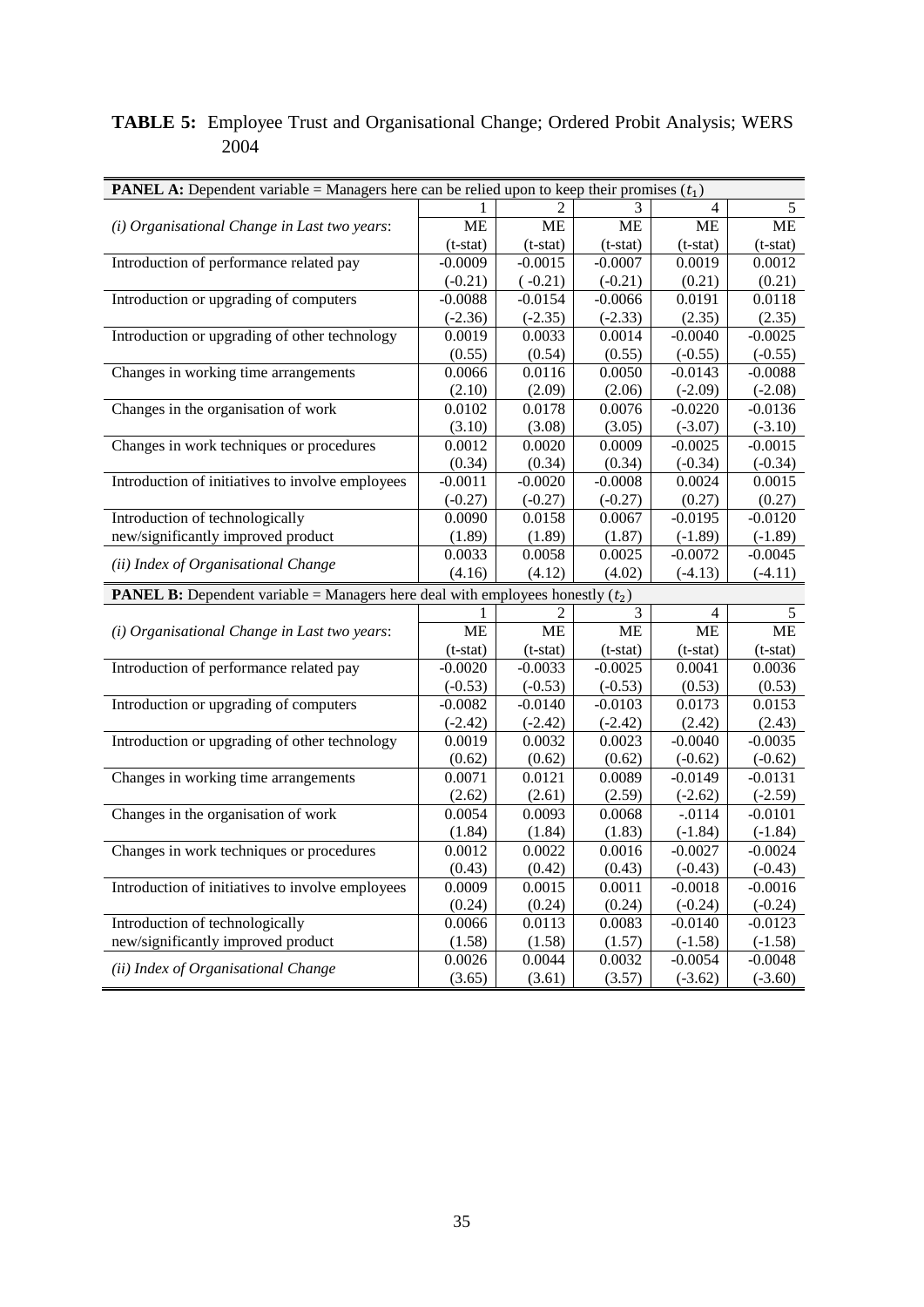### **TABLE 5:** Employee Trust and Organisational Change; Ordered Probit Analysis; WERS 2004

| <b>PANEL A:</b> Dependent variable = Managers here can be relied upon to keep their promises $(t_1)$ |                  |            |            |                |                        |
|------------------------------------------------------------------------------------------------------|------------------|------------|------------|----------------|------------------------|
|                                                                                                      |                  |            | 3          | $\overline{4}$ | 5                      |
| (i) Organisational Change in Last two years:                                                         | <b>ME</b>        | MЕ         | МE         | МE             | <b>ME</b>              |
|                                                                                                      | $(t-stat)$       | $(t-stat)$ | $(t-stat)$ | $(t-stat)$     | $(t-stat)$             |
| Introduction of performance related pay                                                              | $-0.0009$        | $-0.0015$  | $-0.0007$  | 0.0019         | 0.0012                 |
|                                                                                                      | $(-0.21)$        | $(-0.21)$  | $(-0.21)$  | (0.21)         | (0.21)                 |
| Introduction or upgrading of computers                                                               | $-0.0088$        | $-0.0154$  | $-0.0066$  | 0.0191         | 0.0118                 |
|                                                                                                      | $(-2.36)$        | $(-2.35)$  | $(-2.33)$  | (2.35)         | (2.35)                 |
| Introduction or upgrading of other technology                                                        | 0.0019           | 0.0033     | 0.0014     | $-0.0040$      | $-0.0025$              |
|                                                                                                      | (0.55)           | (0.54)     | (0.55)     | $(-0.55)$      | $(-0.55)$              |
| Changes in working time arrangements                                                                 | 0.0066           | 0.0116     | 0.0050     | $-0.0143$      | $-0.0088$              |
|                                                                                                      | (2.10)           | (2.09)     | (2.06)     | $(-2.09)$      | $(-2.08)$              |
| Changes in the organisation of work                                                                  | 0.0102           | 0.0178     | 0.0076     | $-0.0220$      | $-0.0136$              |
|                                                                                                      | (3.10)           | (3.08)     | (3.05)     | $(-3.07)$      | $(-3.10)$              |
| Changes in work techniques or procedures                                                             | 0.0012           | 0.0020     | 0.0009     | $-0.0025$      | $-0.0015$              |
|                                                                                                      | (0.34)           | (0.34)     | (0.34)     | $(-0.34)$      | $(-0.34)$              |
| Introduction of initiatives to involve employees                                                     | $-0.0011$        | $-0.0020$  | $-0.0008$  | 0.0024         | 0.0015                 |
|                                                                                                      | $(-0.27)$        | $(-0.27)$  | $(-0.27)$  | (0.27)         | (0.27)                 |
| Introduction of technologically                                                                      | 0.0090           | 0.0158     | 0.0067     | $-0.0195$      | $-0.0120$              |
| new/significantly improved product                                                                   | (1.89)           | (1.89)     | (1.87)     | $(-1.89)$      | $(-1.89)$              |
| (ii) Index of Organisational Change                                                                  | 0.0033           | 0.0058     | 0.0025     | $-0.0072$      | $-0.0045$              |
|                                                                                                      | (4.16)           | (4.12)     | (4.02)     | $(-4.13)$      | $(-4.11)$              |
| <b>PANEL B:</b> Dependent variable = Managers here deal with employees honestly $(t_2)$              |                  |            |            |                |                        |
|                                                                                                      | 1                | 2          | 3          | $\overline{4}$ | 5                      |
| (i) Organisational Change in Last two years:                                                         | <b>ME</b>        | <b>ME</b>  | ME         | <b>ME</b>      | <b>ME</b>              |
|                                                                                                      | $(t-stat)$       | $(t-stat)$ | $(t-stat)$ | $(t-stat)$     | $(t-stat)$             |
| Introduction of performance related pay                                                              | $-0.0020$        | $-0.0033$  | $-0.0025$  | 0.0041         | 0.0036                 |
|                                                                                                      | $(-0.53)$        | $(-0.53)$  | $(-0.53)$  | (0.53)         | (0.53)                 |
| Introduction or upgrading of computers                                                               | $-0.0082$        | $-0.0140$  | $-0.0103$  | 0.0173         | 0.0153                 |
|                                                                                                      | $(-2.42)$        | $(-2.42)$  | $(-2.42)$  | (2.42)         | (2.43)                 |
| Introduction or upgrading of other technology                                                        | 0.0019           | 0.0032     | 0.0023     | $-0.0040$      | $-0.0035$              |
|                                                                                                      | (0.62)           | (0.62)     | (0.62)     | $(-0.62)$      | $(-0.62)$              |
| Changes in working time arrangements                                                                 | 0.0071           | 0.0121     | 0.0089     | $-0.0149$      | $-0.0131$              |
|                                                                                                      | (2.62)           | (2.61)     | (2.59)     | $(-2.62)$      | $(-2.59)$              |
| Changes in the organisation of work                                                                  | 0.0054           | 0.0093     | 0.0068     | $-.0114$       | $-0.0101$              |
|                                                                                                      | (1.84)           | (1.84)     | (1.83)     | $(-1.84)$      | $(-1.84)$              |
| Changes in work techniques or procedures                                                             | 0.0012           | 0.0022     | 0.0016     | $-0.0027$      | $-0.0024$              |
|                                                                                                      | (0.43)           | (0.42)     | (0.43)     | $(-0.43)$      | $(-0.43)$              |
| Introduction of initiatives to involve employees                                                     | 0.0009           | 0.0015     | 0.0011     | $-0.0018$      | $-0.0016$              |
|                                                                                                      | (0.24)           | (0.24)     | (0.24)     | $(-0.24)$      | $(-0.24)$              |
| Introduction of technologically                                                                      | 0.0066           | 0.0113     | 0.0083     | $-0.0140$      | $-0.0123$              |
| new/significantly improved product                                                                   | (1.58)           | (1.58)     | (1.57)     | $(-1.58)$      | $(-1.58)$              |
| (ii) Index of Organisational Change                                                                  | 0.0026<br>(3.65) | 0.0044     | 0.0032     | $-0.0054$      | $-0.0048$<br>$(-3.60)$ |
|                                                                                                      |                  | (3.61)     | (3.57)     | $(-3.62)$      |                        |